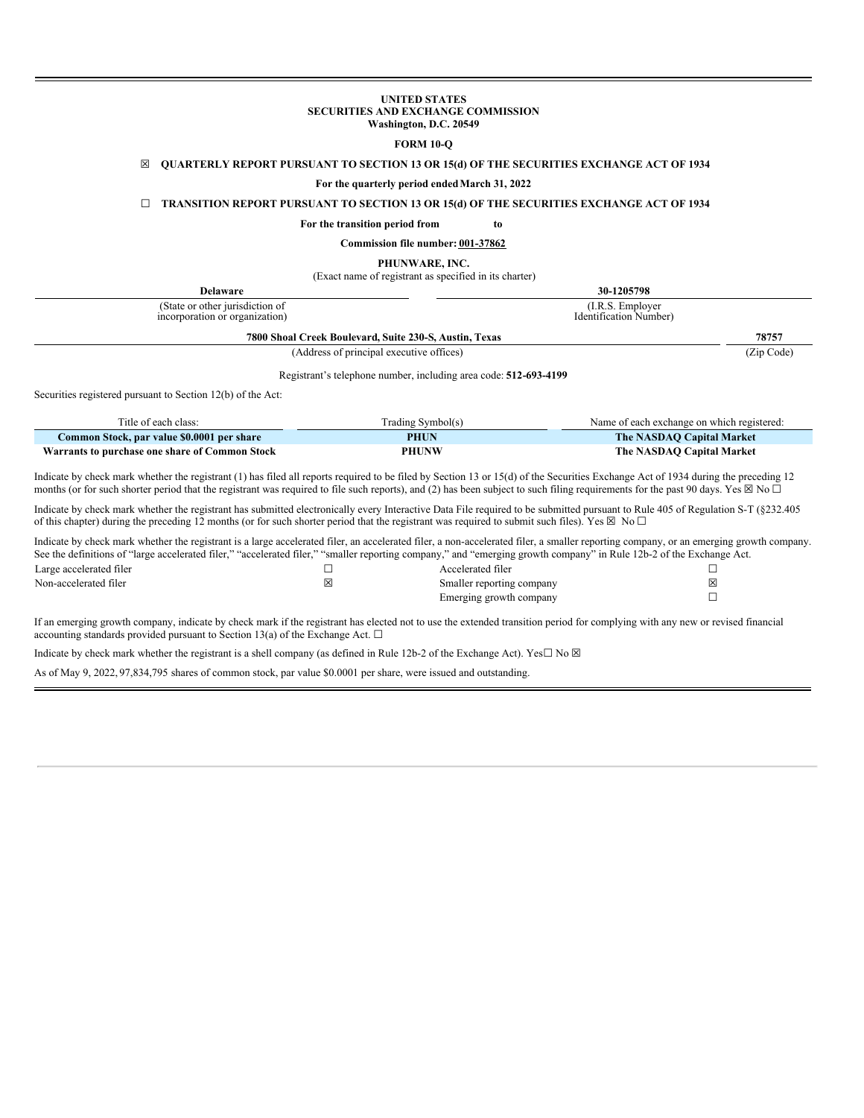### **UNITED STATES SECURITIES AND EXCHANGE COMMISSION Washington, D.C. 20549**

#### **FORM 10-Q**

☒ **QUARTERLY REPORT PURSUANT TO SECTION 13 OR 15(d) OF THE SECURITIES EXCHANGE ACT OF 1934**

## **For the quarterly period endedMarch 31, 2022**

☐ **TRANSITION REPORT PURSUANT TO SECTION 13 OR 15(d) OF THE SECURITIES EXCHANGE ACT OF 1934**

**For the transition period from to**

**Commission file number: 001-37862**

**PHUNWARE, INC.**

(Exact name of registrant as specified in its charter)

| <b>Delaware</b>                                                   | 30-1205798                                  |            |
|-------------------------------------------------------------------|---------------------------------------------|------------|
| (State or other jurisdiction of<br>incorporation or organization) | (I.R.S. Employer)<br>Identification Number) |            |
| 7800 Shoal Creek Boulevard, Suite 230-S, Austin, Texas            |                                             | 78757      |
| (Address of principal executive offices)                          |                                             | (Zip Code) |

Registrant's telephone number, including area code: **512-693-4199**

Securities registered pursuant to Section 12(b) of the Act:

Non-accelerated filer  $\boxtimes$ 

| Title of each class:                           | Trading Symbol(s) | Name of each exchange on which registered: |
|------------------------------------------------|-------------------|--------------------------------------------|
| Common Stock, par value \$0.0001 per share     | <b>PHUN</b>       | The NASDAO Capital Market                  |
| Warrants to purchase one share of Common Stock | <b>PHUNW</b>      | The NASDAQ Capital Market                  |

Indicate by check mark whether the registrant (1) has filed all reports required to be filed by Section 13 or 15(d) of the Securities Exchange Act of 1934 during the preceding 12 months (or for such shorter period that the registrant was required to file such reports), and (2) has been subject to such filing requirements for the past 90 days. Yes  $\boxtimes$  No  $\Box$ 

Indicate by check mark whether the registrant has submitted electronically every Interactive Data File required to be submitted pursuant to Rule 405 of Regulation S-T (§232.405 of this chapter) during the preceding 12 months (or for such shorter period that the registrant was required to submit such files). Yes  $\boxtimes$  No  $\Box$ 

Indicate by check mark whether the registrant is a large accelerated filer, an accelerated filer, a non-accelerated filer, a smaller reporting company, or an emerging growth company. See the definitions of "large accelerated filer," "accelerated filer," "smaller reporting company," and "emerging growth company" in Rule 12b-2 of the Exchange Act. Large accelerated filer ☐ Accelerated filer ☐

| Smaller reporting company | ⊠ |
|---------------------------|---|
| Emerging growth company   |   |

If an emerging growth company, indicate by check mark if the registrant has elected not to use the extended transition period for complying with any new or revised financial accounting standards provided pursuant to Section 13(a) of the Exchange Act.  $\Box$ 

Indicate by check mark whether the registrant is a shell company (as defined in Rule 12b-2 of the Exchange Act). Yes $\Box$  No  $\boxtimes$ 

<span id="page-0-0"></span>As of May 9, 2022, 97,834,795 shares of common stock, par value \$0.0001 per share, were issued and outstanding.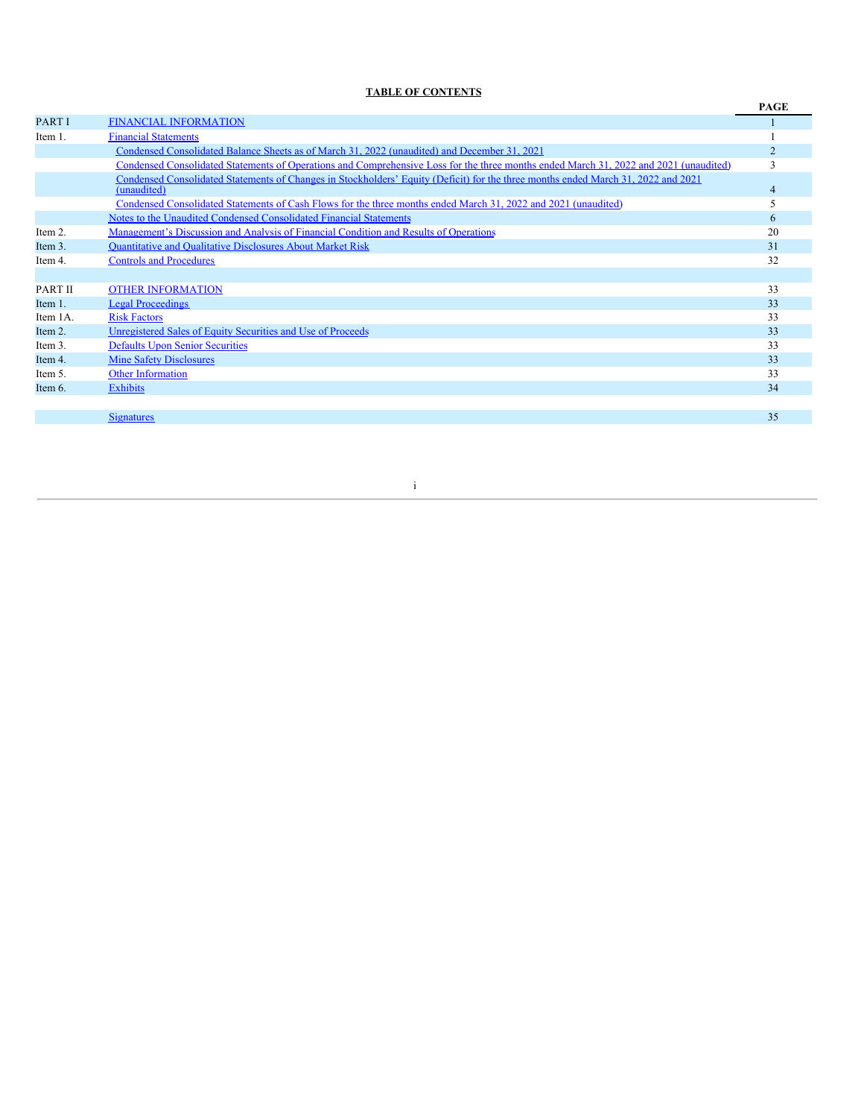# **TABLE OF CONTENTS**

|                |                                                                                                                                                  | <b>PAGE</b> |
|----------------|--------------------------------------------------------------------------------------------------------------------------------------------------|-------------|
| <b>PARTI</b>   | <b>FINANCIAL INFORMATION</b>                                                                                                                     |             |
| Item 1.        | <b>Financial Statements</b>                                                                                                                      |             |
|                | Condensed Consolidated Balance Sheets as of March 31, 2022 (unaudited) and December 31, 2021                                                     |             |
|                | Condensed Consolidated Statements of Operations and Comprehensive Loss for the three months ended March 31, 2022 and 2021 (unaudited)            |             |
|                | Condensed Consolidated Statements of Changes in Stockholders' Equity (Deficit) for the three months ended March 31, 2022 and 2021<br>(unaudited) | 4           |
|                | Condensed Consolidated Statements of Cash Flows for the three months ended March 31, 2022 and 2021 (unaudited)                                   | ╮           |
|                | Notes to the Unaudited Condensed Consolidated Financial Statements                                                                               | 6           |
| Item 2.        | Management's Discussion and Analysis of Financial Condition and Results of Operations                                                            | 20          |
| Item 3.        | <b>Quantitative and Qualitative Disclosures About Market Risk</b>                                                                                | 31          |
| Item 4.        | <b>Controls and Procedures</b>                                                                                                                   | 32          |
|                |                                                                                                                                                  |             |
| <b>PART II</b> | <b>OTHER INFORMATION</b>                                                                                                                         | 33          |
| Item 1.        | <b>Legal Proceedings</b>                                                                                                                         | 33          |
| Item 1A.       | <b>Risk Factors</b>                                                                                                                              | 33          |
| Item 2.        | Unregistered Sales of Equity Securities and Use of Proceeds                                                                                      | 33          |
| Item 3.        | <b>Defaults Upon Senior Securities</b>                                                                                                           | 33          |
| Item 4.        | <b>Mine Safety Disclosures</b>                                                                                                                   | 33          |
| Item 5.        | <b>Other Information</b>                                                                                                                         | 33          |
| Item 6.        | Exhibits                                                                                                                                         | 34          |
|                |                                                                                                                                                  |             |
|                | <b>Signatures</b>                                                                                                                                | 35          |

i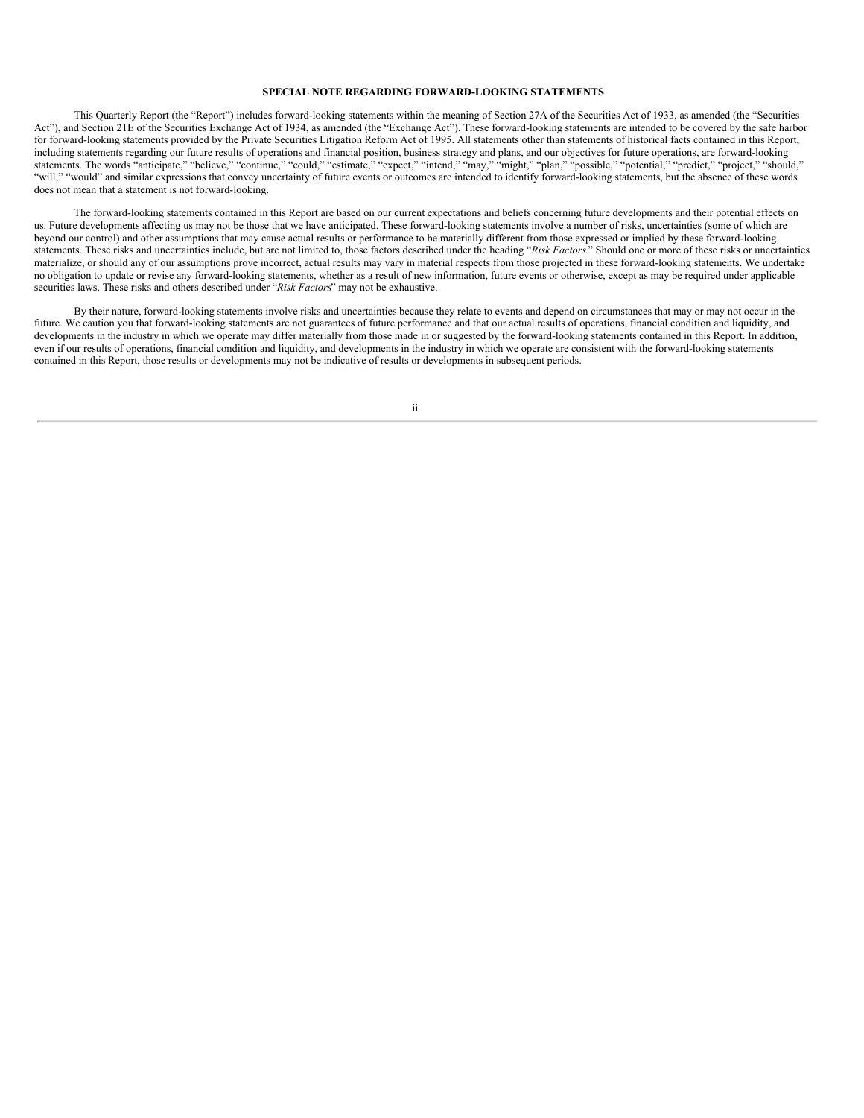## **SPECIAL NOTE REGARDING FORWARD-LOOKING STATEMENTS**

This Quarterly Report (the "Report") includes forward-looking statements within the meaning of Section 27A of the Securities Act of 1933, as amended (the "Securities Act"), and Section 21E of the Securities Exchange Act of 1934, as amended (the "Exchange Act"). These forward-looking statements are intended to be covered by the safe harbor for forward-looking statements provided by the Private Securities Litigation Reform Act of 1995. All statements other than statements of historical facts contained in this Report, including statements regarding our future results of operations and financial position, business strategy and plans, and our objectives for future operations, are forward-looking statements. The words "anticipate," "believe," "continue," "could," "estimate," "expect," "intend," "may," "might," "plan," "possible," "potential," "predict," "project," "should," "will," "would" and similar expressions that convey uncertainty of future events or outcomes are intended to identify forward-looking statements, but the absence of these words does not mean that a statement is not forward-looking.

The forward-looking statements contained in this Report are based on our current expectations and beliefs concerning future developments and their potential effects on us. Future developments affecting us may not be those that we have anticipated. These forward-looking statements involve a number of risks, uncertainties (some of which are beyond our control) and other assumptions that may cause actual results or performance to be materially different from those expressed or implied by these forward-looking statements. These risks and uncertainties include, but are not limited to, those factors described under the heading "*Risk Factors*." Should one or more of these risks or uncertainties materialize, or should any of our assumptions prove incorrect, actual results may vary in material respects from those projected in these forward-looking statements. We undertake no obligation to update or revise any forward-looking statements, whether as a result of new information, future events or otherwise, except as may be required under applicable securities laws. These risks and others described under "*Risk Factors*" may not be exhaustive.

<span id="page-2-0"></span>By their nature, forward-looking statements involve risks and uncertainties because they relate to events and depend on circumstances that may or may not occur in the future. We caution you that forward-looking statements are not guarantees of future performance and that our actual results of operations, financial condition and liquidity, and developments in the industry in which we operate may differ materially from those made in or suggested by the forward-looking statements contained in this Report. In addition, even if our results of operations, financial condition and liquidity, and developments in the industry in which we operate are consistent with the forward-looking statements contained in this Report, those results or developments may not be indicative of results or developments in subsequent periods.

ii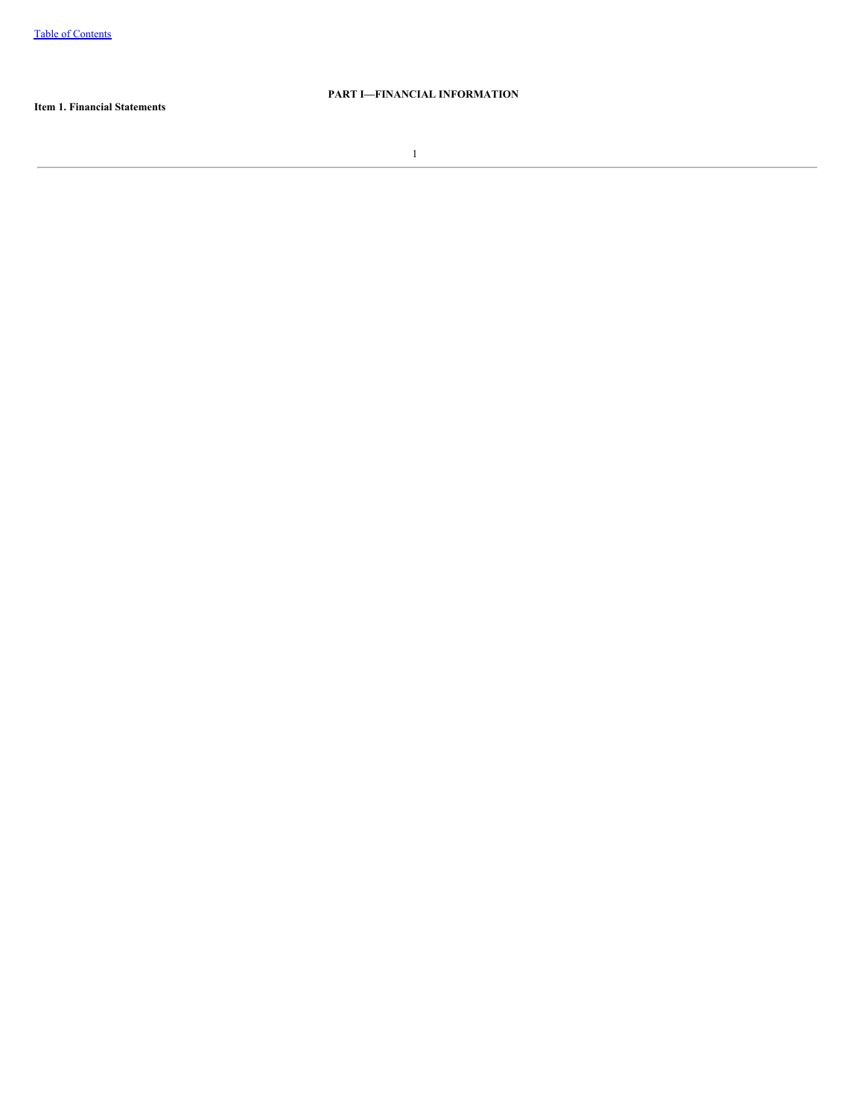<span id="page-3-1"></span><span id="page-3-0"></span>**Item 1. Financial Statements**

# **PART I—FINANCIAL INFORMATION**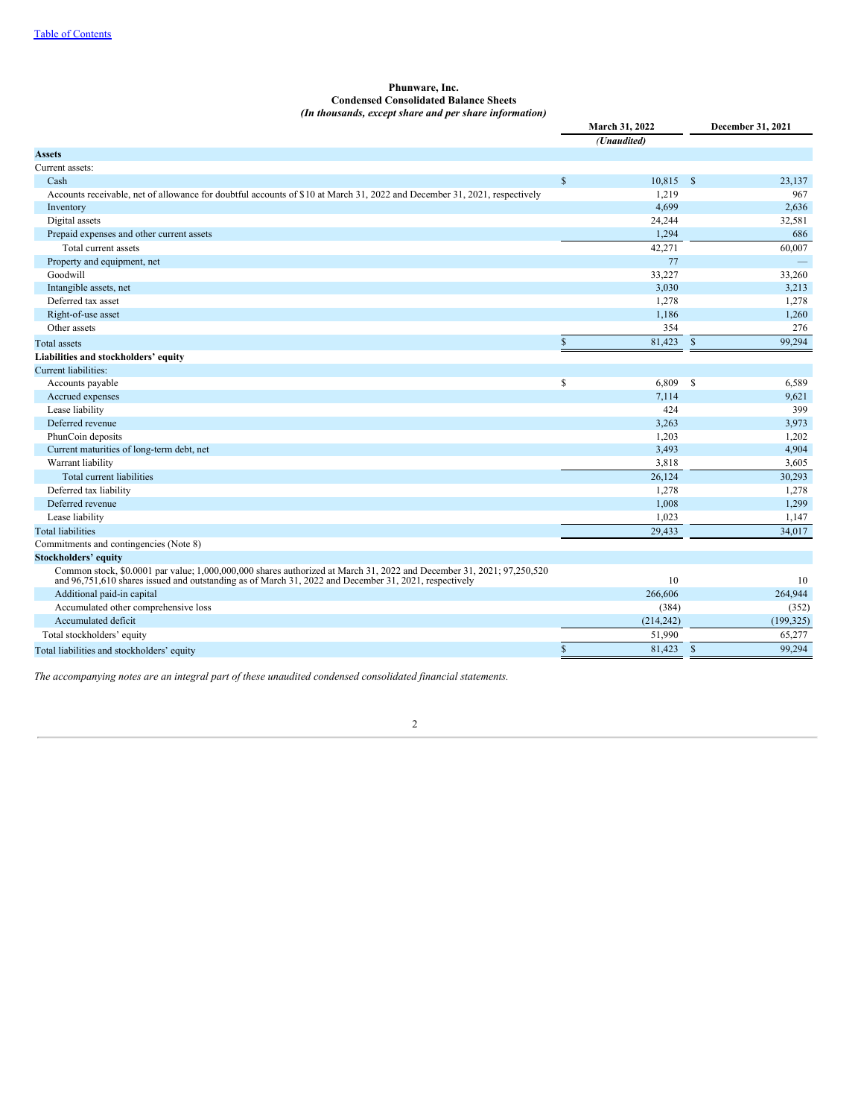## **Phunware, Inc. Condensed Consolidated Balance Sheets** *(In thousands, except share and per share information)*

|                                                                                                                                                                                                                                |               | March 31, 2022 |               | December 31, 2021 |  |  |
|--------------------------------------------------------------------------------------------------------------------------------------------------------------------------------------------------------------------------------|---------------|----------------|---------------|-------------------|--|--|
|                                                                                                                                                                                                                                |               | (Unaudited)    |               |                   |  |  |
| <b>Assets</b>                                                                                                                                                                                                                  |               |                |               |                   |  |  |
| Current assets:                                                                                                                                                                                                                |               |                |               |                   |  |  |
| Cash                                                                                                                                                                                                                           | $\mathbf{s}$  | 10,815         | $\mathbf S$   | 23,137            |  |  |
| Accounts receivable, net of allowance for doubtful accounts of \$10 at March 31, 2022 and December 31, 2021, respectively                                                                                                      |               | 1,219          |               | 967               |  |  |
| Inventory                                                                                                                                                                                                                      |               | 4,699          |               | 2,636             |  |  |
| Digital assets                                                                                                                                                                                                                 |               | 24,244         |               | 32,581            |  |  |
| Prepaid expenses and other current assets                                                                                                                                                                                      |               | 1,294          |               | 686               |  |  |
| Total current assets                                                                                                                                                                                                           |               | 42,271         |               | 60,007            |  |  |
| Property and equipment, net                                                                                                                                                                                                    |               | 77             |               |                   |  |  |
| Goodwill                                                                                                                                                                                                                       |               | 33,227         |               | 33,260            |  |  |
| Intangible assets, net                                                                                                                                                                                                         |               | 3,030          |               | 3,213             |  |  |
| Deferred tax asset                                                                                                                                                                                                             |               | 1,278          |               | 1,278             |  |  |
| Right-of-use asset                                                                                                                                                                                                             |               | 1,186          |               | 1,260             |  |  |
| Other assets                                                                                                                                                                                                                   |               | 354            |               | 276               |  |  |
| <b>Total assets</b>                                                                                                                                                                                                            | $\mathcal{S}$ | 81,423         | $\mathcal{S}$ | 99,294            |  |  |
| Liabilities and stockholders' equity                                                                                                                                                                                           |               |                |               |                   |  |  |
| <b>Current liabilities:</b>                                                                                                                                                                                                    |               |                |               |                   |  |  |
| Accounts payable                                                                                                                                                                                                               | \$            | 6,809          | $\mathbb{S}$  | 6,589             |  |  |
| Accrued expenses                                                                                                                                                                                                               |               | 7,114          |               | 9,621             |  |  |
| Lease liability                                                                                                                                                                                                                |               | 424            |               | 399               |  |  |
| Deferred revenue                                                                                                                                                                                                               |               | 3,263          |               | 3,973             |  |  |
| PhunCoin deposits                                                                                                                                                                                                              |               | 1,203          |               | 1,202             |  |  |
| Current maturities of long-term debt, net                                                                                                                                                                                      |               | 3,493          |               | 4,904             |  |  |
| Warrant liability                                                                                                                                                                                                              |               | 3,818          |               | 3,605             |  |  |
| Total current liabilities                                                                                                                                                                                                      |               | 26,124         |               | 30,293            |  |  |
| Deferred tax liability                                                                                                                                                                                                         |               | 1,278          |               | 1,278             |  |  |
| Deferred revenue                                                                                                                                                                                                               |               | 1,008          |               | 1,299             |  |  |
| Lease liability                                                                                                                                                                                                                |               | 1,023          |               | 1,147             |  |  |
| <b>Total liabilities</b>                                                                                                                                                                                                       |               | 29,433         |               | 34,017            |  |  |
| Commitments and contingencies (Note 8)                                                                                                                                                                                         |               |                |               |                   |  |  |
| Stockholders' equity                                                                                                                                                                                                           |               |                |               |                   |  |  |
| Common stock, \$0.0001 par value; 1,000,000,000 shares authorized at March 31, 2022 and December 31, 2021; 97,250,520<br>and 96,751,610 shares issued and outstanding as of March 31, 2022 and December 31, 2021, respectively |               | 10             |               | 10                |  |  |
| Additional paid-in capital                                                                                                                                                                                                     |               | 266,606        |               | 264,944           |  |  |
| Accumulated other comprehensive loss                                                                                                                                                                                           |               | (384)          |               | (352)             |  |  |
| Accumulated deficit                                                                                                                                                                                                            |               | (214, 242)     |               | (199, 325)        |  |  |
| Total stockholders' equity                                                                                                                                                                                                     |               | 51,990         |               | 65,277            |  |  |
| Total liabilities and stockholders' equity                                                                                                                                                                                     | \$            | 81.423         | $\mathbb{S}$  | 99.294            |  |  |

<span id="page-4-0"></span>*The accompanying notes are an integral part of these unaudited condensed consolidated financial statements.*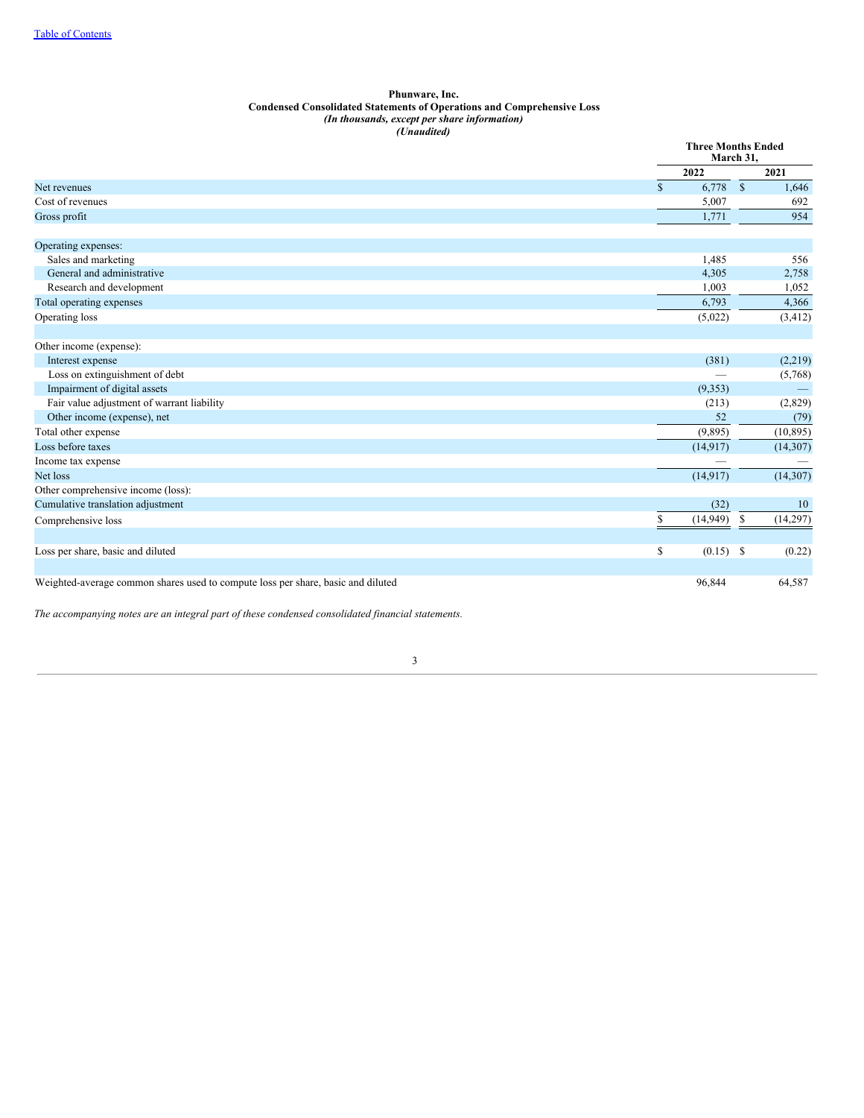#### **Phunware, Inc. Condensed Consolidated Statements of Operations and Comprehensive Loss** *(In thousands, except per share information) (Unaudited)*

|                                                                                  |                          | <b>Three Months Ended</b><br>March 31, |
|----------------------------------------------------------------------------------|--------------------------|----------------------------------------|
|                                                                                  | 2022                     | 2021                                   |
| Net revenues                                                                     | 6,778 \$<br>$\mathbf{s}$ | 1,646                                  |
| Cost of revenues                                                                 | 5,007                    | 692                                    |
| Gross profit                                                                     | 1,771                    | 954                                    |
| Operating expenses:                                                              |                          |                                        |
| Sales and marketing                                                              | 1,485                    | 556                                    |
| General and administrative                                                       | 4,305                    | 2,758                                  |
| Research and development                                                         | 1,003                    | 1,052                                  |
| Total operating expenses                                                         | 6,793                    | 4,366                                  |
| Operating loss                                                                   | (5,022)                  | (3, 412)                               |
| Other income (expense):                                                          |                          |                                        |
| Interest expense                                                                 | (381)                    | (2,219)                                |
| Loss on extinguishment of debt                                                   |                          | (5,768)                                |
| Impairment of digital assets                                                     | (9, 353)                 |                                        |
| Fair value adjustment of warrant liability                                       | (213)                    | (2,829)                                |
| Other income (expense), net                                                      | 52                       | (79)                                   |
| Total other expense                                                              | (9,895)                  | (10, 895)                              |
| Loss before taxes                                                                | (14,917)                 | (14,307)                               |
| Income tax expense                                                               |                          |                                        |
| Net loss                                                                         | (14,917)                 | (14, 307)                              |
| Other comprehensive income (loss):                                               |                          |                                        |
| Cumulative translation adjustment                                                | (32)                     | 10                                     |
| Comprehensive loss                                                               | \$<br>(14, 949)          | -S<br>(14,297)                         |
| Loss per share, basic and diluted                                                | \$<br>$(0.15)$ \$        | (0.22)                                 |
| Weighted-average common shares used to compute loss per share, basic and diluted | 96,844                   | 64,587                                 |
|                                                                                  |                          |                                        |

<span id="page-5-0"></span>*The accompanying notes are an integral part of these condensed consolidated financial statements.*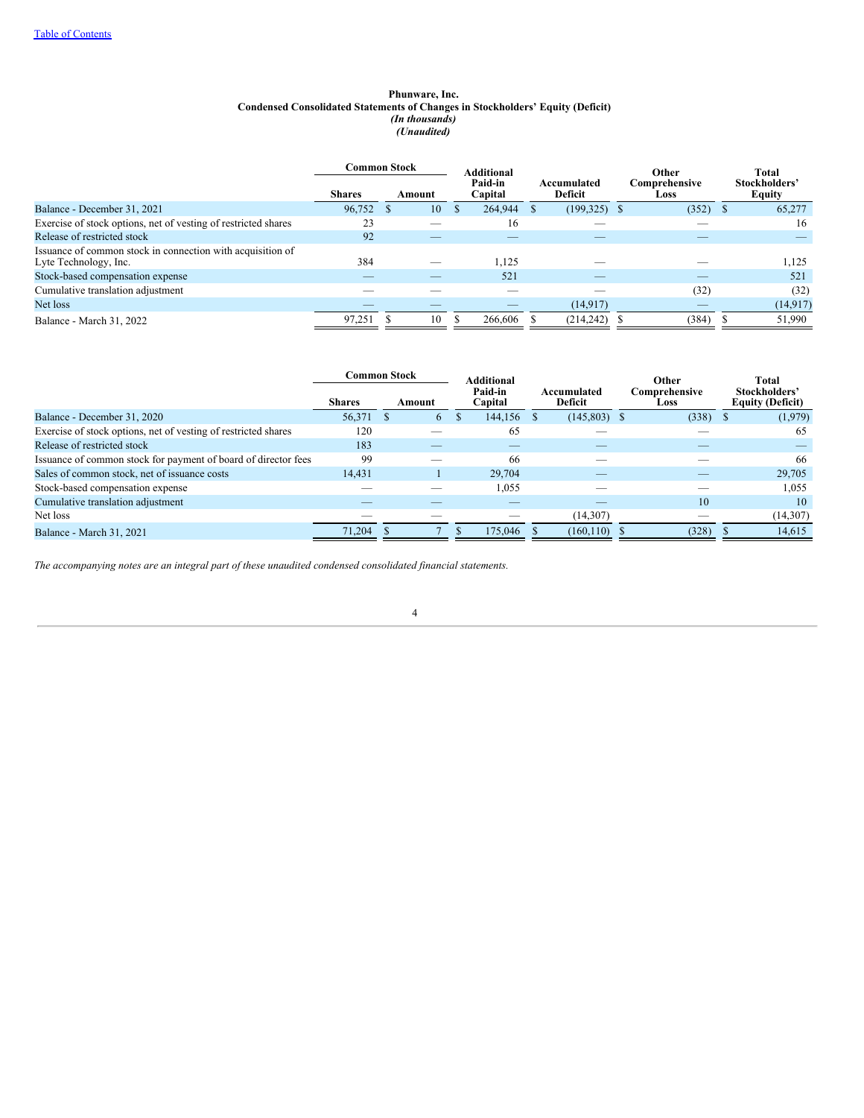## **Phunware, Inc. Condensed Consolidated Statements of Changes in Stockholders' Equity (Deficit)** *(In thousands) (Unaudited)*

|                                                                                     |               | <b>Common Stock</b> |        | <b>Additional</b>  |         |  |                |  | Other |                        | <b>Total</b> |                       |  |  |                         |  |
|-------------------------------------------------------------------------------------|---------------|---------------------|--------|--------------------|---------|--|----------------|--|-------|------------------------|--------------|-----------------------|--|--|-------------------------|--|
|                                                                                     | <b>Shares</b> |                     | Amount | Paid-in<br>Capital |         |  |                |  |       | Accumulated<br>Deficit |              | Comprehensive<br>Loss |  |  | Stockholders'<br>Equity |  |
| Balance - December 31, 2021                                                         | 96,752        |                     | 10     | <sup>S</sup>       | 264,944 |  | $(199,325)$ \$ |  | (352) | <sup>S</sup>           | 65,277       |                       |  |  |                         |  |
| Exercise of stock options, net of vesting of restricted shares                      | 23            |                     | __     |                    | 16      |  |                |  |       |                        | 16           |                       |  |  |                         |  |
| Release of restricted stock                                                         | 92            |                     | _      |                    |         |  |                |  |       |                        |              |                       |  |  |                         |  |
| Issuance of common stock in connection with acquisition of<br>Lyte Technology, Inc. | 384           |                     |        |                    | 1,125   |  |                |  |       |                        | 1,125        |                       |  |  |                         |  |
| Stock-based compensation expense                                                    |               |                     |        |                    | 521     |  |                |  |       |                        | 521          |                       |  |  |                         |  |
| Cumulative translation adjustment                                                   |               |                     |        |                    |         |  |                |  | (32)  |                        | (32)         |                       |  |  |                         |  |
| Net loss                                                                            |               |                     |        |                    |         |  | (14, 917)      |  |       |                        | (14,917)     |                       |  |  |                         |  |
| Balance - March 31, 2022                                                            | 97,251        |                     | 10     |                    | 266,606 |  | (214, 242)     |  | (384) |                        | 51,990       |                       |  |  |                         |  |

|                                                                | <b>Common Stock</b> |        | Additional<br>Paid-in<br>Capital |         |                |  | Other | Total     |                               |                       |
|----------------------------------------------------------------|---------------------|--------|----------------------------------|---------|----------------|--|-------|-----------|-------------------------------|-----------------------|
|                                                                | <b>Shares</b>       | Amount |                                  |         |                |  |       |           | Accumulated<br><b>Deficit</b> | Comprehensive<br>Loss |
| Balance - December 31, 2020                                    | 56.371              | 6      | <b>S</b>                         | 144.156 | $(145,803)$ \$ |  | (338) | (1,979)   |                               |                       |
| Exercise of stock options, net of vesting of restricted shares | 120                 |        |                                  | 65      |                |  |       | -65       |                               |                       |
| Release of restricted stock                                    | 183                 | _      |                                  |         |                |  |       |           |                               |                       |
| Issuance of common stock for payment of board of director fees | 99                  | _      |                                  | 66      |                |  |       | 66        |                               |                       |
| Sales of common stock, net of issuance costs                   | 14.431              |        |                                  | 29,704  |                |  |       | 29,705    |                               |                       |
| Stock-based compensation expense                               |                     |        |                                  | 1,055   |                |  |       | 1.055     |                               |                       |
| Cumulative translation adjustment                              |                     |        |                                  |         |                |  | 10    | 10        |                               |                       |
| Net loss                                                       |                     |        |                                  |         | (14,307)       |  |       | (14, 307) |                               |                       |
| Balance - March 31, 2021                                       | 71.204              |        |                                  | 175,046 | (160, 110)     |  | (328) | 14,615    |                               |                       |

<span id="page-6-0"></span>*The accompanying notes are an integral part of these unaudited condensed consolidated financial statements.*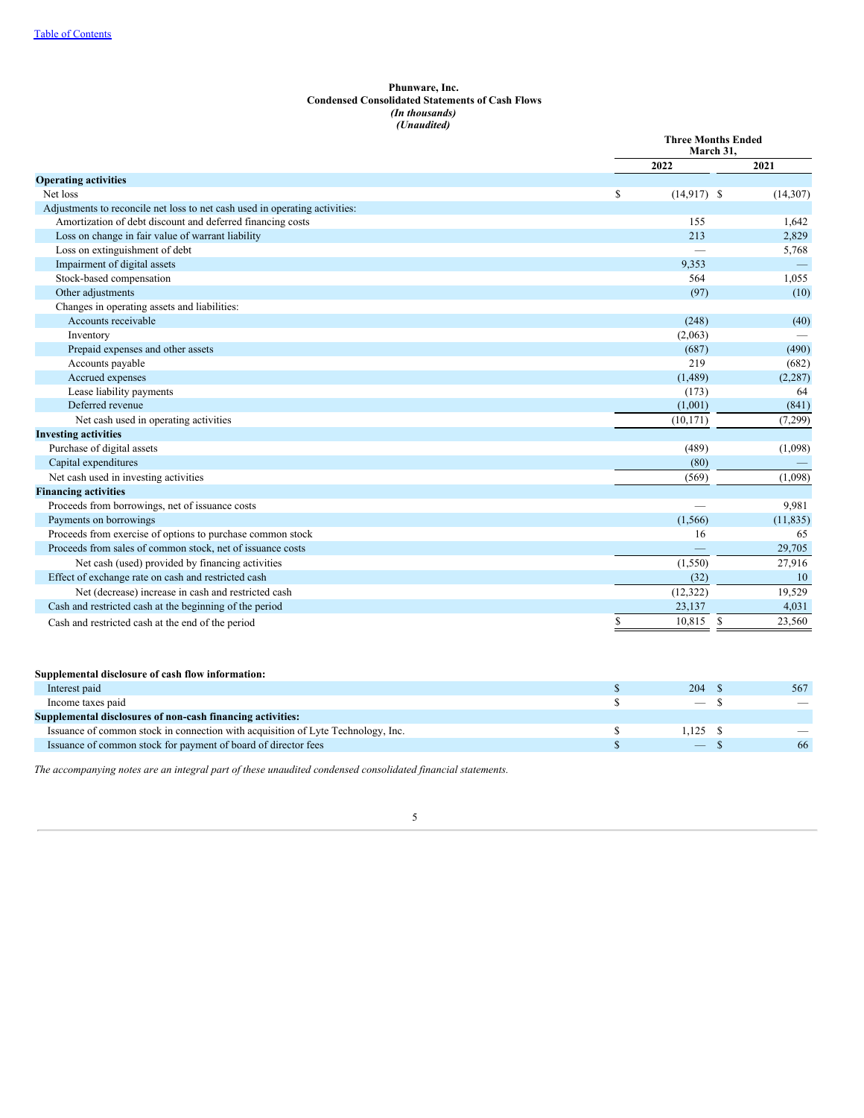## **Phunware, Inc. Condensed Consolidated Statements of Cash Flows** *(In thousands) (Unaudited)*

|                                                                             |                    | <b>Three Months Ended</b><br>March 31. |
|-----------------------------------------------------------------------------|--------------------|----------------------------------------|
|                                                                             | 2022               | 2021                                   |
| <b>Operating activities</b>                                                 |                    |                                        |
| Net loss                                                                    | S<br>$(14,917)$ \$ | (14,307)                               |
| Adjustments to reconcile net loss to net cash used in operating activities: |                    |                                        |
| Amortization of debt discount and deferred financing costs                  | 155                | 1,642                                  |
| Loss on change in fair value of warrant liability                           | 213                | 2,829                                  |
| Loss on extinguishment of debt                                              |                    | 5,768                                  |
| Impairment of digital assets                                                | 9,353              |                                        |
| Stock-based compensation                                                    | 564                | 1,055                                  |
| Other adjustments                                                           |                    | (97)<br>(10)                           |
| Changes in operating assets and liabilities:                                |                    |                                        |
| Accounts receivable                                                         | (248)              | (40)                                   |
| Inventory                                                                   | (2,063)            |                                        |
| Prepaid expenses and other assets                                           | (687)              | (490)                                  |
| Accounts payable                                                            | 219                | (682)                                  |
| Accrued expenses                                                            | (1, 489)           | (2, 287)                               |
| Lease liability payments                                                    | (173)              | 64                                     |
| Deferred revenue                                                            | (1,001)            | (841)                                  |
| Net cash used in operating activities                                       | (10, 171)          | (7,299)                                |
| <b>Investing activities</b>                                                 |                    |                                        |
| Purchase of digital assets                                                  | (489)              | (1,098)                                |
| Capital expenditures                                                        |                    | (80)                                   |
| Net cash used in investing activities                                       | (569)              | (1,098)                                |
| <b>Financing activities</b>                                                 |                    |                                        |
| Proceeds from borrowings, net of issuance costs                             |                    | 9,981                                  |
| Payments on borrowings                                                      | (1, 566)           | (11, 835)                              |
| Proceeds from exercise of options to purchase common stock                  |                    | 16<br>65                               |
| Proceeds from sales of common stock, net of issuance costs                  |                    | 29,705                                 |
| Net cash (used) provided by financing activities                            | (1,550)            | 27,916                                 |
| Effect of exchange rate on cash and restricted cash                         |                    | 10<br>(32)                             |
| Net (decrease) increase in cash and restricted cash                         | (12, 322)          | 19,529                                 |
| Cash and restricted cash at the beginning of the period                     | 23,137             | 4,031                                  |
| Cash and restricted cash at the end of the period                           | S<br>10.815        | \$<br>23,560                           |

## **Supplemental disclosure of cash flow information:**

| Interest paid                                                                    | 204                      | 567                      |
|----------------------------------------------------------------------------------|--------------------------|--------------------------|
| Income taxes paid                                                                | $\overline{\phantom{a}}$ | $\hspace{0.05cm}$        |
| Supplemental disclosures of non-cash financing activities:                       |                          |                          |
| Issuance of common stock in connection with acquisition of Lyte Technology, Inc. | 1.125                    | $\overline{\phantom{a}}$ |
| Issuance of common stock for payment of board of director fees                   |                          | 66                       |

<span id="page-7-0"></span>*The accompanying notes are an integral part of these unaudited condensed consolidated financial statements.*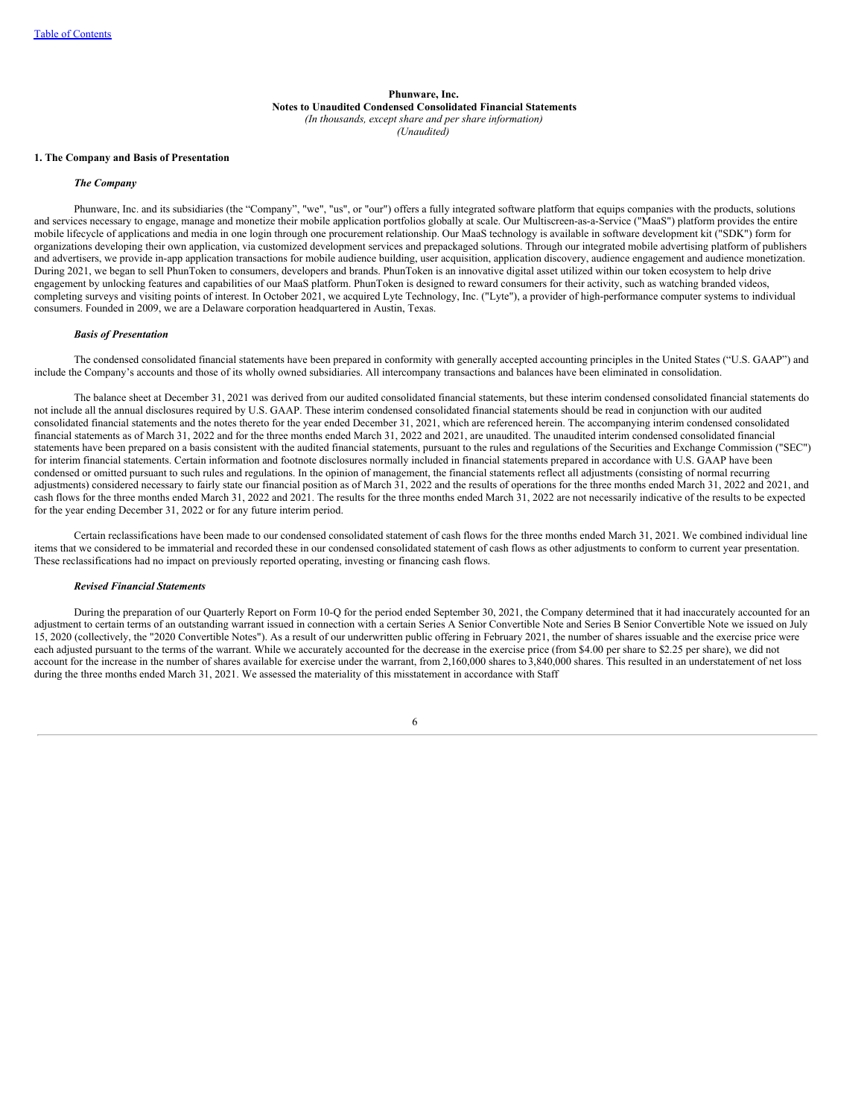**Phunware, Inc. Notes to Unaudited Condensed Consolidated Financial Statements** *(In thousands, except share and per share information) (Unaudited)*

### **1. The Company and Basis of Presentation**

#### *The Company*

Phunware, Inc. and its subsidiaries (the "Company", "we", "us", or "our") offers a fully integrated software platform that equips companies with the products, solutions and services necessary to engage, manage and monetize their mobile application portfolios globally at scale. Our Multiscreen-as-a-Service ("MaaS") platform provides the entire mobile lifecycle of applications and media in one login through one procurement relationship. Our MaaS technology is available in software development kit ("SDK") form for organizations developing their own application, via customized development services and prepackaged solutions. Through our integrated mobile advertising platform of publishers and advertisers, we provide in-app application transactions for mobile audience building, user acquisition, application discovery, audience engagement and audience monetization. During 2021, we began to sell PhunToken to consumers, developers and brands. PhunToken is an innovative digital asset utilized within our token ecosystem to help drive engagement by unlocking features and capabilities of our MaaS platform. PhunToken is designed to reward consumers for their activity, such as watching branded videos, completing surveys and visiting points of interest. In October 2021, we acquired Lyte Technology, Inc. ("Lyte"), a provider of high-performance computer systems to individual consumers. Founded in 2009, we are a Delaware corporation headquartered in Austin, Texas.

#### *Basis of Presentation*

The condensed consolidated financial statements have been prepared in conformity with generally accepted accounting principles in the United States ("U.S. GAAP") and include the Company's accounts and those of its wholly owned subsidiaries. All intercompany transactions and balances have been eliminated in consolidation.

The balance sheet at December 31, 2021 was derived from our audited consolidated financial statements, but these interim condensed consolidated financial statements do not include all the annual disclosures required by U.S. GAAP. These interim condensed consolidated financial statements should be read in conjunction with our audited consolidated financial statements and the notes thereto for the year ended December 31, 2021, which are referenced herein. The accompanying interim condensed consolidated financial statements as of March 31, 2022 and for the three months ended March 31, 2022 and 2021, are unaudited. The unaudited interim condensed consolidated financial statements have been prepared on a basis consistent with the audited financial statements, pursuant to the rules and regulations of the Securities and Exchange Commission ("SEC") for interim financial statements. Certain information and footnote disclosures normally included in financial statements prepared in accordance with U.S. GAAP have been condensed or omitted pursuant to such rules and regulations. In the opinion of management, the financial statements reflect all adjustments (consisting of normal recurring adjustments) considered necessary to fairly state our financial position as of March 31, 2022 and the results of operations for the three months ended March 31, 2022 and 2021, and cash flows for the three months ended March 31, 2022 and 2021. The results for the three months ended March 31, 2022 are not necessarily indicative of the results to be expected for the year ending December 31, 2022 or for any future interim period.

Certain reclassifications have been made to our condensed consolidated statement of cash flows for the three months ended March 31, 2021. We combined individual line items that we considered to be immaterial and recorded these in our condensed consolidated statement of cash flows as other adjustments to conform to current year presentation. These reclassifications had no impact on previously reported operating, investing or financing cash flows.

#### *Revised Financial Statements*

During the preparation of our Quarterly Report on Form 10-Q for the period ended September 30, 2021, the Company determined that it had inaccurately accounted for an adjustment to certain terms of an outstanding warrant issued in connection with a certain Series A Senior Convertible Note and Series B Senior Convertible Note we issued on July 15, 2020 (collectively, the "2020 Convertible Notes"). As a result of our underwritten public offering in February 2021, the number of shares issuable and the exercise price were each adjusted pursuant to the terms of the warrant. While we accurately accounted for the decrease in the exercise price (from \$4.00 per share to \$2.25 per share), we did not account for the increase in the number of shares available for exercise under the warrant, from 2,160,000 shares to 3,840,000 shares. This resulted in an understatement of net loss during the three months ended March 31, 2021. We assessed the materiality of this misstatement in accordance with Staff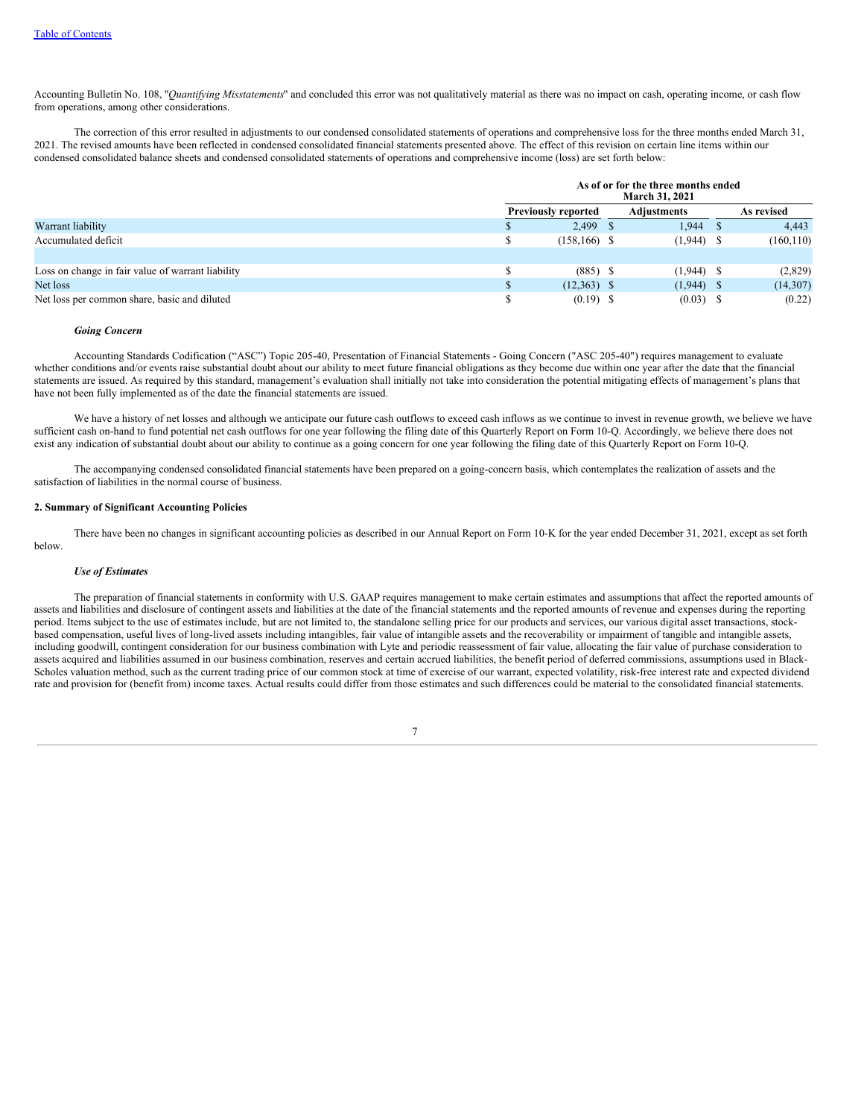Accounting Bulletin No. 108, "*Quantifying Misstatements*" and concluded this error was not qualitatively material as there was no impact on cash, operating income, or cash flow from operations, among other considerations.

The correction of this error resulted in adjustments to our condensed consolidated statements of operations and comprehensive loss for the three months ended March 31, 2021. The revised amounts have been reflected in condensed consolidated financial statements presented above. The effect of this revision on certain line items within our condensed consolidated balance sheets and condensed consolidated statements of operations and comprehensive income (loss) are set forth below:

|                                                   |   | As of or for the three months ended<br><b>March 31, 2021</b> |     |              |     |            |  |  |
|---------------------------------------------------|---|--------------------------------------------------------------|-----|--------------|-----|------------|--|--|
|                                                   |   | <b>Previously reported</b>                                   |     | Adjustments  |     | As revised |  |  |
| Warrant liability                                 |   | 2,499                                                        | - 5 | .944.        | - S | 4,443      |  |  |
| Accumulated deficit                               |   | $(158, 166)$ \$                                              |     | $(1,944)$ \$ |     | (160, 110) |  |  |
|                                                   |   |                                                              |     |              |     |            |  |  |
| Loss on change in fair value of warrant liability |   | $(885)$ \$                                                   |     | $(1,944)$ \$ |     | (2,829)    |  |  |
| Net loss                                          | Ф | $(12,363)$ \$                                                |     | $(1,944)$ \$ |     | (14,307)   |  |  |
| Net loss per common share, basic and diluted      |   | $(0.19)$ \$                                                  |     | $(0.03)$ \$  |     | (0.22)     |  |  |

#### *Going Concern*

Accounting Standards Codification ("ASC") Topic 205-40, Presentation of Financial Statements - Going Concern ("ASC 205-40") requires management to evaluate whether conditions and/or events raise substantial doubt about our ability to meet future financial obligations as they become due within one year after the date that the financial statements are issued. As required by this standard, management's evaluation shall initially not take into consideration the potential mitigating effects of management's plans that have not been fully implemented as of the date the financial statements are issued.

We have a history of net losses and although we anticipate our future cash outflows to exceed cash inflows as we continue to invest in revenue growth, we believe we have sufficient cash on-hand to fund potential net cash outflows for one year following the filing date of this Quarterly Report on Form 10-Q. Accordingly, we believe there does not exist any indication of substantial doubt about our ability to continue as a going concern for one year following the filing date of this Quarterly Report on Form 10-Q.

The accompanying condensed consolidated financial statements have been prepared on a going-concern basis, which contemplates the realization of assets and the satisfaction of liabilities in the normal course of business.

#### **2. Summary of Significant Accounting Policies**

There have been no changes in significant accounting policies as described in our Annual Report on Form 10-K for the year ended December 31, 2021, except as set forth below.

#### *Use of Estimates*

The preparation of financial statements in conformity with U.S. GAAP requires management to make certain estimates and assumptions that affect the reported amounts of assets and liabilities and disclosure of contingent assets and liabilities at the date of the financial statements and the reported amounts of revenue and expenses during the reporting period. Items subject to the use of estimates include, but are not limited to, the standalone selling price for our products and services, our various digital asset transactions, stockbased compensation, useful lives of long-lived assets including intangibles, fair value of intangible assets and the recoverability or impairment of tangible and intangible assets, including goodwill, contingent consideration for our business combination with Lyte and periodic reassessment of fair value, allocating the fair value of purchase consideration to assets acquired and liabilities assumed in our business combination, reserves and certain accrued liabilities, the benefit period of deferred commissions, assumptions used in Black-Scholes valuation method, such as the current trading price of our common stock at time of exercise of our warrant, expected volatility, risk-free interest rate and expected dividend rate and provision for (benefit from) income taxes. Actual results could differ from those estimates and such differences could be material to the consolidated financial statements.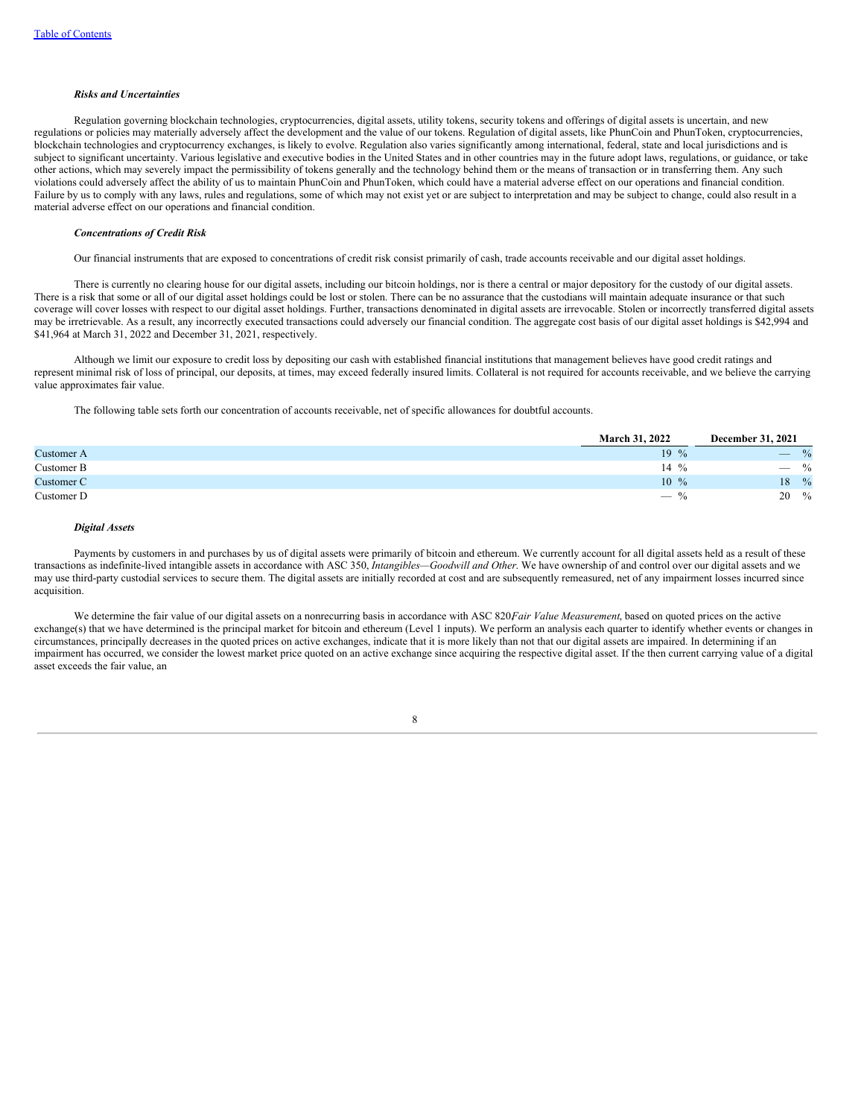#### *Risks and Uncertainties*

Regulation governing blockchain technologies, cryptocurrencies, digital assets, utility tokens, security tokens and offerings of digital assets is uncertain, and new regulations or policies may materially adversely affect the development and the value of our tokens. Regulation of digital assets, like PhunCoin and PhunToken, cryptocurrencies, blockchain technologies and cryptocurrency exchanges, is likely to evolve. Regulation also varies significantly among international, federal, state and local jurisdictions and is subject to significant uncertainty. Various legislative and executive bodies in the United States and in other countries may in the future adopt laws, regulations, or guidance, or take other actions, which may severely impact the permissibility of tokens generally and the technology behind them or the means of transaction or in transferring them. Any such violations could adversely affect the ability of us to maintain PhunCoin and PhunToken, which could have a material adverse effect on our operations and financial condition. Failure by us to comply with any laws, rules and regulations, some of which may not exist yet or are subject to interpretation and may be subject to change, could also result in a material adverse effect on our operations and financial condition.

## *Concentrations of Credit Risk*

Our financial instruments that are exposed to concentrations of credit risk consist primarily of cash, trade accounts receivable and our digital asset holdings.

There is currently no clearing house for our digital assets, including our bitcoin holdings, nor is there a central or major depository for the custody of our digital assets. There is a risk that some or all of our digital asset holdings could be lost or stolen. There can be no assurance that the custodians will maintain adequate insurance or that such coverage will cover losses with respect to our digital asset holdings. Further, transactions denominated in digital assets are irrevocable. Stolen or incorrectly transferred digital assets may be irretrievable. As a result, any incorrectly executed transactions could adversely our financial condition. The aggregate cost basis of our digital asset holdings is \$42,994 and \$41,964 at March 31, 2022 and December 31, 2021, respectively.

Although we limit our exposure to credit loss by depositing our cash with established financial institutions that management believes have good credit ratings and represent minimal risk of loss of principal, our deposits, at times, may exceed federally insured limits. Collateral is not required for accounts receivable, and we believe the carrying value approximates fair value.

The following table sets forth our concentration of accounts receivable, net of specific allowances for doubtful accounts.

|            | <b>March 31, 2022</b> | December 31, 2021                         |
|------------|-----------------------|-------------------------------------------|
| Customer A | $19\%$                | $\frac{0}{0}$<br>$\overline{\phantom{a}}$ |
| Customer B | $14\%$                | $\%$<br>$\hspace{0.5cm}$                  |
| Customer C | $10\%$                | $\frac{0}{0}$<br>18                       |
| Customer D | $\frac{0}{0}$         | $\%$<br>20                                |

#### *Digital Assets*

Payments by customers in and purchases by us of digital assets were primarily of bitcoin and ethereum. We currently account for all digital assets held as a result of these transactions as indefinite-lived intangible assets in accordance with ASC 350, *Intangibles—Goodwill and Other*. We have ownership of and control over our digital assets and we may use third-party custodial services to secure them. The digital assets are initially recorded at cost and are subsequently remeasured, net of any impairment losses incurred since acquisition.

We determine the fair value of our digital assets on a nonrecurring basis in accordance with ASC 820,*Fair Value Measurement*, based on quoted prices on the active exchange(s) that we have determined is the principal market for bitcoin and ethereum (Level 1 inputs). We perform an analysis each quarter to identify whether events or changes in circumstances, principally decreases in the quoted prices on active exchanges, indicate that it is more likely than not that our digital assets are impaired. In determining if an impairment has occurred, we consider the lowest market price quoted on an active exchange since acquiring the respective digital asset. If the then current carrying value of a digital asset exceeds the fair value, an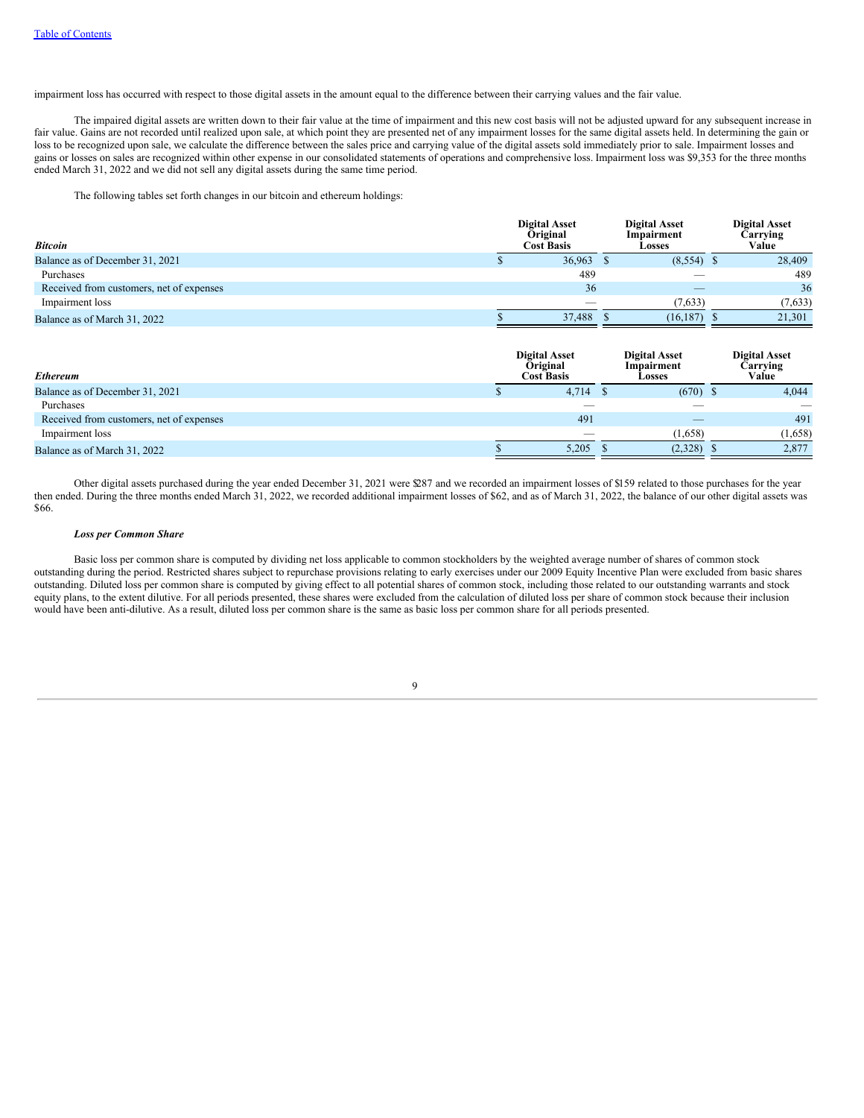impairment loss has occurred with respect to those digital assets in the amount equal to the difference between their carrying values and the fair value.

The impaired digital assets are written down to their fair value at the time of impairment and this new cost basis will not be adjusted upward for any subsequent increase in fair value. Gains are not recorded until realized upon sale, at which point they are presented net of any impairment losses for the same digital assets held. In determining the gain or loss to be recognized upon sale, we calculate the difference between the sales price and carrying value of the digital assets sold immediately prior to sale. Impairment losses and gains or losses on sales are recognized within other expense in our consolidated statements of operations and comprehensive loss. Impairment loss was \$9,353 for the three months ended March 31, 2022 and we did not sell any digital assets during the same time period.

The following tables set forth changes in our bitcoin and ethereum holdings:

| <b>Bitcoin</b>                           | <b>Digital Asset</b><br>Original<br><b>Cost Basis</b> | <b>Digital Asset</b><br>Impairment<br>Losses | <b>Digital Asset</b><br>Carrving<br>Value |
|------------------------------------------|-------------------------------------------------------|----------------------------------------------|-------------------------------------------|
| Balance as of December 31, 2021          | 36,963                                                | $(8,554)$ \$                                 | 28,409                                    |
| Purchases                                | 489                                                   |                                              | 489                                       |
| Received from customers, net of expenses | 36                                                    |                                              | 36                                        |
| Impairment loss                          | _                                                     | (7,633)                                      | (7,633)                                   |
| Balance as of March 31, 2022             | 37,488                                                | $(16, 187)$ \$                               | 21,301                                    |

| <b>Ethereum</b>                          | <b>Digital Asset</b><br>Original<br><b>Cost Basis</b> | <b>Digital Asset</b><br>Impairment<br>Losses | <b>Digital Asset</b><br>Carrving<br>Value |
|------------------------------------------|-------------------------------------------------------|----------------------------------------------|-------------------------------------------|
| Balance as of December 31, 2021          | 4,714                                                 | $(670)$ \$                                   | 4,044                                     |
| Purchases                                |                                                       |                                              | $\overline{\phantom{a}}$                  |
| Received from customers, net of expenses | 491                                                   | _                                            | 491                                       |
| Impairment loss                          |                                                       | (1.658)                                      | (1,658)                                   |
| Balance as of March 31, 2022             | 5,205                                                 | (2,328)                                      | 2,877                                     |

Other digital assets purchased during the year ended December 31, 2021 were \$287 and we recorded an impairment losses of \$159 related to those purchases for the year then ended. During the three months ended March 31, 2022, we recorded additional impairment losses of \$62, and as of March 31, 2022, the balance of our other digital assets was \$66.

### *Loss per Common Share*

Basic loss per common share is computed by dividing net loss applicable to common stockholders by the weighted average number of shares of common stock outstanding during the period. Restricted shares subject to repurchase provisions relating to early exercises under our 2009 Equity Incentive Plan were excluded from basic shares outstanding. Diluted loss per common share is computed by giving effect to all potential shares of common stock, including those related to our outstanding warrants and stock equity plans, to the extent dilutive. For all periods presented, these shares were excluded from the calculation of diluted loss per share of common stock because their inclusion would have been anti-dilutive. As a result, diluted loss per common share is the same as basic loss per common share for all periods presented.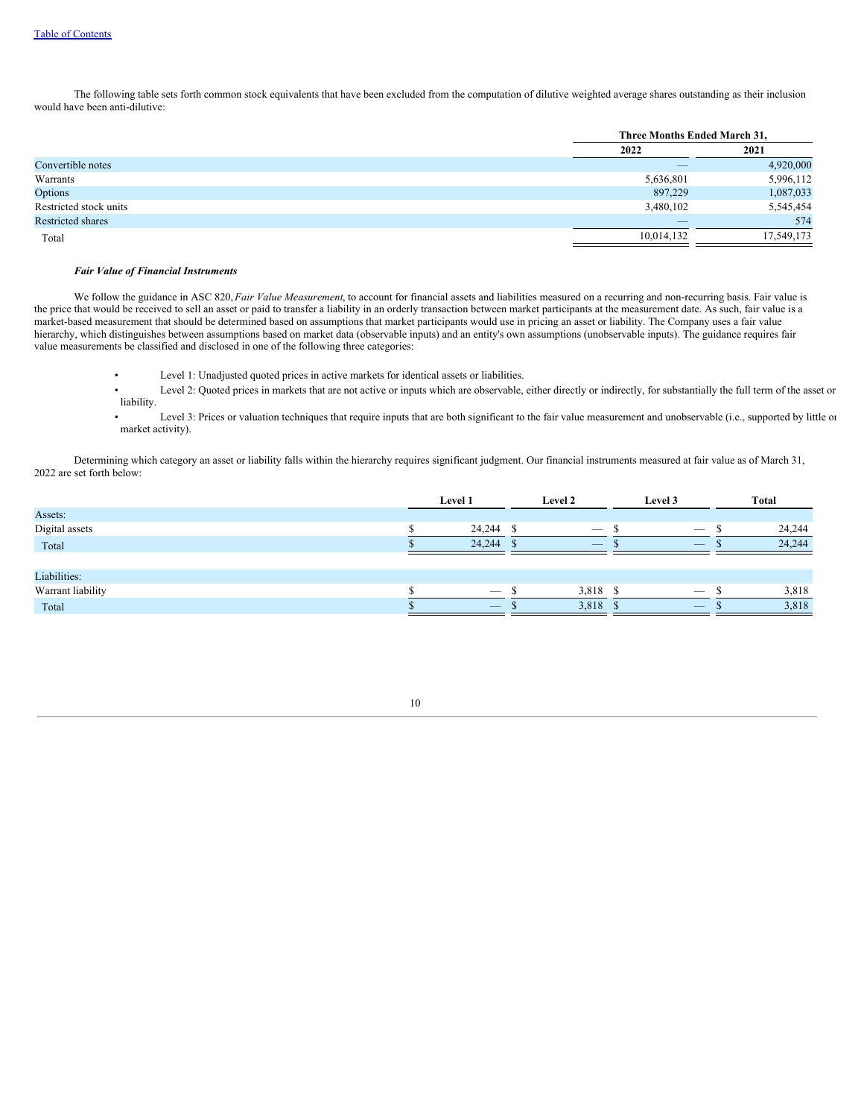The following table sets forth common stock equivalents that have been excluded from the computation of dilutive weighted average shares outstanding as their inclusion would have been anti-dilutive:

|                        | Three Months Ended March 31, |            |
|------------------------|------------------------------|------------|
|                        | 2022                         | 2021       |
| Convertible notes      |                              | 4,920,000  |
| Warrants               | 5,636,801                    | 5,996,112  |
| Options                | 897,229                      | 1,087,033  |
| Restricted stock units | 3,480,102                    | 5,545,454  |
| Restricted shares      | _                            | 574        |
| Total                  | 10.014.132                   | 17,549,173 |

### *Fair Value of Financial Instruments*

We follow the guidance in ASC 820, Fair Value Measurement, to account for financial assets and liabilities measured on a recurring and non-recurring basis. Fair value is the price that would be received to sell an asset or paid to transfer a liability in an orderly transaction between market participants at the measurement date. As such, fair value is a market-based measurement that should be determined based on assumptions that market participants would use in pricing an asset or liability. The Company uses a fair value hierarchy, which distinguishes between assumptions based on market data (observable inputs) and an entity's own assumptions (unobservable inputs). The guidance requires fair value measurements be classified and disclosed in one of the following three categories:

- Level 1: Unadjusted quoted prices in active markets for identical assets or liabilities.
- Level 2: Quoted prices in markets that are not active or inputs which are observable, either directly or indirectly, for substantially the full term of the asset or liability.
- Level 3: Prices or valuation techniques that require inputs that are both significant to the fair value measurement and unobservable (i.e., supported by little or no market activity).

Determining which category an asset or liability falls within the hierarchy requires significant judgment. Our financial instruments measured at fair value as of March 31, 2022 are set forth below:

|                          |         | Level 2                  |                                 |         | Total  |
|--------------------------|---------|--------------------------|---------------------------------|---------|--------|
|                          |         |                          |                                 |         |        |
| 24,244                   |         | $\overline{\phantom{a}}$ | $\overline{\phantom{a}}$        |         | 24,244 |
| 24,244                   |         | $\overline{\phantom{a}}$ | $\overline{\phantom{a}}$        |         | 24,244 |
|                          |         |                          |                                 |         |        |
|                          |         |                          |                                 |         |        |
| $\overline{\phantom{a}}$ |         |                          | $\hspace{0.1mm}-\hspace{0.1mm}$ |         | 3,818  |
| $\overline{\phantom{a}}$ |         |                          | $\overline{\phantom{a}}$        |         | 3,818  |
|                          | Level 1 |                          | 3,818 \$<br>3,818               | Level 3 |        |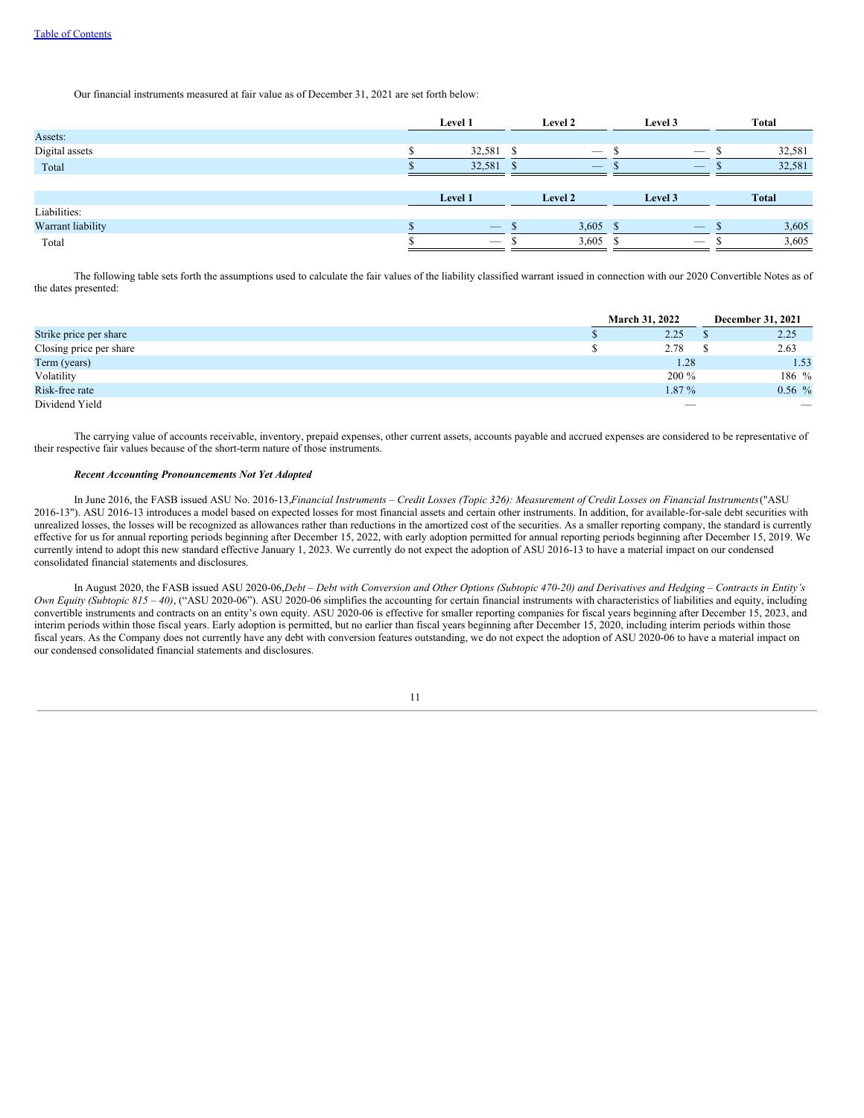Our financial instruments measured at fair value as of December 31, 2021 are set forth below:

|                   |            | Level 1                  | Level 2                  | Level 3                         | Total        |
|-------------------|------------|--------------------------|--------------------------|---------------------------------|--------------|
| Assets:           |            |                          |                          |                                 |              |
| Digital assets    | $\sqrt{2}$ | 32,581                   | $\overline{\phantom{a}}$ | $\hspace{0.05cm}$               | 32,581       |
| Total             |            | 32,581                   | $\overline{\phantom{a}}$ | $\hspace{0.1mm}-\hspace{0.1mm}$ | 32,581       |
|                   |            |                          |                          |                                 |              |
|                   |            | Level 1                  | Level 2                  | Level 3                         | <b>Total</b> |
| Liabilities:      |            |                          |                          |                                 |              |
| Warrant liability |            | $\overline{\phantom{m}}$ | 3,605 \$                 | $\overbrace{\phantom{aaaaa}}$   | 3,605        |
| Total             |            | $\overline{\phantom{a}}$ | 3,605                    | $\hspace{0.1mm}-\hspace{0.1mm}$ | 3,605        |
|                   |            |                          |                          |                                 |              |

The following table sets forth the assumptions used to calculate the fair values of the liability classified warrant issued in connection with our 2020 Convertible Notes as of the dates presented:

|                         | <b>March 31, 2022</b>          |  | December 31, 2021 |  |
|-------------------------|--------------------------------|--|-------------------|--|
| Strike price per share  | 2.25                           |  | 2.25              |  |
| Closing price per share | 2.78                           |  | 2.63              |  |
| Term (years)            | 1.28                           |  | 1.53              |  |
| Volatility              | $200\%$                        |  | 186 %             |  |
| Risk-free rate          | $1.87\%$                       |  | $0.56\%$          |  |
| Dividend Yield          | $\overbrace{\hspace{25mm}}^{}$ |  |                   |  |

The carrying value of accounts receivable, inventory, prepaid expenses, other current assets, accounts payable and accrued expenses are considered to be representative of their respective fair values because of the short-term nature of those instruments.

## *Recent Accounting Pronouncements Not Yet Adopted*

In June 2016, the FASB issued ASU No. 2016-13, Financial Instruments - Credit Losses (Topic 326): Measurement of Credit Losses on Financial Instruments ("ASU 2016-13"). ASU 2016-13 introduces a model based on expected losses for most financial assets and certain other instruments. In addition, for available-for-sale debt securities with unrealized losses, the losses will be recognized as allowances rather than reductions in the amortized cost of the securities. As a smaller reporting company, the standard is currently effective for us for annual reporting periods beginning after December 15, 2022, with early adoption permitted for annual reporting periods beginning after December 15, 2019. We currently intend to adopt this new standard effective January 1, 2023. We currently do not expect the adoption of ASU 2016-13 to have a material impact on our condensed consolidated financial statements and disclosures.

In August 2020, the FASB issued ASU 2020-06, Debt - Debt with Conversion and Other Options (Subtopic 470-20) and Derivatives and Hedging - Contracts in Entity's *Own Equity* (Subtopic 815 - 40), ("ASU 2020-06"). ASU 2020-06 simplifies the accounting for certain financial instruments with characteristics of liabilities and equity, including convertible instruments and contracts on an entity's own equity. ASU 2020-06 is effective for smaller reporting companies for fiscal years beginning after December 15, 2023, and interim periods within those fiscal years. Early adoption is permitted, but no earlier than fiscal years beginning after December 15, 2020, including interim periods within those fiscal years. As the Company does not currently have any debt with conversion features outstanding, we do not expect the adoption of ASU 2020-06 to have a material impact on our condensed consolidated financial statements and disclosures.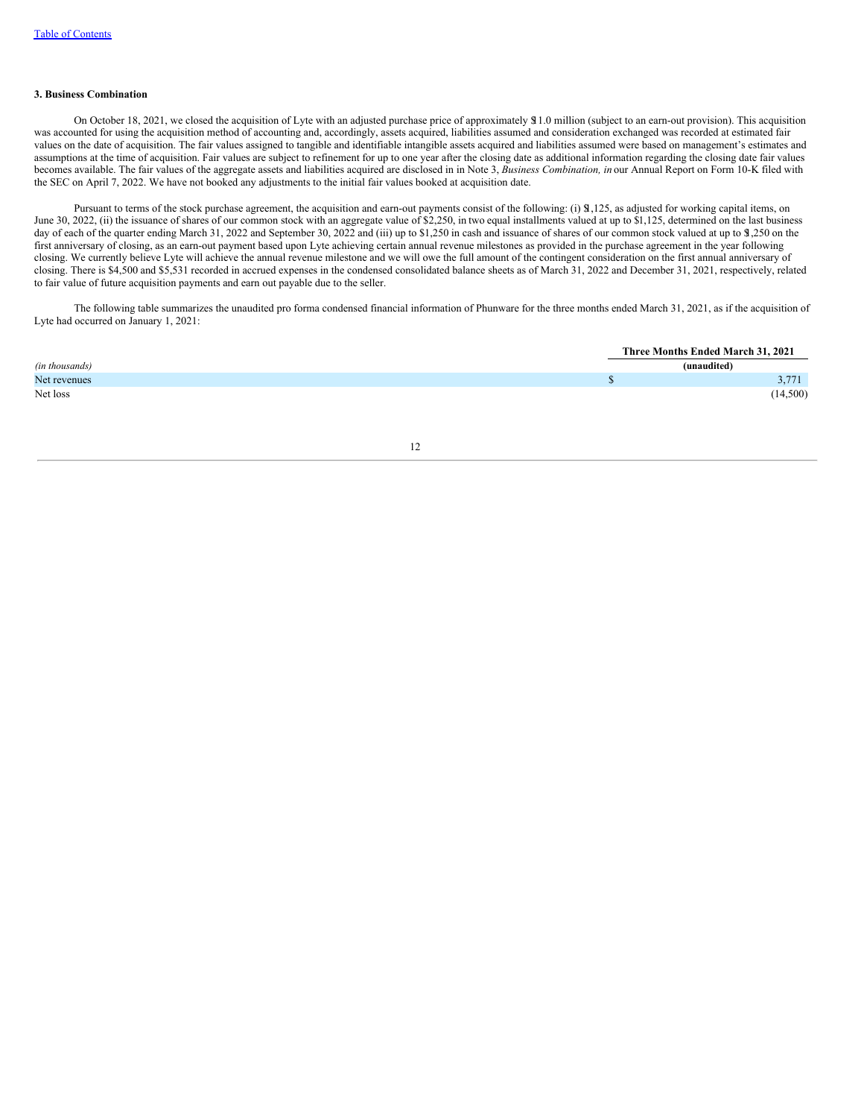## **3. Business Combination**

On October 18, 2021, we closed the acquisition of Lyte with an adjusted purchase price of approximately \$11.0 million (subject to an earn-out provision). This acquisition was accounted for using the acquisition method of accounting and, accordingly, assets acquired, liabilities assumed and consideration exchanged was recorded at estimated fair values on the date of acquisition. The fair values assigned to tangible and identifiable intangible assets acquired and liabilities assumed were based on management's estimates and assumptions at the time of acquisition. Fair values are subject to refinement for up to one year after the closing date as additional information regarding the closing date fair values becomes available. The fair values of the aggregate assets and liabilities acquired are disclosed in in Note 3, *Business Combination, in* our Annual Report on Form 10-K filed with the SEC on April 7, 2022. We have not booked any adjustments to the initial fair values booked at acquisition date.

Pursuant to terms of the stock purchase agreement, the acquisition and earn-out payments consist of the following: (i) \$,125, as adjusted for working capital items, on June 30, 2022, (ii) the issuance of shares of our common stock with an aggregate value of \$2,250, in two equal installments valued at up to \$1,125, determined on the last business day of each of the quarter ending March 31, 2022 and September 30, 2022 and (iii) up to \$1,250 in cash and issuance of shares of our common stock valued at up to \$,250 on the first anniversary of closing, as an earn-out payment based upon Lyte achieving certain annual revenue milestones as provided in the purchase agreement in the year following closing. We currently believe Lyte will achieve the annual revenue milestone and we will owe the full amount of the contingent consideration on the first annual anniversary of closing. There is \$4,500 and \$5,531 recorded in accrued expenses in the condensed consolidated balance sheets as of March 31, 2022 and December 31, 2021, respectively, related to fair value of future acquisition payments and earn out payable due to the seller.

The following table summarizes the unaudited pro forma condensed financial information of Phunware for the three months ended March 31, 2021, as if the acquisition of Lyte had occurred on January 1, 2021:

|                | Three Months Ended March 31, 2021 |          |
|----------------|-----------------------------------|----------|
| (in thousands) | (unaudited)                       |          |
| Net revenues   |                                   |          |
| Net loss       |                                   | (14,500) |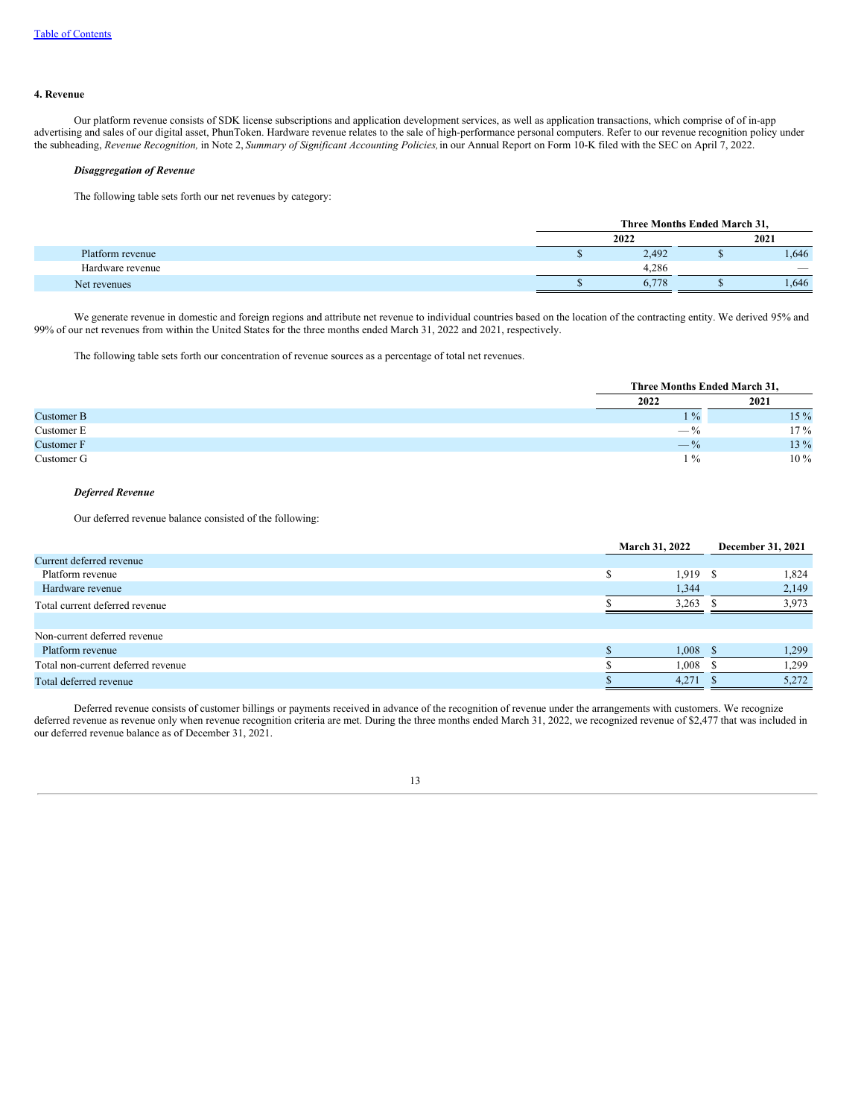### **4. Revenue**

Our platform revenue consists of SDK license subscriptions and application development services, as well as application transactions, which comprise of of in-app advertising and sales of our digital asset, PhunToken. Hardware revenue relates to the sale of high-performance personal computers. Refer to our revenue recognition policy under the subheading, *Revenue Recognition,* in Note 2, *Summary of Significant Accounting Policies,*in our Annual Report on Form 10-K filed with the SEC on April 7, 2022.

### *Disaggregation of Revenue*

The following table sets forth our net revenues by category:

|                  | Three Months Ended March 31, |  |                                |  |  |
|------------------|------------------------------|--|--------------------------------|--|--|
|                  | 2022                         |  | 2021                           |  |  |
| Platform revenue | 2,492                        |  | .646                           |  |  |
| Hardware revenue | 4.286                        |  | $\overbrace{\hspace{25mm}}^{}$ |  |  |
| Net revenues     | 6.778                        |  | .646                           |  |  |

We generate revenue in domestic and foreign regions and attribute net revenue to individual countries based on the location of the contracting entity. We derived 95% and 99% of our net revenues from within the United States for the three months ended March 31, 2022 and 2021, respectively.

The following table sets forth our concentration of revenue sources as a percentage of total net revenues.

|            | Three Months Ended March 31,    |        |
|------------|---------------------------------|--------|
|            | 2022                            | 2021   |
| Customer B | $\frac{0}{0}$                   | $15\%$ |
| Customer E | $\hspace{0.1mm}-\hspace{0.1mm}$ | $17\%$ |
| Customer F | $-$ %                           | 13 %   |
| Customer G | $\frac{0}{0}$                   | $10\%$ |

## *Deferred Revenue*

Our deferred revenue balance consisted of the following:

|                                    | March 31, 2022 |  | December 31, 2021 |
|------------------------------------|----------------|--|-------------------|
| Current deferred revenue           |                |  |                   |
| Platform revenue                   | 1,919 \$       |  | 1,824             |
| Hardware revenue                   | 1,344          |  | 2,149             |
| Total current deferred revenue     | 3.263          |  | 3,973             |
|                                    |                |  |                   |
| Non-current deferred revenue       |                |  |                   |
| Platform revenue                   | $1,008$ \$     |  | 1,299             |
| Total non-current deferred revenue | 1,008          |  | 1.299             |
| Total deferred revenue             | 4.271          |  | 5.272             |
|                                    |                |  |                   |

Deferred revenue consists of customer billings or payments received in advance of the recognition of revenue under the arrangements with customers. We recognize deferred revenue as revenue only when revenue recognition criteria are met. During the three months ended March 31, 2022, we recognized revenue of \$2,477 that was included in our deferred revenue balance as of December 31, 2021.

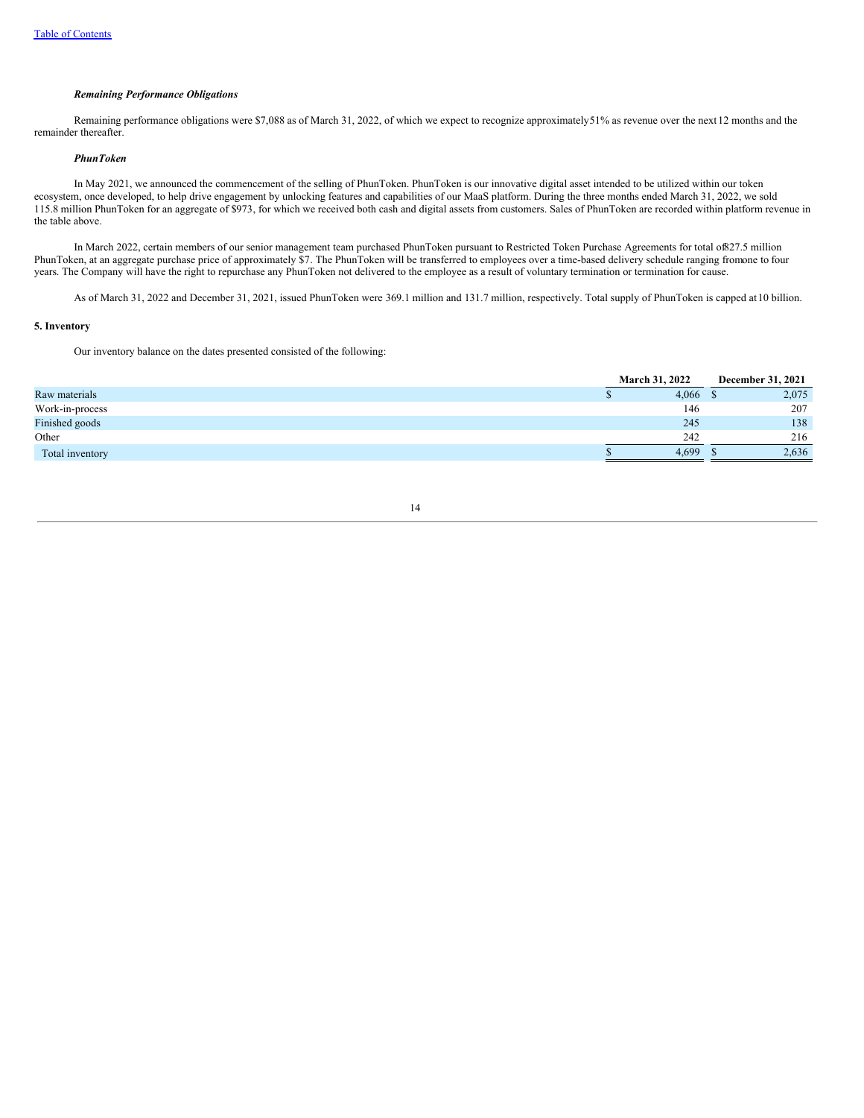## *Remaining Performance Obligations*

Remaining performance obligations were \$7,088 as of March 31, 2022, of which we expect to recognize approximately51% as revenue over the next 12 months and the remainder thereafter.

## *PhunToken*

In May 2021, we announced the commencement of the selling of PhunToken. PhunToken is our innovative digital asset intended to be utilized within our token ecosystem, once developed, to help drive engagement by unlocking features and capabilities of our MaaS platform. During the three months ended March 31, 2022, we sold 115.8 million PhunToken for an aggregate of \$973, for which we received both cash and digital assets from customers. Sales of PhunToken are recorded within platform revenue in the table above.

In March 2022, certain members of our senior management team purchased PhunToken pursuant to Restricted Token Purchase Agreements for total of827.5 million PhunToken, at an aggregate purchase price of approximately \$7. The PhunToken will be transferred to employees over a time-based delivery schedule ranging fromone to four years. The Company will have the right to repurchase any PhunToken not delivered to the employee as a result of voluntary termination or termination for cause.

As of March 31, 2022 and December 31, 2021, issued PhunToken were 369.1 million and 131.7 million, respectively. Total supply of PhunToken is capped at10 billion.

## **5. Inventory**

Our inventory balance on the dates presented consisted of the following:

|                 | <b>March 31, 2022</b> | December 31, 2021 |
|-----------------|-----------------------|-------------------|
| Raw materials   | 4,066                 | 2,075             |
| Work-in-process | 146                   | 207               |
| Finished goods  | 245                   | 138               |
| Other           | 242                   | 216               |
| Total inventory | 4.699                 | 2.636             |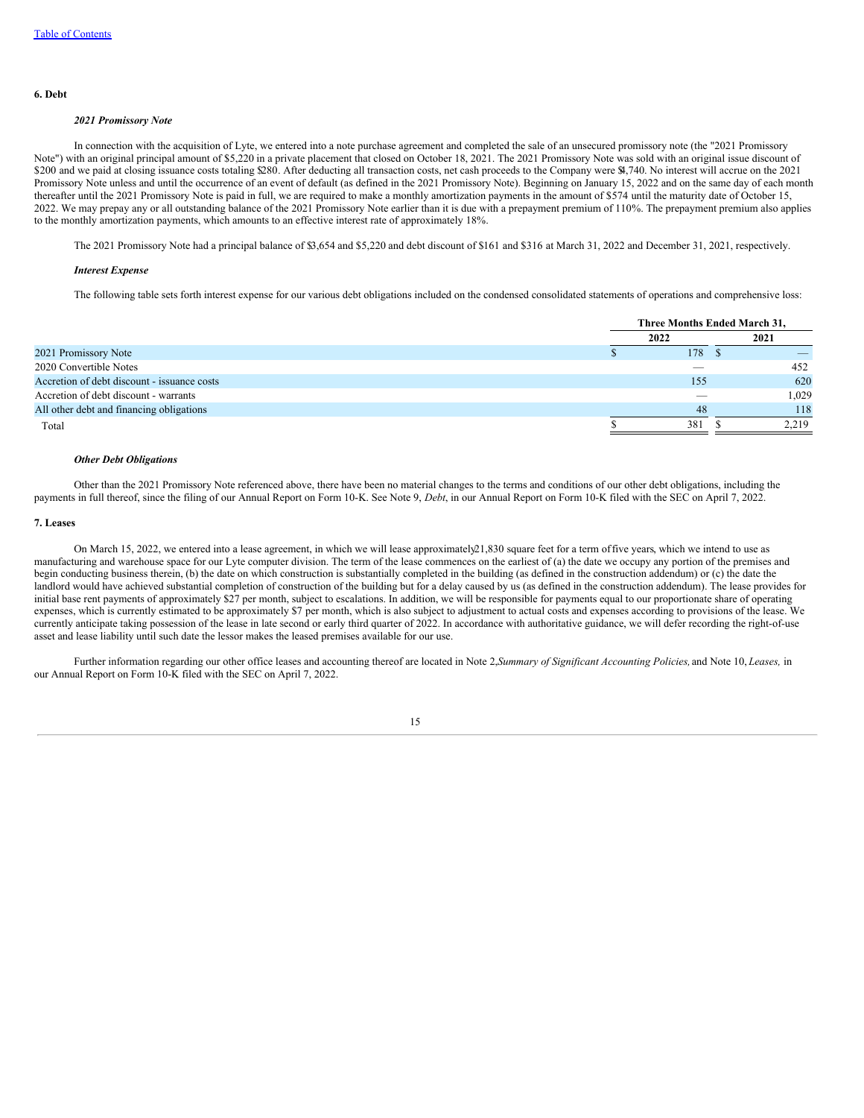#### **6. Debt**

#### *2021 Promissory Note*

In connection with the acquisition of Lyte, we entered into a note purchase agreement and completed the sale of an unsecured promissory note (the "2021 Promissory Note") with an original principal amount of \$5,220 in a private placement that closed on October 18, 2021. The 2021 Promissory Note was sold with an original issue discount of \$200 and we paid at closing issuance costs totaling \$280. After deducting all transaction costs, net cash proceeds to the Company were \$4,740. No interest will accrue on the 2021 Promissory Note unless and until the occurrence of an event of default (as defined in the 2021 Promissory Note). Beginning on January 15, 2022 and on the same day of each month thereafter until the 2021 Promissory Note is paid in full, we are required to make a monthly amortization payments in the amount of \$574 until the maturity date of October 15, 2022. We may prepay any or all outstanding balance of the 2021 Promissory Note earlier than it is due with a prepayment premium of 110%. The prepayment premium also applies to the monthly amortization payments, which amounts to an effective interest rate of approximately 18%.

The 2021 Promissory Note had a principal balance of \$3,654 and \$5,220 and debt discount of \$161 and \$316 at March 31, 2022 and December 31, 2021, respectively.

#### *Interest Expense*

The following table sets forth interest expense for our various debt obligations included on the condensed consolidated statements of operations and comprehensive loss:

|                                             | Three Months Ended March 31, |  |       |  |
|---------------------------------------------|------------------------------|--|-------|--|
|                                             | 2022                         |  | 2021  |  |
| 2021 Promissory Note                        | 178                          |  |       |  |
| 2020 Convertible Notes                      | _                            |  | 452   |  |
| Accretion of debt discount - issuance costs | 155                          |  | 620   |  |
| Accretion of debt discount - warrants       |                              |  | 1,029 |  |
| All other debt and financing obligations    | 48                           |  | 118   |  |
| Total                                       | 381                          |  | 2.219 |  |

### *Other Debt Obligations*

Other than the 2021 Promissory Note referenced above, there have been no material changes to the terms and conditions of our other debt obligations, including the payments in full thereof, since the filing of our Annual Report on Form 10-K. See Note 9, *Debt*, in our Annual Report on Form 10-K filed with the SEC on April 7, 2022.

#### **7. Leases**

On March 15, 2022, we entered into a lease agreement, in which we will lease approximately21,830 square feet for a term of five years, which we intend to use as manufacturing and warehouse space for our Lyte computer division. The term of the lease commences on the earliest of (a) the date we occupy any portion of the premises and begin conducting business therein, (b) the date on which construction is substantially completed in the building (as defined in the construction addendum) or (c) the date the landlord would have achieved substantial completion of construction of the building but for a delay caused by us (as defined in the construction addendum). The lease provides for initial base rent payments of approximately \$27 per month, subject to escalations. In addition, we will be responsible for payments equal to our proportionate share of operating expenses, which is currently estimated to be approximately \$7 per month, which is also subject to adjustment to actual costs and expenses according to provisions of the lease. We currently anticipate taking possession of the lease in late second or early third quarter of 2022. In accordance with authoritative guidance, we will defer recording the right-of-use asset and lease liability until such date the lessor makes the leased premises available for our use.

Further information regarding our other office leases and accounting thereof are located in Note 2,*Summary of Significant Accounting Policies,* and Note 10, *Leases,* in our Annual Report on Form 10-K filed with the SEC on April 7, 2022.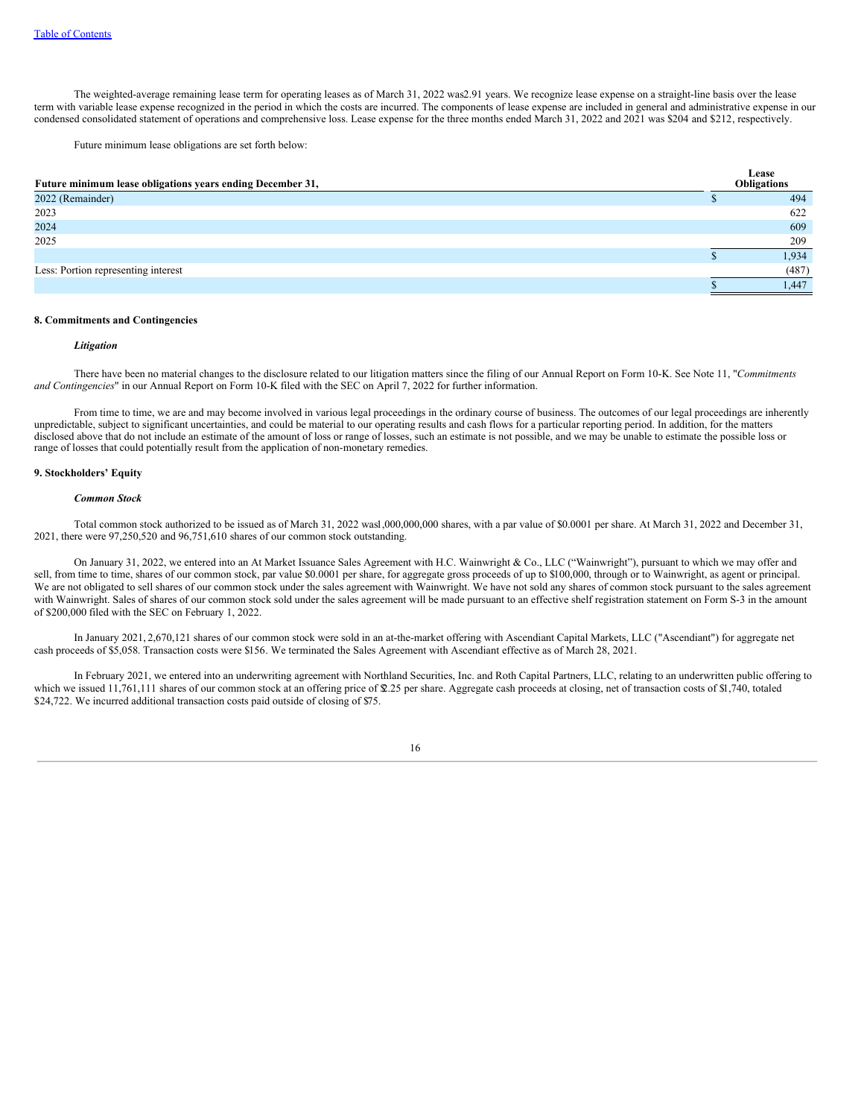The weighted-average remaining lease term for operating leases as of March 31, 2022 was2.91 years. We recognize lease expense on a straight-line basis over the lease term with variable lease expense recognized in the period in which the costs are incurred. The components of lease expense are included in general and administrative expense in our condensed consolidated statement of operations and comprehensive loss. Lease expense for the three months ended March 31, 2022 and 2021 was \$204 and \$212, respectively.

Future minimum lease obligations are set forth below:

| Future minimum lease obligations years ending December 31, | Lease<br><b>Obligations</b> |
|------------------------------------------------------------|-----------------------------|
| 2022 (Remainder)                                           | 494                         |
| 2023                                                       | 622                         |
| 2024                                                       | 609                         |
| 2025                                                       | 209                         |
|                                                            | 1,934                       |
| Less: Portion representing interest                        | (487)                       |
|                                                            | 1,447                       |

### **8. Commitments and Contingencies**

#### *Litigation*

There have been no material changes to the disclosure related to our litigation matters since the filing of our Annual Report on Form 10-K. See Note 11, "*Commitments and Contingencies*" in our Annual Report on Form 10-K filed with the SEC on April 7, 2022 for further information.

From time to time, we are and may become involved in various legal proceedings in the ordinary course of business. The outcomes of our legal proceedings are inherently unpredictable, subject to significant uncertainties, and could be material to our operating results and cash flows for a particular reporting period. In addition, for the matters disclosed above that do not include an estimate of the amount of loss or range of losses, such an estimate is not possible, and we may be unable to estimate the possible loss or range of losses that could potentially result from the application of non-monetary remedies.

### **9. Stockholders' Equity**

#### *Common Stock*

Total common stock authorized to be issued as of March 31, 2022 was1,000,000,000 shares, with a par value of \$0.0001 per share. At March 31, 2022 and December 31, 2021, there were 97,250,520 and 96,751,610 shares of our common stock outstanding.

On January 31, 2022, we entered into an At Market Issuance Sales Agreement with H.C. Wainwright & Co., LLC ("Wainwright"), pursuant to which we may offer and sell, from time to time, shares of our common stock, par value \$0.0001 per share, for aggregate gross proceeds of up to \$100,000, through or to Wainwright, as agent or principal. We are not obligated to sell shares of our common stock under the sales agreement with Wainwright. We have not sold any shares of common stock pursuant to the sales agreement with Wainwright. Sales of shares of our common stock sold under the sales agreement will be made pursuant to an effective shelf registration statement on Form S-3 in the amount of \$200,000 filed with the SEC on February 1, 2022.

In January 2021, 2,670,121 shares of our common stock were sold in an at-the-market offering with Ascendiant Capital Markets, LLC ("Ascendiant") for aggregate net cash proceeds of \$5,058. Transaction costs were \$156. We terminated the Sales Agreement with Ascendiant effective as of March 28, 2021.

In February 2021, we entered into an underwriting agreement with Northland Securities, Inc. and Roth Capital Partners, LLC, relating to an underwritten public offering to which we issued 11,761,111 shares of our common stock at an offering price of \$2.25 per share. Aggregate cash proceeds at closing, net of transaction costs of \$1,740, totaled \$24,722. We incurred additional transaction costs paid outside of closing of \$75.

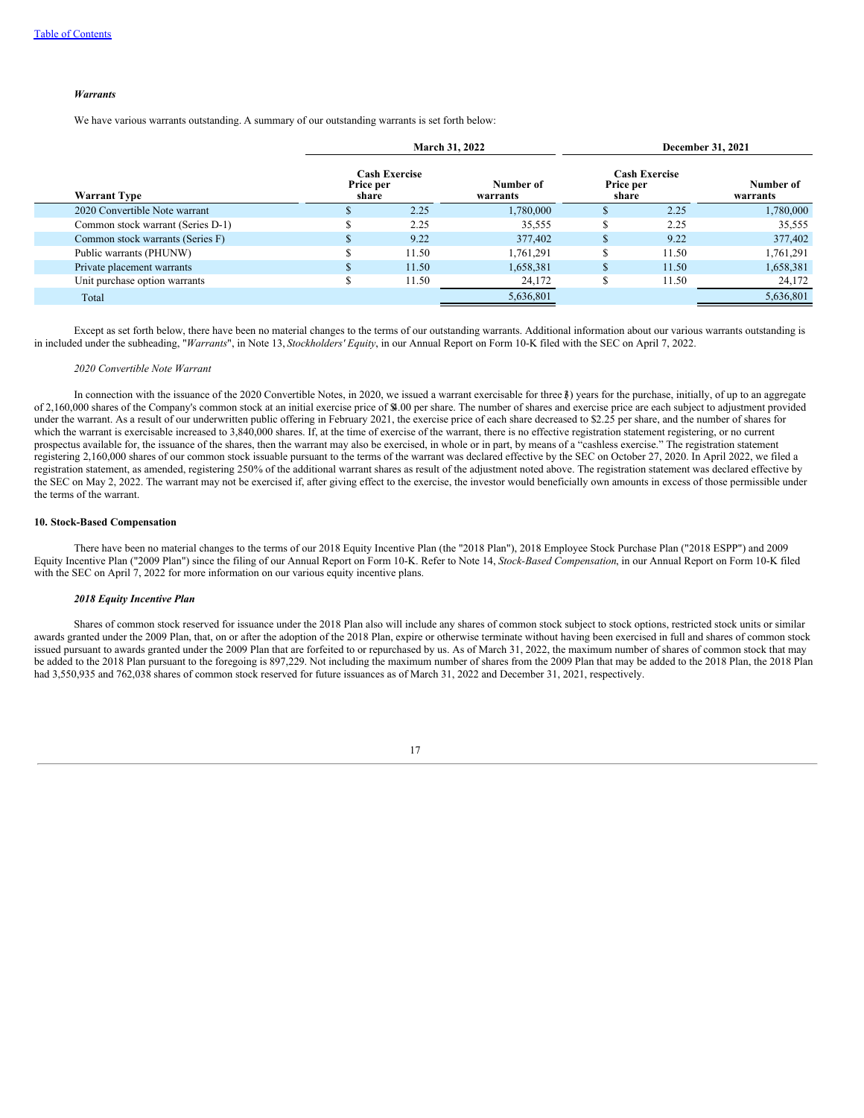#### *Warrants*

We have various warrants outstanding. A summary of our outstanding warrants is set forth below:

|                                   |                                            | <b>March 31, 2022</b> |                       |                                            | December 31, 2021 |                       |  |  |
|-----------------------------------|--------------------------------------------|-----------------------|-----------------------|--------------------------------------------|-------------------|-----------------------|--|--|
| <b>Warrant Type</b>               | <b>Cash Exercise</b><br>Price per<br>share |                       | Number of<br>warrants | <b>Cash Exercise</b><br>Price per<br>share |                   | Number of<br>warrants |  |  |
| 2020 Convertible Note warrant     |                                            | 2.25                  | 1,780,000             |                                            | 2.25              | 1,780,000             |  |  |
| Common stock warrant (Series D-1) |                                            | 2.25                  | 35.555                |                                            | 2.25              | 35,555                |  |  |
| Common stock warrants (Series F)  |                                            | 9.22                  | 377,402               |                                            | 9.22              | 377,402               |  |  |
| Public warrants (PHUNW)           |                                            | 11.50                 | 1,761,291             |                                            | 11.50             | 1,761,291             |  |  |
| Private placement warrants        |                                            | 11.50                 | 1,658,381             |                                            | 11.50             | 1,658,381             |  |  |
| Unit purchase option warrants     |                                            | 11.50                 | 24,172                |                                            | 11.50             | 24,172                |  |  |
| Total                             |                                            |                       | 5,636,801             |                                            |                   | 5,636,801             |  |  |

Except as set forth below, there have been no material changes to the terms of our outstanding warrants. Additional information about our various warrants outstanding is in included under the subheading, "*Warrants*", in Note 13, *Stockholders' Equity*, in our Annual Report on Form 10-K filed with the SEC on April 7, 2022.

#### *2020 Convertible Note Warrant*

In connection with the issuance of the 2020 Convertible Notes, in 2020, we issued a warrant exercisable for three  $\delta$ ) years for the purchase, initially, of up to an aggregate of 2,160,000 shares of the Company's common stock at an initial exercise price of \$4.00 per share. The number of shares and exercise price are each subject to adjustment provided under the warrant. As a result of our underwritten public offering in February 2021, the exercise price of each share decreased to \$2.25 per share, and the number of shares for which the warrant is exercisable increased to 3,840,000 shares. If, at the time of exercise of the warrant, there is no effective registration statement registering, or no current prospectus available for, the issuance of the shares, then the warrant may also be exercised, in whole or in part, by means of a "cashless exercise." The registration statement registering 2,160,000 shares of our common stock issuable pursuant to the terms of the warrant was declared effective by the SEC on October 27, 2020. In April 2022, we filed a registration statement, as amended, registering 250% of the additional warrant shares as result of the adjustment noted above. The registration statement was declared effective by the SEC on May 2, 2022. The warrant may not be exercised if, after giving effect to the exercise, the investor would beneficially own amounts in excess of those permissible under the terms of the warrant.

#### **10. Stock-Based Compensation**

There have been no material changes to the terms of our 2018 Equity Incentive Plan (the "2018 Plan"), 2018 Employee Stock Purchase Plan ("2018 ESPP") and 2009 Equity Incentive Plan ("2009 Plan") since the filing of our Annual Report on Form 10-K. Refer to Note 14, *Stock-Based Compensation*, in our Annual Report on Form 10-K filed with the SEC on April 7, 2022 for more information on our various equity incentive plans.

#### *2018 Equity Incentive Plan*

Shares of common stock reserved for issuance under the 2018 Plan also will include any shares of common stock subject to stock options, restricted stock units or similar awards granted under the 2009 Plan, that, on or after the adoption of the 2018 Plan, expire or otherwise terminate without having been exercised in full and shares of common stock issued pursuant to awards granted under the 2009 Plan that are forfeited to or repurchased by us. As of March 31, 2022, the maximum number of shares of common stock that may be added to the 2018 Plan pursuant to the foregoing is 897,229. Not including the maximum number of shares from the 2009 Plan that may be added to the 2018 Plan, the 2018 Plan had 3,550,935 and 762,038 shares of common stock reserved for future issuances as of March 31, 2022 and December 31, 2021, respectively.

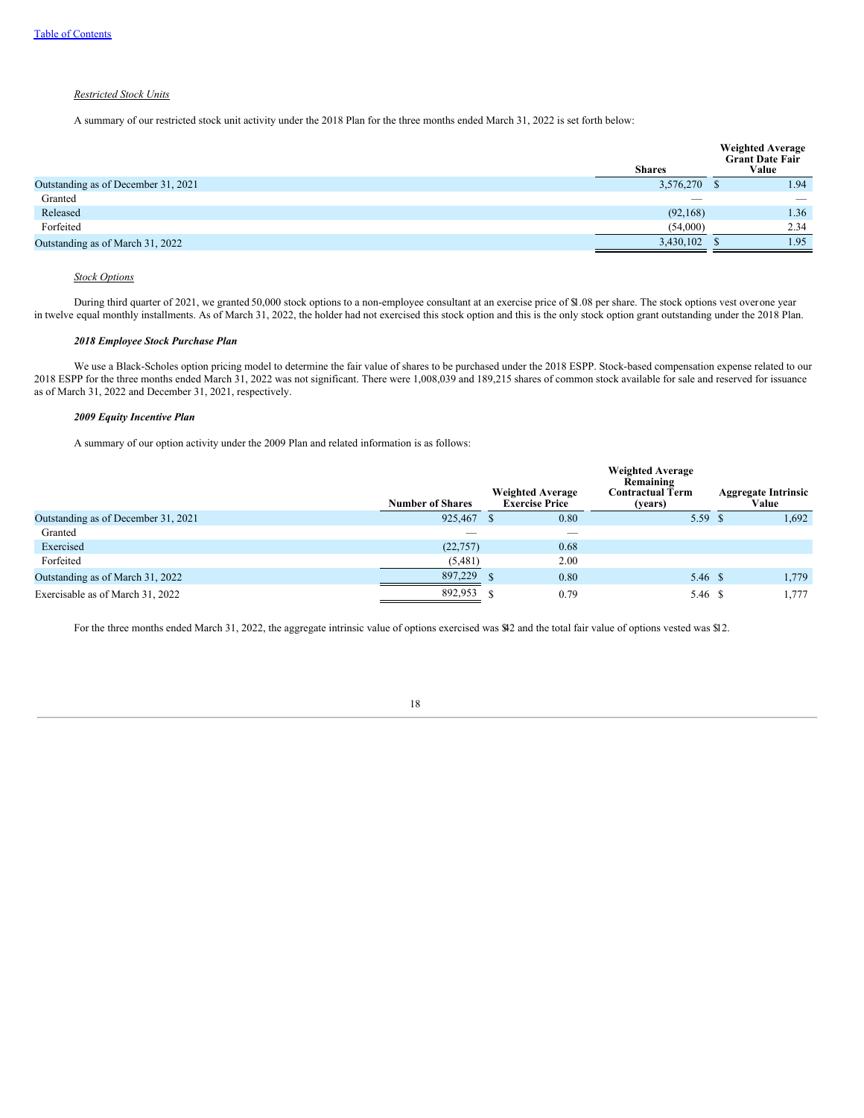## *Restricted Stock Units*

A summary of our restricted stock unit activity under the 2018 Plan for the three months ended March 31, 2022 is set forth below:

|                                     | <b>Shares</b>            |     | <b>Weighted Average</b><br><b>Grant Date Fair</b><br>Value |
|-------------------------------------|--------------------------|-----|------------------------------------------------------------|
| Outstanding as of December 31, 2021 | 3,576,270                | IS. | 1.94                                                       |
| Granted                             | $\overline{\phantom{a}}$ |     | $\overline{\phantom{a}}$                                   |
| Released                            | (92, 168)                |     | 1.36                                                       |
| Forfeited                           | (54,000)                 |     | 2.34                                                       |
| Outstanding as of March 31, 2022    | 3,430,102                |     | 1.95                                                       |

## *Stock Options*

During third quarter of 2021, we granted 50,000 stock options to a non-employee consultant at an exercise price of \$1.08 per share. The stock options vest overone year in twelve equal monthly installments. As of March 31, 2022, the holder had not exercised this stock option and this is the only stock option grant outstanding under the 2018 Plan.

## *2018 Employee Stock Purchase Plan*

We use a Black-Scholes option pricing model to determine the fair value of shares to be purchased under the 2018 ESPP. Stock-based compensation expense related to our 2018 ESPP for the three months ended March 31, 2022 was not significant. There were 1,008,039 and 189,215 shares of common stock available for sale and reserved for issuance as of March 31, 2022 and December 31, 2021, respectively.

## *2009 Equity Incentive Plan*

A summary of our option activity under the 2009 Plan and related information is as follows:

|                                     | <b>Number of Shares</b> | <b>Weighted Average</b><br><b>Exercise Price</b> | <b>Weighted Average</b><br>Remaining<br>Contractual Term<br>(years) | <b>Aggregate Intrinsic</b><br>Value |       |
|-------------------------------------|-------------------------|--------------------------------------------------|---------------------------------------------------------------------|-------------------------------------|-------|
| Outstanding as of December 31, 2021 | 925,467                 | 0.80                                             | 5.59S                                                               |                                     | 1,692 |
| Granted                             |                         |                                                  |                                                                     |                                     |       |
| Exercised                           | (22, 757)               | 0.68                                             |                                                                     |                                     |       |
| Forfeited                           | (5,481)                 | 2.00                                             |                                                                     |                                     |       |
| Outstanding as of March 31, 2022    | 897,229                 | 0.80                                             | 5.46 $\sqrt{5}$                                                     |                                     | 1,779 |
| Exercisable as of March 31, 2022    | 892,953                 | 0.79                                             | 5.46 \$                                                             |                                     | 1,777 |

For the three months ended March 31, 2022, the aggregate intrinsic value of options exercised was \$42 and the total fair value of options vested was \$12.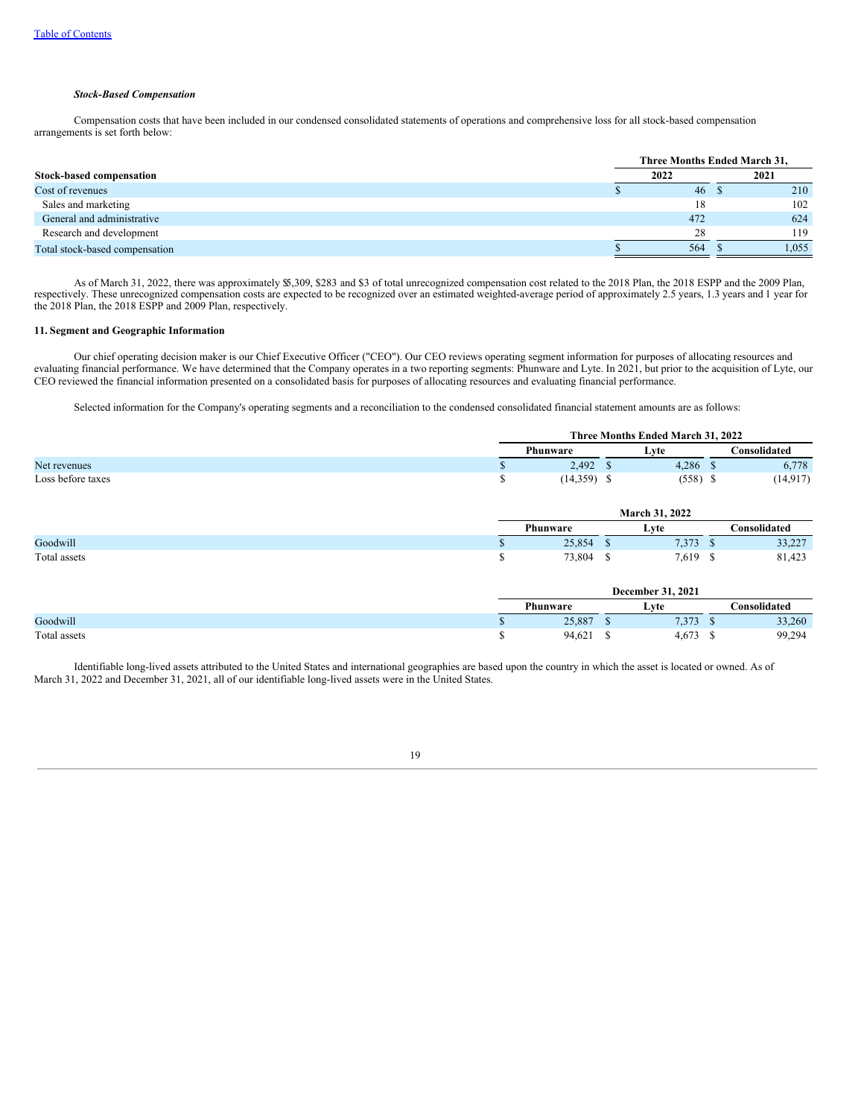#### *Stock-Based Compensation*

Compensation costs that have been included in our condensed consolidated statements of operations and comprehensive loss for all stock-based compensation arrangements is set forth below:

|                                 | Three Months Ended March 31, |        |  |       |  |  |
|---------------------------------|------------------------------|--------|--|-------|--|--|
| <b>Stock-based compensation</b> |                              | 2022   |  | 2021  |  |  |
| Cost of revenues                |                              | $-46S$ |  | 210   |  |  |
| Sales and marketing             |                              | 18     |  | 102   |  |  |
| General and administrative      |                              | 472    |  | 624   |  |  |
| Research and development        |                              | 28     |  | 119   |  |  |
| Total stock-based compensation  |                              | 564    |  | 1,055 |  |  |

As of March 31, 2022, there was approximately \$5,309, \$283 and \$3 of total unrecognized compensation cost related to the 2018 Plan, the 2018 ESPP and the 2009 Plan, respectively. These unrecognized compensation costs are expected to be recognized over an estimated weighted-average period of approximately 2.5 years, 1.3 years and 1 year for the 2018 Plan, the 2018 ESPP and 2009 Plan, respectively.

#### **11. Segment and Geographic Information**

Our chief operating decision maker is our Chief Executive Officer ("CEO"). Our CEO reviews operating segment information for purposes of allocating resources and evaluating financial performance. We have determined that the Company operates in a two reporting segments: Phunware and Lyte. In 2021, but prior to the acquisition of Lyte, our CEO reviewed the financial information presented on a consolidated basis for purposes of allocating resources and evaluating financial performance.

Selected information for the Company's operating segments and a reconciliation to the condensed consolidated financial statement amounts are as follows:

|                   | Three Months Ended March 31, 2022 |  |                       |  |              |
|-------------------|-----------------------------------|--|-----------------------|--|--------------|
|                   | Phunware                          |  | Lvte                  |  | Consolidated |
| Net revenues      | 2,492                             |  | 4,286                 |  | 6,778        |
| Loss before taxes | $(14,359)$ \$                     |  | $(558)$ \$            |  | (14, 917)    |
|                   |                                   |  | <b>March 31, 2022</b> |  |              |

|              | Phunware |      | Lyte  |        | Consolidated |
|--------------|----------|------|-------|--------|--------------|
| Goodwill     | 25,854   | . .  | 7,373 | ru)    | 33,227       |
| Total assets | 73,804   | - 14 | 7,619 | Æ<br>w | 81,423       |
|              |          |      |       |        |              |

|              | <b>December 31, 2021</b> |  |              |  |              |
|--------------|--------------------------|--|--------------|--|--------------|
|              | Phunware                 |  | Lyte         |  | Consolidated |
| Goodwill     | 25,887                   |  | 7272<br>נוני |  | 33,260       |
| Total assets | 94,621                   |  | 4,673        |  | 99,294       |

<span id="page-21-0"></span>Identifiable long-lived assets attributed to the United States and international geographies are based upon the country in which the asset is located or owned. As of March 31, 2022 and December 31, 2021, all of our identifiable long-lived assets were in the United States.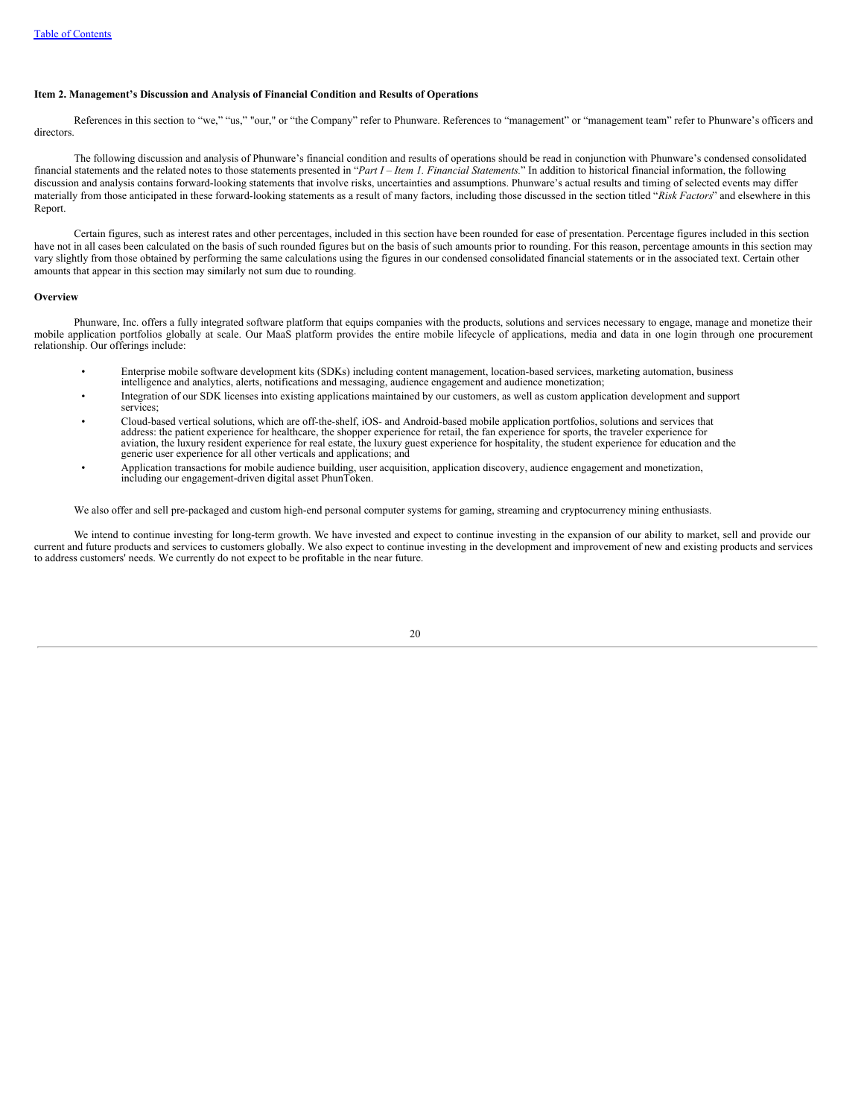#### **Item 2. Management's Discussion and Analysis of Financial Condition and Results of Operations**

References in this section to "we," "us," "our," or "the Company" refer to Phunware. References to "management" or "management team" refer to Phunware's officers and directors.

The following discussion and analysis of Phunware's financial condition and results of operations should be read in conjunction with Phunware's condensed consolidated financial statements and the related notes to those statements presented in "Part I - Item 1. Financial Statements." In addition to historical financial information, the following discussion and analysis contains forward-looking statements that involve risks, uncertainties and assumptions. Phunware's actual results and timing of selected events may differ materially from those anticipated in these forward-looking statements as a result of many factors, including those discussed in the section titled "*Risk Factors*" and elsewhere in this Report.

Certain figures, such as interest rates and other percentages, included in this section have been rounded for ease of presentation. Percentage figures included in this section have not in all cases been calculated on the basis of such rounded figures but on the basis of such amounts prior to rounding. For this reason, percentage amounts in this section may vary slightly from those obtained by performing the same calculations using the figures in our condensed consolidated financial statements or in the associated text. Certain other amounts that appear in this section may similarly not sum due to rounding.

#### **Overview**

Phunware, Inc. offers a fully integrated software platform that equips companies with the products, solutions and services necessary to engage, manage and monetize their mobile application portfolios globally at scale. Our MaaS platform provides the entire mobile lifecycle of applications, media and data in one login through one procurement relationship. Our offerings include:

- Enterprise mobile software development kits (SDKs) including content management, location-based services, marketing automation, business intelligence and analytics, alerts, notifications and messaging, audience engagement and audience monetization;
- Integration of our SDK licenses into existing applications maintained by our customers, as well as custom application development and support services;
- Cloud-based vertical solutions, which are off-the-shelf, iOS- and Android-based mobile application portfolios, solutions and services that address: the patient experience for healthcare, the shopper experience for retail, the fan experience for sports, the traveler experience for aviation, the luxury resident experience for real estate, the luxury guest experience for hospitality, the student experience for education and the generic user experience for all other verticals and applications; and
- Application transactions for mobile audience building, user acquisition, application discovery, audience engagement and monetization, including our engagement-driven digital asset PhunToken.

We also offer and sell pre-packaged and custom high-end personal computer systems for gaming, streaming and cryptocurrency mining enthusiasts.

We intend to continue investing for long-term growth. We have invested and expect to continue investing in the expansion of our ability to market, sell and provide our current and future products and services to customers globally. We also expect to continue investing in the development and improvement of new and existing products and services to address customers' needs. We currently do not expect to be profitable in the near future.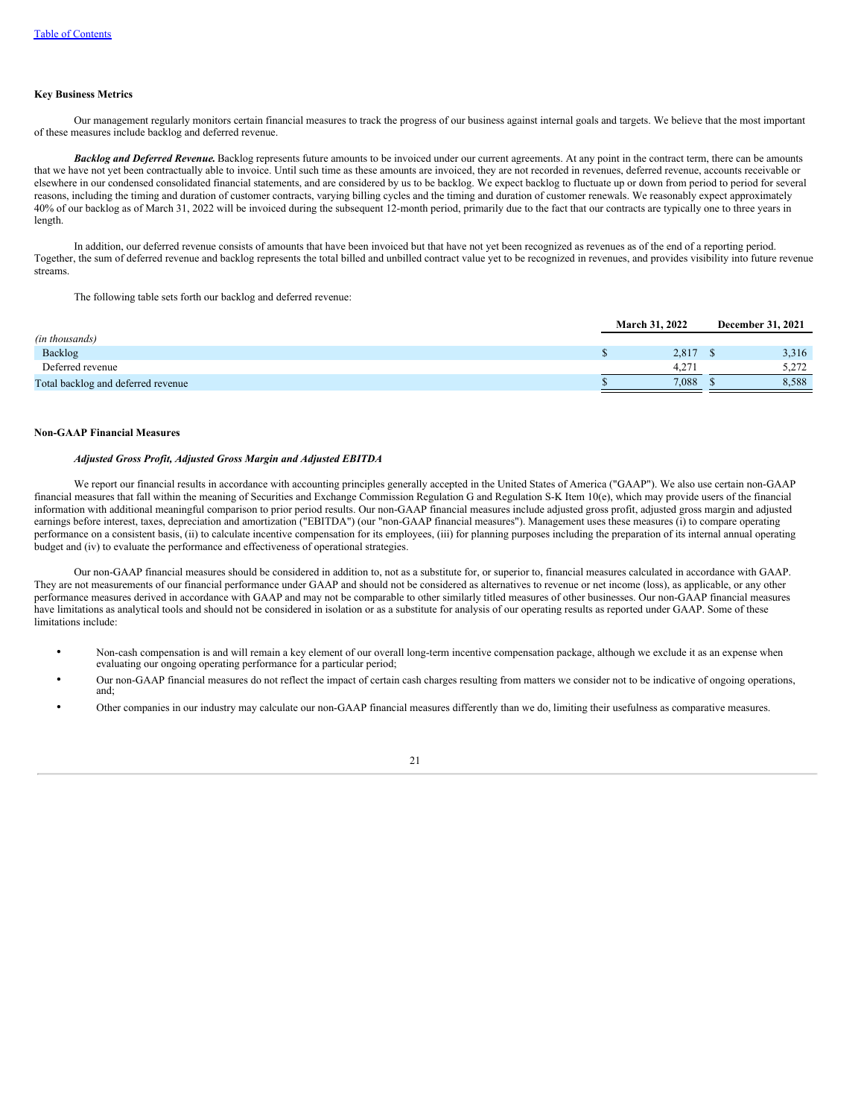### **Key Business Metrics**

Our management regularly monitors certain financial measures to track the progress of our business against internal goals and targets. We believe that the most important of these measures include backlog and deferred revenue.

*Backlog and Deferred Revenue.* Backlog represents future amounts to be invoiced under our current agreements. At any point in the contract term, there can be amounts that we have not yet been contractually able to invoice. Until such time as these amounts are invoiced, they are not recorded in revenues, deferred revenue, accounts receivable or elsewhere in our condensed consolidated financial statements, and are considered by us to be backlog. We expect backlog to fluctuate up or down from period to period for several reasons, including the timing and duration of customer contracts, varying billing cycles and the timing and duration of customer renewals. We reasonably expect approximately 40% of our backlog as of March 31, 2022 will be invoiced during the subsequent 12-month period, primarily due to the fact that our contracts are typically one to three years in length.

In addition, our deferred revenue consists of amounts that have been invoiced but that have not yet been recognized as revenues as of the end of a reporting period. Together, the sum of deferred revenue and backlog represents the total billed and unbilled contract value yet to be recognized in revenues, and provides visibility into future revenue streams.

The following table sets forth our backlog and deferred revenue:

|                                    | <b>March 31, 2022</b> |       | <b>December 31, 2021</b> |       |
|------------------------------------|-----------------------|-------|--------------------------|-------|
| (in thousands)                     |                       |       |                          |       |
| Backlog                            |                       | 2,817 |                          | 3,316 |
| Deferred revenue                   |                       | 4.271 |                          | 5,272 |
| Total backlog and deferred revenue |                       | 7,088 |                          | 8,588 |

### **Non-GAAP Financial Measures**

### *Adjusted Gross Profit, Adjusted Gross Margin and Adjusted EBITDA*

We report our financial results in accordance with accounting principles generally accepted in the United States of America ("GAAP"). We also use certain non-GAAP financial measures that fall within the meaning of Securities and Exchange Commission Regulation G and Regulation S-K Item 10(e), which may provide users of the financial information with additional meaningful comparison to prior period results. Our non-GAAP financial measures include adjusted gross profit, adjusted gross margin and adjusted earnings before interest, taxes, depreciation and amortization ("EBITDA") (our "non-GAAP financial measures"). Management uses these measures (i) to compare operating performance on a consistent basis, (ii) to calculate incentive compensation for its employees, (iii) for planning purposes including the preparation of its internal annual operating budget and (iv) to evaluate the performance and effectiveness of operational strategies.

Our non-GAAP financial measures should be considered in addition to, not as a substitute for, or superior to, financial measures calculated in accordance with GAAP. They are not measurements of our financial performance under GAAP and should not be considered as alternatives to revenue or net income (loss), as applicable, or any other performance measures derived in accordance with GAAP and may not be comparable to other similarly titled measures of other businesses. Our non-GAAP financial measures have limitations as analytical tools and should not be considered in isolation or as a substitute for analysis of our operating results as reported under GAAP. Some of these limitations include:

- Non-cash compensation is and will remain a key element of our overall long-term incentive compensation package, although we exclude it as an expense when evaluating our ongoing operating performance for a particular period;
- Our non-GAAP financial measures do not reflect the impact of certain cash charges resulting from matters we consider not to be indicative of ongoing operations, and;
- Other companies in our industry may calculate our non-GAAP financial measures differently than we do, limiting their usefulness as comparative measures.

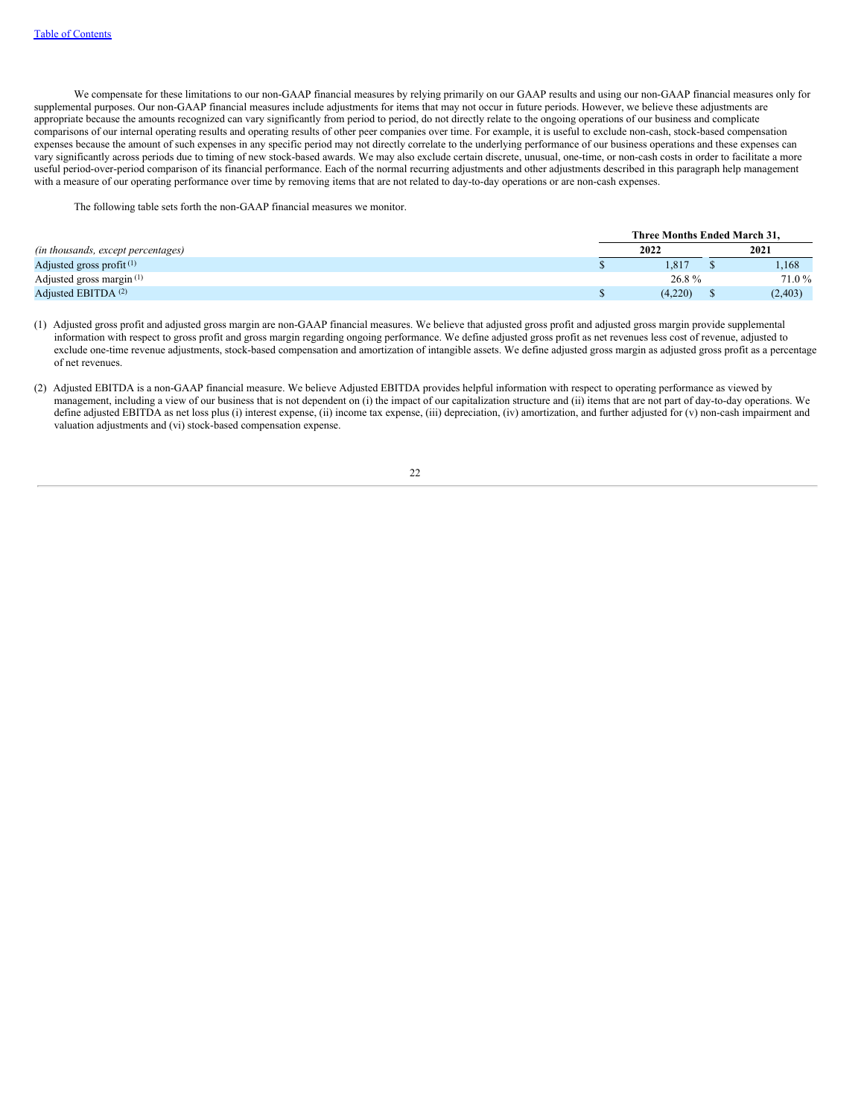We compensate for these limitations to our non-GAAP financial measures by relying primarily on our GAAP results and using our non-GAAP financial measures only for supplemental purposes. Our non-GAAP financial measures include adjustments for items that may not occur in future periods. However, we believe these adjustments are appropriate because the amounts recognized can vary significantly from period to period, do not directly relate to the ongoing operations of our business and complicate comparisons of our internal operating results and operating results of other peer companies over time. For example, it is useful to exclude non-cash, stock-based compensation expenses because the amount of such expenses in any specific period may not directly correlate to the underlying performance of our business operations and these expenses can vary significantly across periods due to timing of new stock-based awards. We may also exclude certain discrete, unusual, one-time, or non-cash costs in order to facilitate a more useful period-over-period comparison of its financial performance. Each of the normal recurring adjustments and other adjustments described in this paragraph help management with a measure of our operating performance over time by removing items that are not related to day-to-day operations or are non-cash expenses.

The following table sets forth the non-GAAP financial measures we monitor.

|                                      | Three Months Ended March 31. |         |  |          |  |
|--------------------------------------|------------------------------|---------|--|----------|--|
| (in thousands, except percentages)   |                              | 2022    |  | 2021     |  |
| Adjusted gross profit $(1)$          |                              | .817    |  | 1,168    |  |
| Adjusted gross margin <sup>(1)</sup> |                              | 26.8%   |  | 71.0 %   |  |
| Adjusted EBITDA <sup>(2)</sup>       |                              | (4.220) |  | (2, 403) |  |

(1) Adjusted gross profit and adjusted gross margin are non-GAAP financial measures. We believe that adjusted gross profit and adjusted gross margin provide supplemental information with respect to gross profit and gross margin regarding ongoing performance. We define adjusted gross profit as net revenues less cost of revenue, adjusted to exclude one-time revenue adjustments, stock-based compensation and amortization of intangible assets. We define adjusted gross margin as adjusted gross profit as a percentage of net revenues.

(2) Adjusted EBITDA is a non-GAAP financial measure. We believe Adjusted EBITDA provides helpful information with respect to operating performance as viewed by management, including a view of our business that is not dependent on (i) the impact of our capitalization structure and (ii) items that are not part of day-to-day operations. We define adjusted EBITDA as net loss plus (i) interest expense, (ii) income tax expense, (iii) depreciation, (iv) amortization, and further adjusted for (v) non-cash impairment and valuation adjustments and (vi) stock-based compensation expense.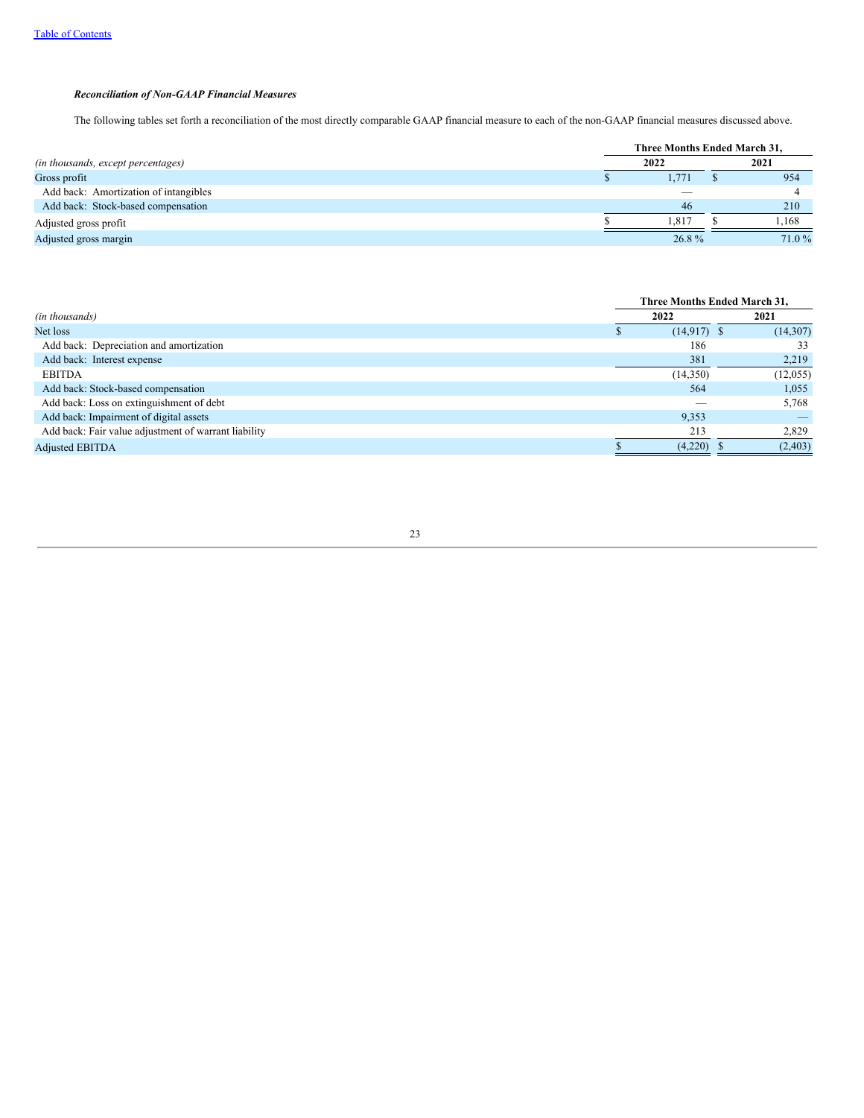# *Reconciliation of Non-GAAP Financial Measures*

The following tables set forth a reconciliation of the most directly comparable GAAP financial measure to each of the non-GAAP financial measures discussed above.

|                                       |  | Three Months Ended March 31. |  |        |
|---------------------------------------|--|------------------------------|--|--------|
| (in thousands, except percentages)    |  | 2022                         |  | 2021   |
| Gross profit                          |  | 1.771                        |  | 954    |
| Add back: Amortization of intangibles |  | _                            |  |        |
| Add back: Stock-based compensation    |  | 46                           |  | 210    |
| Adjusted gross profit                 |  | 817.ا                        |  | 1,168  |
| Adjusted gross margin                 |  | 26.8%                        |  | 71.0 % |

|                                                      | Three Months Ended March 31, |               |                          |
|------------------------------------------------------|------------------------------|---------------|--------------------------|
| (in thousands)                                       |                              | 2022          | 2021                     |
| Net loss                                             |                              | $(14.917)$ \$ | (14,307)                 |
| Add back: Depreciation and amortization              |                              | 186           | 33                       |
| Add back: Interest expense                           |                              | 381           | 2,219                    |
| <b>EBITDA</b>                                        |                              | (14,350)      | (12,055)                 |
| Add back: Stock-based compensation                   |                              | 564           | 1,055                    |
| Add back: Loss on extinguishment of debt             |                              |               | 5,768                    |
| Add back: Impairment of digital assets               |                              | 9,353         | $\overline{\phantom{m}}$ |
| Add back: Fair value adjustment of warrant liability |                              | 213           | 2,829                    |
| <b>Adjusted EBITDA</b>                               |                              | $(4,220)$ 3   | (2,403)                  |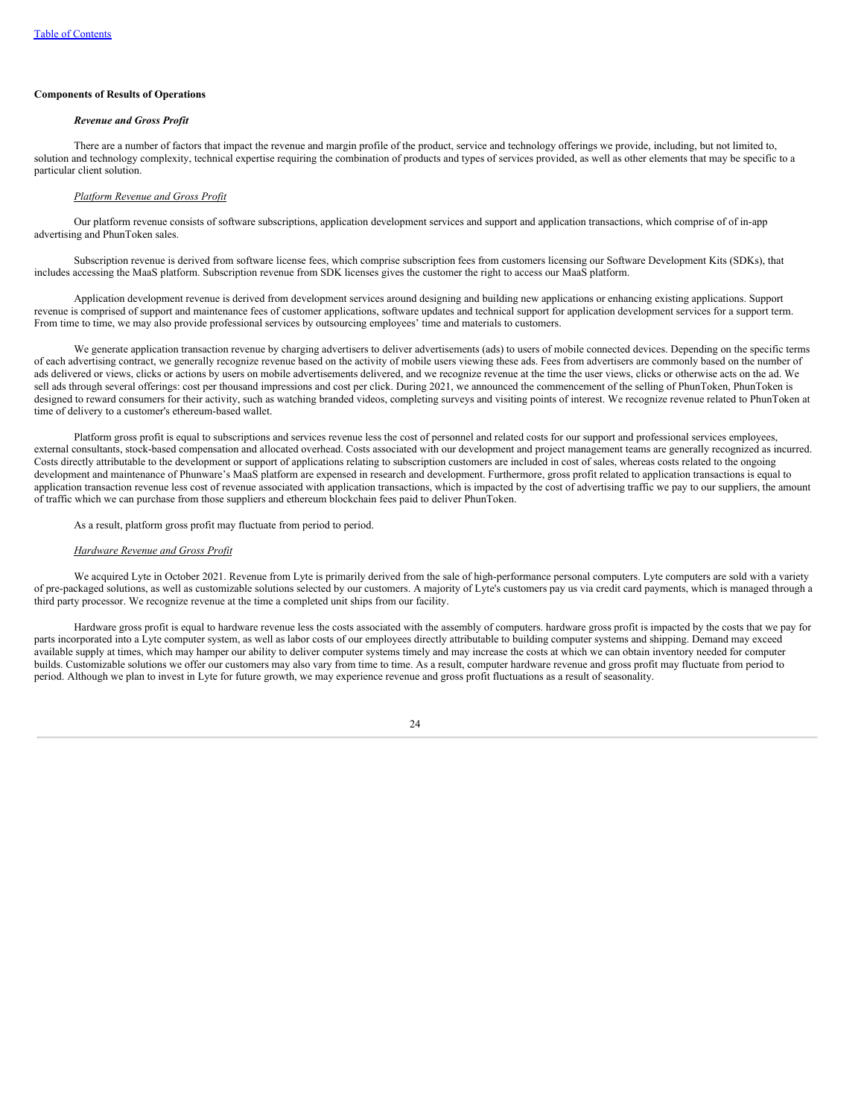#### **Components of Results of Operations**

#### *Revenue and Gross Profit*

There are a number of factors that impact the revenue and margin profile of the product, service and technology offerings we provide, including, but not limited to, solution and technology complexity, technical expertise requiring the combination of products and types of services provided, as well as other elements that may be specific to a particular client solution.

#### *Platform Revenue and Gross Profit*

Our platform revenue consists of software subscriptions, application development services and support and application transactions, which comprise of of in-app advertising and PhunToken sales.

Subscription revenue is derived from software license fees, which comprise subscription fees from customers licensing our Software Development Kits (SDKs), that includes accessing the MaaS platform. Subscription revenue from SDK licenses gives the customer the right to access our MaaS platform.

Application development revenue is derived from development services around designing and building new applications or enhancing existing applications. Support revenue is comprised of support and maintenance fees of customer applications, software updates and technical support for application development services for a support term. From time to time, we may also provide professional services by outsourcing employees' time and materials to customers.

We generate application transaction revenue by charging advertisers to deliver advertisements (ads) to users of mobile connected devices. Depending on the specific terms of each advertising contract, we generally recognize revenue based on the activity of mobile users viewing these ads. Fees from advertisers are commonly based on the number of ads delivered or views, clicks or actions by users on mobile advertisements delivered, and we recognize revenue at the time the user views, clicks or otherwise acts on the ad. We sell ads through several offerings: cost per thousand impressions and cost per click. During 2021, we announced the commencement of the selling of PhunToken, PhunToken is designed to reward consumers for their activity, such as watching branded videos, completing surveys and visiting points of interest. We recognize revenue related to PhunToken at time of delivery to a customer's ethereum-based wallet.

Platform gross profit is equal to subscriptions and services revenue less the cost of personnel and related costs for our support and professional services employees, external consultants, stock-based compensation and allocated overhead. Costs associated with our development and project management teams are generally recognized as incurred. Costs directly attributable to the development or support of applications relating to subscription customers are included in cost of sales, whereas costs related to the ongoing development and maintenance of Phunware's MaaS platform are expensed in research and development. Furthermore, gross profit related to application transactions is equal to application transaction revenue less cost of revenue associated with application transactions, which is impacted by the cost of advertising traffic we pay to our suppliers, the amount of traffic which we can purchase from those suppliers and ethereum blockchain fees paid to deliver PhunToken.

As a result, platform gross profit may fluctuate from period to period.

### *Hardware Revenue and Gross Profit*

We acquired Lyte in October 2021. Revenue from Lyte is primarily derived from the sale of high-performance personal computers. Lyte computers are sold with a variety of pre-packaged solutions, as well as customizable solutions selected by our customers. A majority of Lyte's customers pay us via credit card payments, which is managed through a third party processor. We recognize revenue at the time a completed unit ships from our facility.

Hardware gross profit is equal to hardware revenue less the costs associated with the assembly of computers. hardware gross profit is impacted by the costs that we pay for parts incorporated into a Lyte computer system, as well as labor costs of our employees directly attributable to building computer systems and shipping. Demand may exceed available supply at times, which may hamper our ability to deliver computer systems timely and may increase the costs at which we can obtain inventory needed for computer builds. Customizable solutions we offer our customers may also vary from time to time. As a result, computer hardware revenue and gross profit may fluctuate from period to period. Although we plan to invest in Lyte for future growth, we may experience revenue and gross profit fluctuations as a result of seasonality.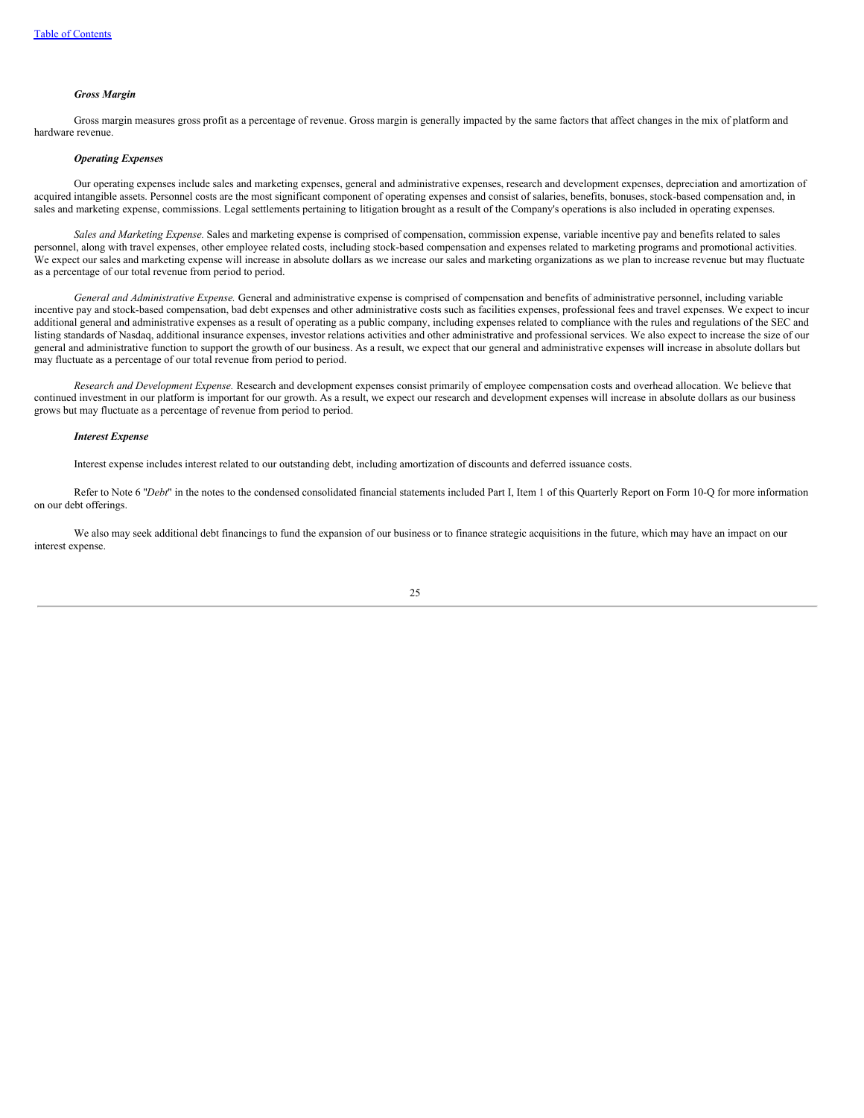#### *Gross Margin*

Gross margin measures gross profit as a percentage of revenue. Gross margin is generally impacted by the same factors that affect changes in the mix of platform and hardware revenue.

#### *Operating Expenses*

Our operating expenses include sales and marketing expenses, general and administrative expenses, research and development expenses, depreciation and amortization of acquired intangible assets. Personnel costs are the most significant component of operating expenses and consist of salaries, benefits, bonuses, stock-based compensation and, in sales and marketing expense, commissions. Legal settlements pertaining to litigation brought as a result of the Company's operations is also included in operating expenses.

*Sales and Marketing Expense.* Sales and marketing expense is comprised of compensation, commission expense, variable incentive pay and benefits related to sales personnel, along with travel expenses, other employee related costs, including stock-based compensation and expenses related to marketing programs and promotional activities. We expect our sales and marketing expense will increase in absolute dollars as we increase our sales and marketing organizations as we plan to increase revenue but may fluctuate as a percentage of our total revenue from period to period.

*General and Administrative Expense.* General and administrative expense is comprised of compensation and benefits of administrative personnel, including variable incentive pay and stock-based compensation, bad debt expenses and other administrative costs such as facilities expenses, professional fees and travel expenses. We expect to incur additional general and administrative expenses as a result of operating as a public company, including expenses related to compliance with the rules and regulations of the SEC and listing standards of Nasdaq, additional insurance expenses, investor relations activities and other administrative and professional services. We also expect to increase the size of our general and administrative function to support the growth of our business. As a result, we expect that our general and administrative expenses will increase in absolute dollars but may fluctuate as a percentage of our total revenue from period to period.

*Research and Development Expense.* Research and development expenses consist primarily of employee compensation costs and overhead allocation. We believe that continued investment in our platform is important for our growth. As a result, we expect our research and development expenses will increase in absolute dollars as our business grows but may fluctuate as a percentage of revenue from period to period.

#### *Interest Expense*

Interest expense includes interest related to our outstanding debt, including amortization of discounts and deferred issuance costs.

Refer to Note 6 "*Debt*" in the notes to the condensed consolidated financial statements included Part I, Item 1 of this Quarterly Report on Form 10-Q for more information on our debt offerings.

We also may seek additional debt financings to fund the expansion of our business or to finance strategic acquisitions in the future, which may have an impact on our interest expense.

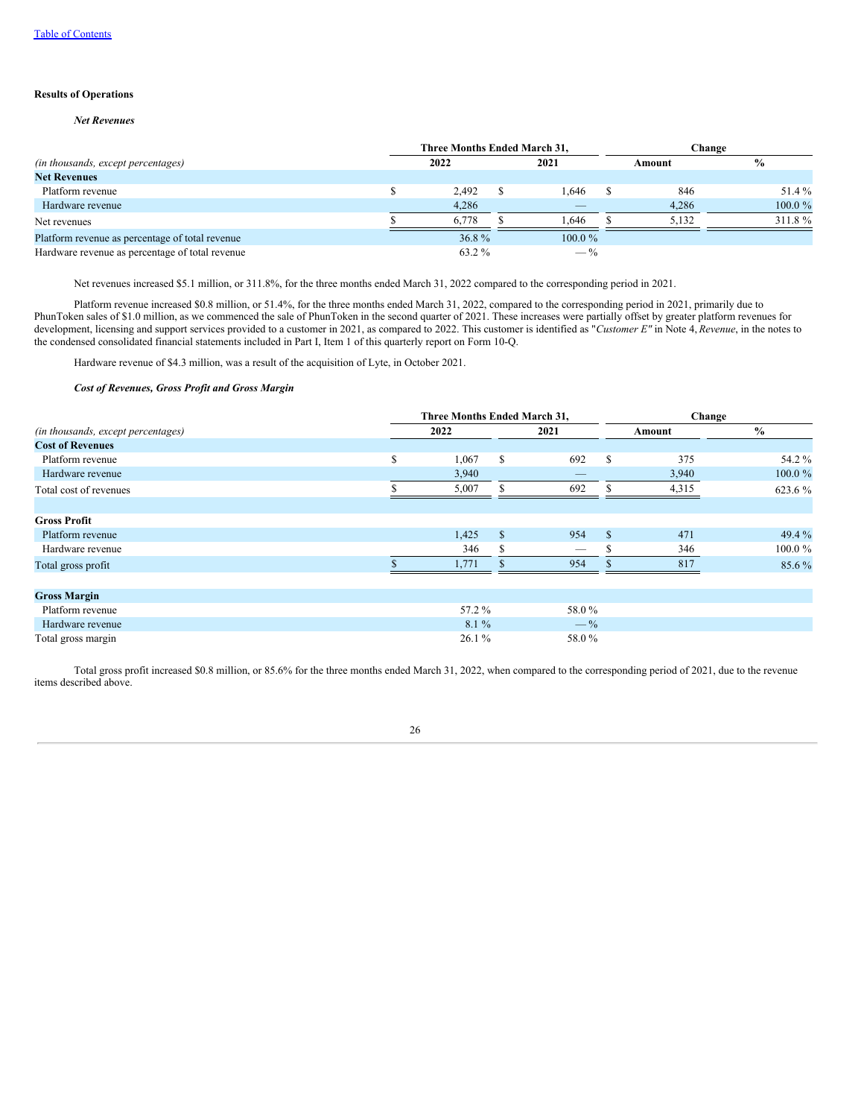## **Results of Operations**

#### *Net Revenues*

|                                                 | Three Months Ended March 31, |           |        | Change  |
|-------------------------------------------------|------------------------------|-----------|--------|---------|
| (in thousands, except percentages)              | 2022                         | 2021      | Amount | $\%$    |
| <b>Net Revenues</b>                             |                              |           |        |         |
| Platform revenue                                | 2.492                        | .646      | 846    | 51.4 %  |
| Hardware revenue                                | 4,286                        |           | 4,286  | 100.0%  |
| Net revenues                                    | 6.778                        | .646      | 5.132  | 311.8 % |
| Platform revenue as percentage of total revenue | $36.8\%$                     | $100.0\%$ |        |         |
| Hardware revenue as percentage of total revenue | 63.2 %                       | $-$ %     |        |         |

Net revenues increased \$5.1 million, or 311.8%, for the three months ended March 31, 2022 compared to the corresponding period in 2021.

Platform revenue increased \$0.8 million, or 51.4%, for the three months ended March 31, 2022, compared to the corresponding period in 2021, primarily due to PhunToken sales of \$1.0 million, as we commenced the sale of PhunToken in the second quarter of 2021. These increases were partially offset by greater platform revenues for development, licensing and support services provided to a customer in 2021, as compared to 2022. This customer is identified as "*Customer E"* in Note 4, *Revenue*, in the notes to the condensed consolidated financial statements included in Part I, Item 1 of this quarterly report on Form 10-Q.

Hardware revenue of \$4.3 million, was a result of the acquisition of Lyte, in October 2021.

## *Cost of Revenues, Gross Profit and Gross Margin*

|                                    | Three Months Ended March 31, |               |                |     | Change |            |
|------------------------------------|------------------------------|---------------|----------------|-----|--------|------------|
| (in thousands, except percentages) | 2022                         |               | 2021           |     | Amount | $\%$       |
| <b>Cost of Revenues</b>            |                              |               |                |     |        |            |
| Platform revenue                   | \$<br>1,067                  | S             | 692            | \$. | 375    | 54.2 %     |
| Hardware revenue                   | 3,940                        |               |                |     | 3,940  | 100.0%     |
| Total cost of revenues             | 5,007                        |               | 692            |     | 4,315  | 623.6 %    |
| <b>Gross Profit</b>                |                              |               |                |     |        |            |
| Platform revenue                   | 1,425                        | $\mathcal{S}$ | 954            | \$. | 471    | 49.4%      |
| Hardware revenue                   | 346                          |               |                |     | 346    | $100.0 \%$ |
| Total gross profit                 | 1,771                        |               | 954            |     | 817    | 85.6%      |
| <b>Gross Margin</b>                |                              |               |                |     |        |            |
| Platform revenue                   | 57.2 %                       |               | 58.0%          |     |        |            |
| Hardware revenue                   | $8.1\%$                      |               | $-\frac{9}{6}$ |     |        |            |
| Total gross margin                 | $26.1\%$                     |               | 58.0%          |     |        |            |

Total gross profit increased \$0.8 million, or 85.6% for the three months ended March 31, 2022, when compared to the corresponding period of 2021, due to the revenue items described above.

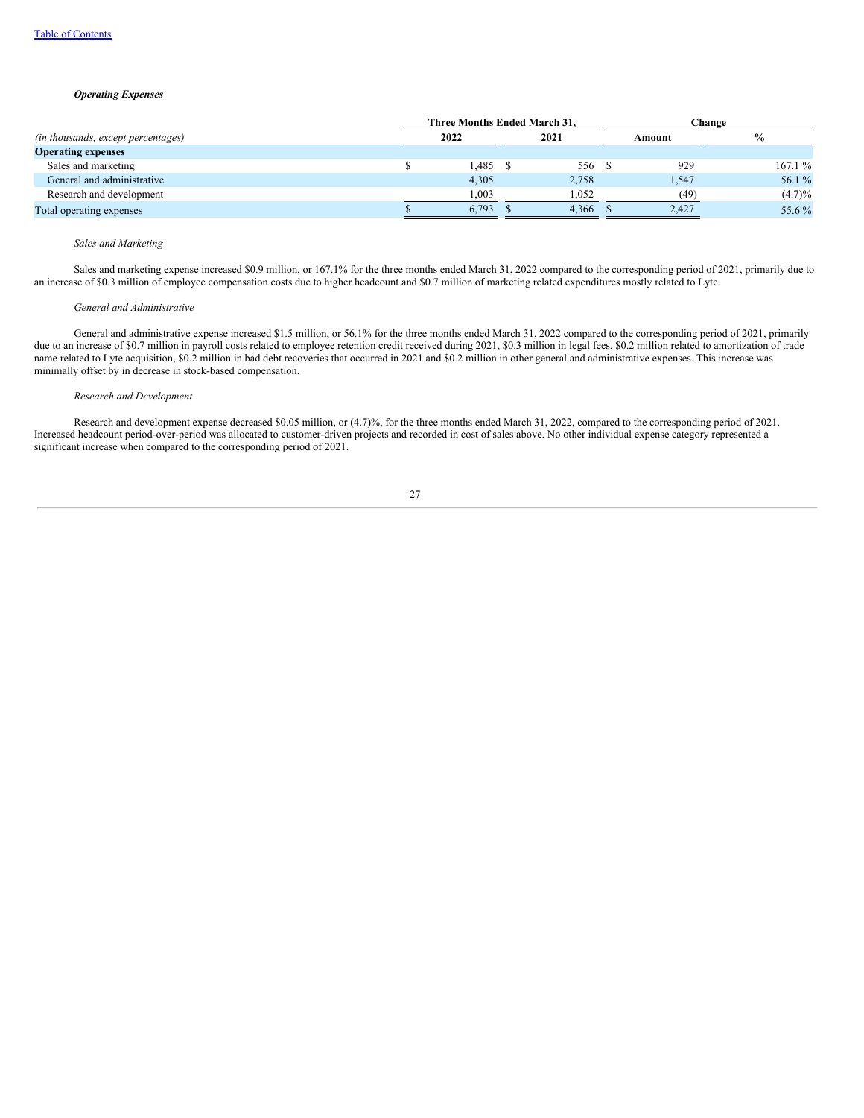### *Operating Expenses*

|                                    | Three Months Ended March 31, |        |        | Change    |
|------------------------------------|------------------------------|--------|--------|-----------|
| (in thousands, except percentages) | 2022                         | 2021   | Amount | $\%$      |
| <b>Operating expenses</b>          |                              |        |        |           |
| Sales and marketing                | 1.485                        | 556 \$ | 929    | 167.1%    |
| General and administrative         | 4.305                        | 2,758  | 1,547  | 56.1%     |
| Research and development           | 1.003                        | 1.052  | (49)   | $(4.7)\%$ |
| Total operating expenses           | 6.793                        | 4,366  | 2,427  | 55.6%     |

#### *Sales and Marketing*

Sales and marketing expense increased \$0.9 million, or 167.1% for the three months ended March 31, 2022 compared to the corresponding period of 2021, primarily due to an increase of \$0.3 million of employee compensation costs due to higher headcount and \$0.7 million of marketing related expenditures mostly related to Lyte.

### *General and Administrative*

General and administrative expense increased \$1.5 million, or 56.1% for the three months ended March 31, 2022 compared to the corresponding period of 2021, primarily due to an increase of \$0.7 million in payroll costs related to employee retention credit received during 2021, \$0.3 million in legal fees, \$0.2 million related to amortization of trade name related to Lyte acquisition, \$0.2 million in bad debt recoveries that occurred in 2021 and \$0.2 million in other general and administrative expenses. This increase was minimally offset by in decrease in stock-based compensation.

### *Research and Development*

Research and development expense decreased \$0.05 million, or  $(4.7)$ %, for the three months ended March 31, 2022, compared to the corresponding period of 2021. Increased headcount period-over-period was allocated to customer-driven projects and recorded in cost of sales above. No other individual expense category represented a significant increase when compared to the corresponding period of 2021.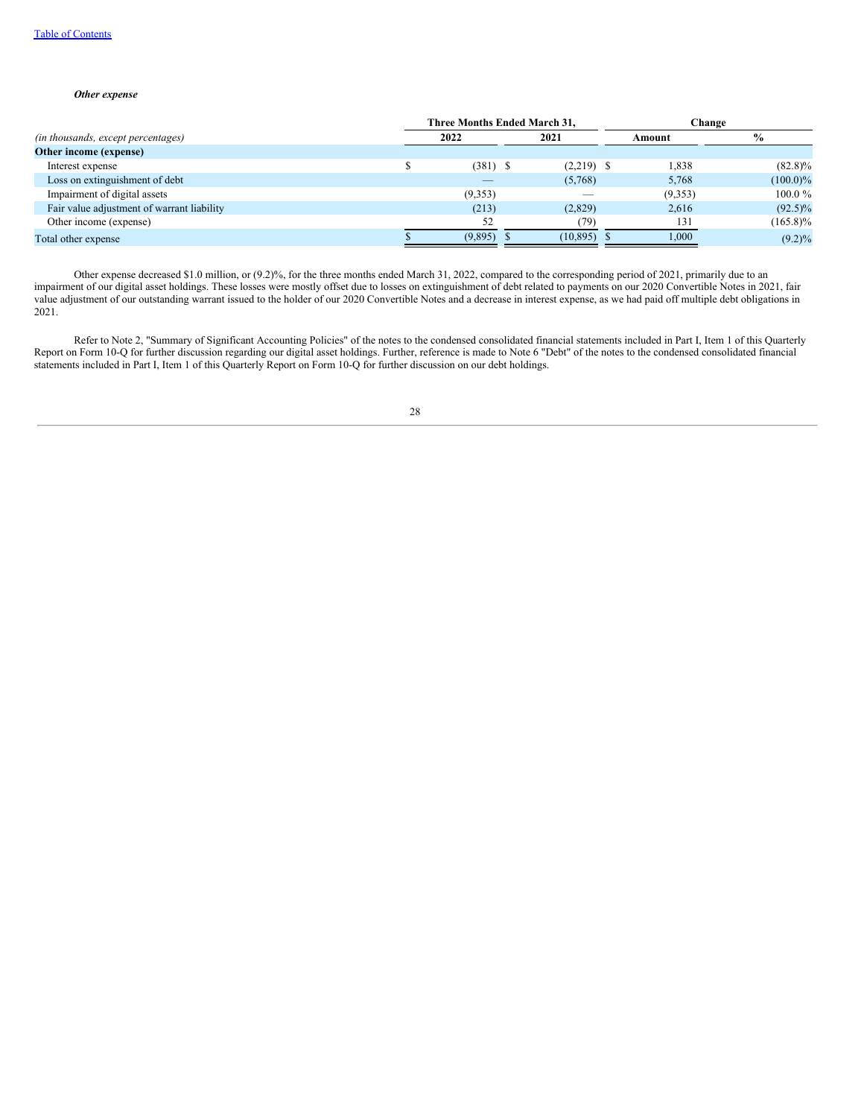### *Other expense*

|                                            | Three Months Ended March 31. |               |         | Change        |
|--------------------------------------------|------------------------------|---------------|---------|---------------|
| (in thousands, except percentages)         | 2022                         | 2021          | Amount  | $\frac{0}{0}$ |
| <b>Other income (expense)</b>              |                              |               |         |               |
| Interest expense                           | $(381)$ \$                   | $(2,219)$ \$  | 1,838   | $(82.8)\%$    |
| Loss on extinguishment of debt             |                              | (5,768)       | 5,768   | $(100.0)\%$   |
| Impairment of digital assets               | (9,353)                      |               | (9,353) | $100.0\%$     |
| Fair value adjustment of warrant liability | (213)                        | (2,829)       | 2,616   | $(92.5)\%$    |
| Other income (expense)                     | 52                           | (79)          | 131     | $(165.8)\%$   |
| Total other expense                        | (9,895)                      | $(10,895)$ \$ | 1,000   | $(9.2)\%$     |

Other expense decreased \$1.0 million, or (9.2)%, for the three months ended March 31, 2022, compared to the corresponding period of 2021, primarily due to an impairment of our digital asset holdings. These losses were mostly offset due to losses on extinguishment of debt related to payments on our 2020 Convertible Notes in 2021, fair value adjustment of our outstanding warrant issued to the holder of our 2020 Convertible Notes and a decrease in interest expense, as we had paid off multiple debt obligations in 2021.

Refer to Note 2, "Summary of Significant Accounting Policies" of the notes to the condensed consolidated financial statements included in Part I, Item 1 of this Quarterly Report on Form 10-Q for further discussion regarding our digital asset holdings. Further, reference is made to Note 6 "Debt" of the notes to the condensed consolidated financial statements included in Part I, Item 1 of this Quarterly Report on Form 10-Q for further discussion on our debt holdings.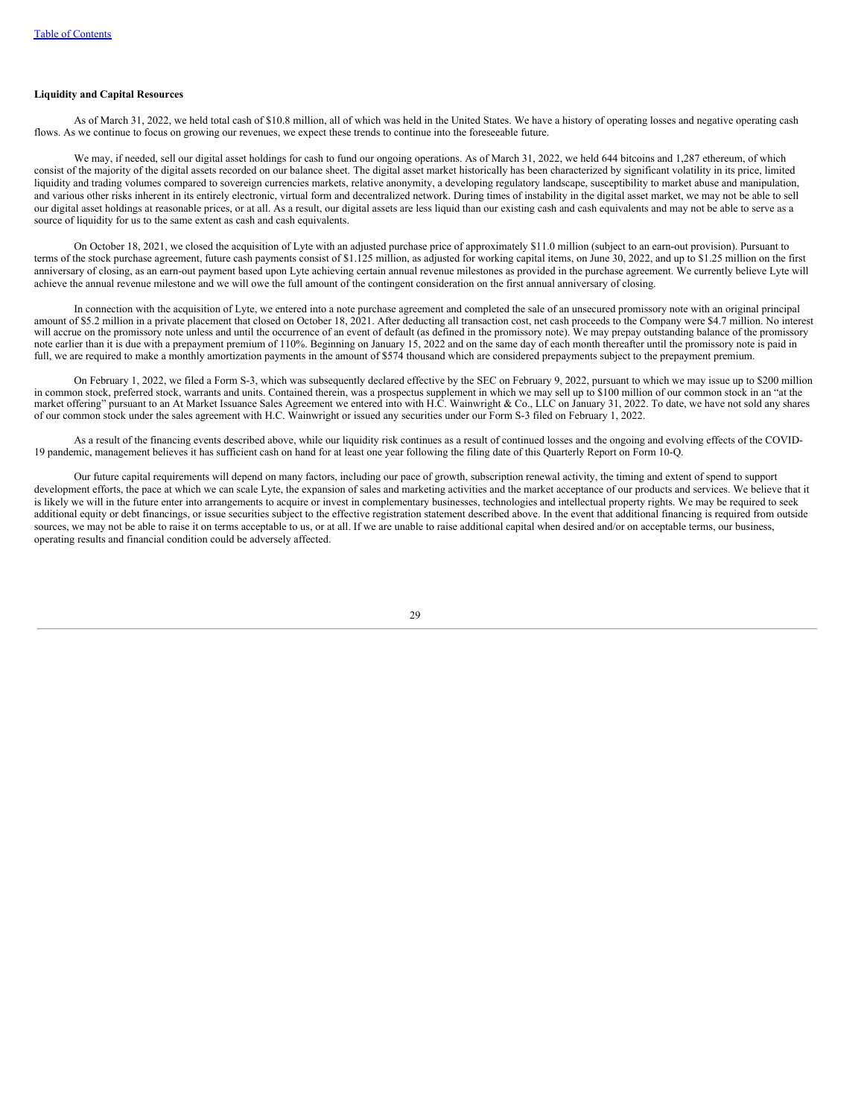## **Liquidity and Capital Resources**

As of March 31, 2022, we held total cash of \$10.8 million, all of which was held in the United States. We have a history of operating losses and negative operating cash flows. As we continue to focus on growing our revenues, we expect these trends to continue into the foreseeable future.

We may, if needed, sell our digital asset holdings for cash to fund our ongoing operations. As of March 31, 2022, we held 644 bitcoins and 1,287 ethereum, of which consist of the majority of the digital assets recorded on our balance sheet. The digital asset market historically has been characterized by significant volatility in its price, limited liquidity and trading volumes compared to sovereign currencies markets, relative anonymity, a developing regulatory landscape, susceptibility to market abuse and manipulation, and various other risks inherent in its entirely electronic, virtual form and decentralized network. During times of instability in the digital asset market, we may not be able to sell our digital asset holdings at reasonable prices, or at all. As a result, our digital assets are less liquid than our existing cash and cash equivalents and may not be able to serve as a source of liquidity for us to the same extent as cash and cash equivalents.

On October 18, 2021, we closed the acquisition of Lyte with an adjusted purchase price of approximately \$11.0 million (subject to an earn-out provision). Pursuant to terms of the stock purchase agreement, future cash payments consist of \$1.125 million, as adjusted for working capital items, on June 30, 2022, and up to \$1.25 million on the first anniversary of closing, as an earn-out payment based upon Lyte achieving certain annual revenue milestones as provided in the purchase agreement. We currently believe Lyte will achieve the annual revenue milestone and we will owe the full amount of the contingent consideration on the first annual anniversary of closing.

In connection with the acquisition of Lyte, we entered into a note purchase agreement and completed the sale of an unsecured promissory note with an original principal amount of \$5.2 million in a private placement that closed on October 18, 2021. After deducting all transaction cost, net cash proceeds to the Company were \$4.7 million. No interest will accrue on the promissory note unless and until the occurrence of an event of default (as defined in the promissory note). We may prepay outstanding balance of the promissory note earlier than it is due with a prepayment premium of 110%. Beginning on January 15, 2022 and on the same day of each month thereafter until the promissory note is paid in full, we are required to make a monthly amortization payments in the amount of \$574 thousand which are considered prepayments subject to the prepayment premium.

On February 1, 2022, we filed a Form S-3, which was subsequently declared effective by the SEC on February 9, 2022, pursuant to which we may issue up to \$200 million in common stock, preferred stock, warrants and units. Contained therein, was a prospectus supplement in which we may sell up to \$100 million of our common stock in an "at the market offering" pursuant to an At Market Issuance Sales Agreement we entered into with H.C. Wainwright & Co., LLC on January 31, 2022. To date, we have not sold any shares of our common stock under the sales agreement with H.C. Wainwright or issued any securities under our Form S-3 filed on February 1, 2022.

As a result of the financing events described above, while our liquidity risk continues as a result of continued losses and the ongoing and evolving effects of the COVID-19 pandemic, management believes it has sufficient cash on hand for at least one year following the filing date of this Quarterly Report on Form 10-Q.

Our future capital requirements will depend on many factors, including our pace of growth, subscription renewal activity, the timing and extent of spend to support development efforts, the pace at which we can scale Lyte, the expansion of sales and marketing activities and the market acceptance of our products and services. We believe that it is likely we will in the future enter into arrangements to acquire or invest in complementary businesses, technologies and intellectual property rights. We may be required to seek additional equity or debt financings, or issue securities subject to the effective registration statement described above. In the event that additional financing is required from outside sources, we may not be able to raise it on terms acceptable to us, or at all. If we are unable to raise additional capital when desired and/or on acceptable terms, our business, operating results and financial condition could be adversely affected.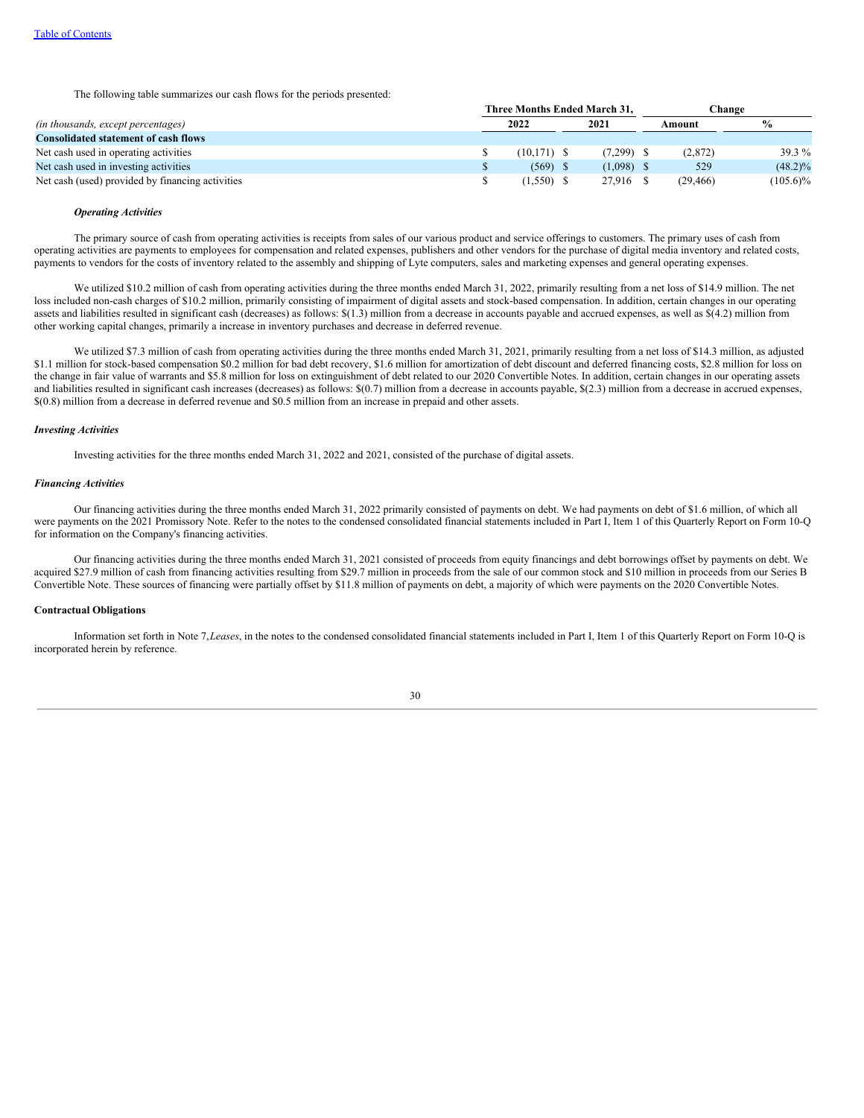The following table summarizes our cash flows for the periods presented:

|                                                  |               | Three Months Ended March 31. |          | <b>Change</b> |
|--------------------------------------------------|---------------|------------------------------|----------|---------------|
| (in thousands, except percentages)               | 2022          | 2021                         | Amount   | $\frac{0}{0}$ |
| <b>Consolidated statement of cash flows</b>      |               |                              |          |               |
| Net cash used in operating activities            | $(10,171)$ \$ | $(7,299)$ \$                 | (2,872)  | $39.3\%$      |
| Net cash used in investing activities            | $(569)$ \$    | $(1,098)$ \$                 | 529      | $(48.2)\%$    |
| Net cash (used) provided by financing activities | $(1,550)$ \$  | 27.916 \$                    | (29.466) | $(105.6)\%$   |

#### *Operating Activities*

The primary source of cash from operating activities is receipts from sales of our various product and service offerings to customers. The primary uses of cash from operating activities are payments to employees for compensation and related expenses, publishers and other vendors for the purchase of digital media inventory and related costs, payments to vendors for the costs of inventory related to the assembly and shipping of Lyte computers, sales and marketing expenses and general operating expenses.

We utilized \$10.2 million of cash from operating activities during the three months ended March 31, 2022, primarily resulting from a net loss of \$14.9 million. The net loss included non-cash charges of \$10.2 million, primarily consisting of impairment of digital assets and stock-based compensation. In addition, certain changes in our operating assets and liabilities resulted in significant cash (decreases) as follows: \$(1.3) million from a decrease in accounts payable and accrued expenses, as well as \$(4.2) million from other working capital changes, primarily a increase in inventory purchases and decrease in deferred revenue.

We utilized \$7.3 million of cash from operating activities during the three months ended March 31, 2021, primarily resulting from a net loss of \$14.3 million, as adjusted \$1.1 million for stock-based compensation \$0.2 million for bad debt recovery, \$1.6 million for amortization of debt discount and deferred financing costs, \$2.8 million for loss on the change in fair value of warrants and \$5.8 million for loss on extinguishment of debt related to our 2020 Convertible Notes. In addition, certain changes in our operating assets and liabilities resulted in significant cash increases (decreases) as follows: \$(0.7) million from a decrease in accounts payable, \$(2.3) million from a decrease in accrued expenses, \$(0.8) million from a decrease in deferred revenue and \$0.5 million from an increase in prepaid and other assets.

## *Investing Activities*

Investing activities for the three months ended March 31, 2022 and 2021, consisted of the purchase of digital assets.

#### *Financing Activities*

Our financing activities during the three months ended March 31, 2022 primarily consisted of payments on debt. We had payments on debt of \$1.6 million, of which all were payments on the 2021 Promissory Note. Refer to the notes to the condensed consolidated financial statements included in Part I, Item 1 of this Quarterly Report on Form 10-Q for information on the Company's financing activities.

Our financing activities during the three months ended March 31, 2021 consisted of proceeds from equity financings and debt borrowings offset by payments on debt. We acquired \$27.9 million of cash from financing activities resulting from \$29.7 million in proceeds from the sale of our common stock and \$10 million in proceeds from our Series B Convertible Note. These sources of financing were partially offset by \$11.8 million of payments on debt, a majority of which were payments on the 2020 Convertible Notes.

#### **Contractual Obligations**

Information set forth in Note 7,*Leases*, in the notes to the condensed consolidated financial statements included in Part I, Item 1 of this Quarterly Report on Form 10-Q is incorporated herein by reference.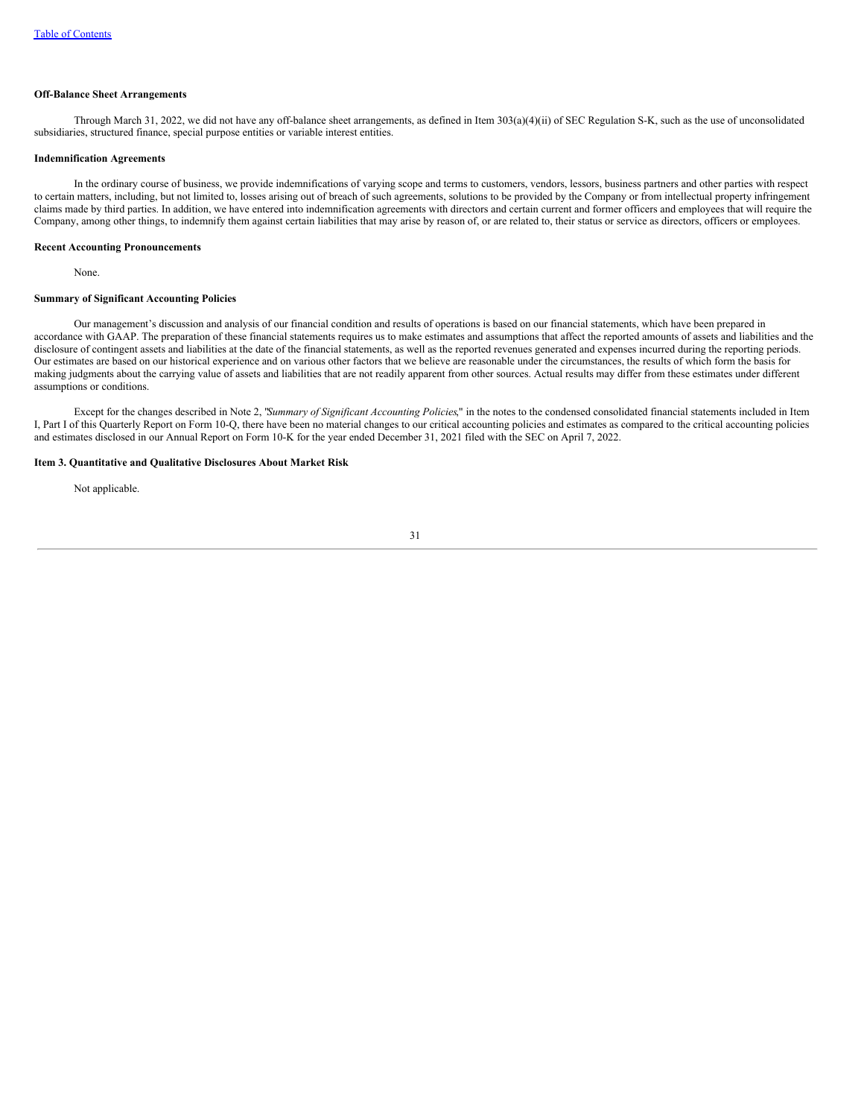## **Off-Balance Sheet Arrangements**

Through March 31, 2022, we did not have any off-balance sheet arrangements, as defined in Item 303(a)(4)(ii) of SEC Regulation S-K, such as the use of unconsolidated subsidiaries, structured finance, special purpose entities or variable interest entities.

#### **Indemnification Agreements**

In the ordinary course of business, we provide indemnifications of varying scope and terms to customers, vendors, lessors, business partners and other parties with respect to certain matters, including, but not limited to, losses arising out of breach of such agreements, solutions to be provided by the Company or from intellectual property infringement claims made by third parties. In addition, we have entered into indemnification agreements with directors and certain current and former officers and employees that will require the Company, among other things, to indemnify them against certain liabilities that may arise by reason of, or are related to, their status or service as directors, officers or employees.

### **Recent Accounting Pronouncements**

None.

### **Summary of Significant Accounting Policies**

Our management's discussion and analysis of our financial condition and results of operations is based on our financial statements, which have been prepared in accordance with GAAP. The preparation of these financial statements requires us to make estimates and assumptions that affect the reported amounts of assets and liabilities and the disclosure of contingent assets and liabilities at the date of the financial statements, as well as the reported revenues generated and expenses incurred during the reporting periods. Our estimates are based on our historical experience and on various other factors that we believe are reasonable under the circumstances, the results of which form the basis for making judgments about the carrying value of assets and liabilities that are not readily apparent from other sources. Actual results may differ from these estimates under different assumptions or conditions.

Except for the changes described in Note 2, "*Summary of Significant Accounting Policies*," in the notes to the condensed consolidated financial statements included in Item I, Part I of this Quarterly Report on Form 10-Q, there have been no material changes to our critical accounting policies and estimates as compared to the critical accounting policies and estimates disclosed in our Annual Report on Form 10-K for the year ended December 31, 2021 filed with the SEC on April 7, 2022.

## <span id="page-33-0"></span>**Item 3. Quantitative and Qualitative Disclosures About Market Risk**

<span id="page-33-1"></span>Not applicable.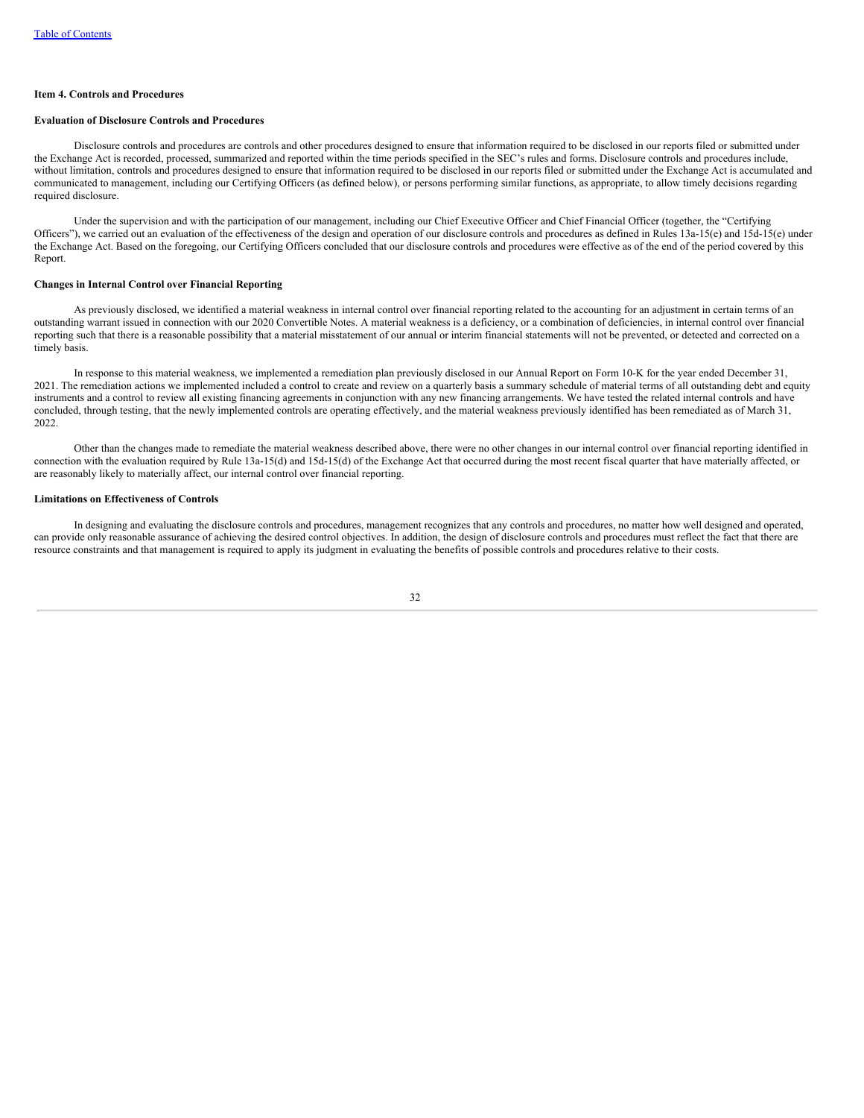## **Item 4. Controls and Procedures**

## **Evaluation of Disclosure Controls and Procedures**

Disclosure controls and procedures are controls and other procedures designed to ensure that information required to be disclosed in our reports filed or submitted under the Exchange Act is recorded, processed, summarized and reported within the time periods specified in the SEC's rules and forms. Disclosure controls and procedures include, without limitation, controls and procedures designed to ensure that information required to be disclosed in our reports filed or submitted under the Exchange Act is accumulated and communicated to management, including our Certifying Officers (as defined below), or persons performing similar functions, as appropriate, to allow timely decisions regarding required disclosure.

Under the supervision and with the participation of our management, including our Chief Executive Officer and Chief Financial Officer (together, the "Certifying Officers"), we carried out an evaluation of the effectiveness of the design and operation of our disclosure controls and procedures as defined in Rules 13a-15(e) and 15d-15(e) under the Exchange Act. Based on the foregoing, our Certifying Officers concluded that our disclosure controls and procedures were effective as of the end of the period covered by this Report.

## **Changes in Internal Control over Financial Reporting**

As previously disclosed, we identified a material weakness in internal control over financial reporting related to the accounting for an adjustment in certain terms of an outstanding warrant issued in connection with our 2020 Convertible Notes. A material weakness is a deficiency, or a combination of deficiencies, in internal control over financial reporting such that there is a reasonable possibility that a material misstatement of our annual or interim financial statements will not be prevented, or detected and corrected on a timely basis.

In response to this material weakness, we implemented a remediation plan previously disclosed in our Annual Report on Form 10-K for the year ended December 31, 2021. The remediation actions we implemented included a control to create and review on a quarterly basis a summary schedule of material terms of all outstanding debt and equity instruments and a control to review all existing financing agreements in conjunction with any new financing arrangements. We have tested the related internal controls and have concluded, through testing, that the newly implemented controls are operating effectively, and the material weakness previously identified has been remediated as of March 31, 2022.

Other than the changes made to remediate the material weakness described above, there were no other changes in our internal control over financial reporting identified in connection with the evaluation required by Rule 13a-15(d) and 15d-15(d) of the Exchange Act that occurred during the most recent fiscal quarter that have materially affected, or are reasonably likely to materially affect, our internal control over financial reporting.

### **Limitations on Effectiveness of Controls**

<span id="page-34-0"></span>In designing and evaluating the disclosure controls and procedures, management recognizes that any controls and procedures, no matter how well designed and operated, can provide only reasonable assurance of achieving the desired control objectives. In addition, the design of disclosure controls and procedures must reflect the fact that there are resource constraints and that management is required to apply its judgment in evaluating the benefits of possible controls and procedures relative to their costs.

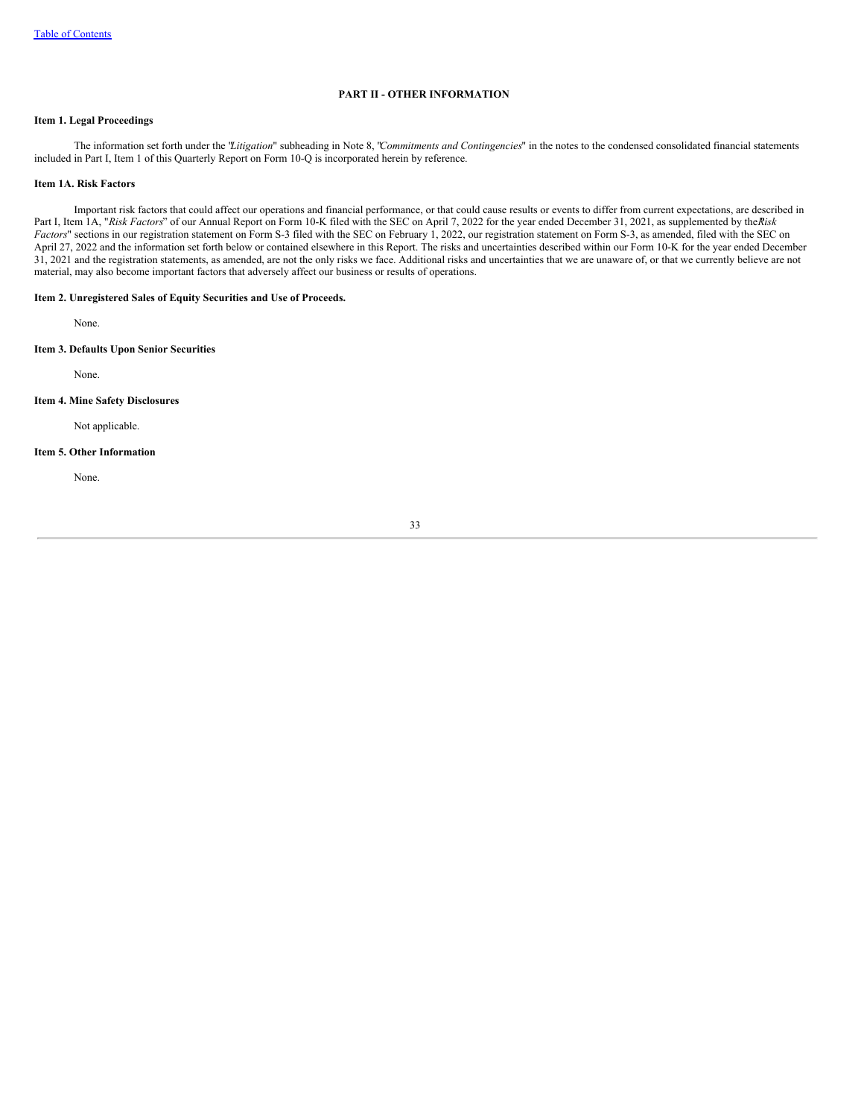## **PART II - OTHER INFORMATION**

## <span id="page-35-0"></span>**Item 1. Legal Proceedings**

The information set forth under the "*Litigation*" subheading in Note 8, "*Commitments and Contingencies*" in the notes to the condensed consolidated financial statements included in Part I, Item 1 of this Quarterly Report on Form 10-Q is incorporated herein by reference.

## <span id="page-35-1"></span>**Item 1A. Risk Factors**

Important risk factors that could affect our operations and financial performance, or that could cause results or events to differ from current expectations, are described in Part I, Item 1A, "*Risk Factors*" of our Annual Report on Form 10-K filed with the SEC on April 7, 2022 for the year ended December 31, 2021, as supplemented by the*R*"*isk Factors*" sections in our registration statement on Form S-3 filed with the SEC on February 1, 2022, our registration statement on Form S-3, as amended, filed with the SEC on April 27, 2022 and the information set forth below or contained elsewhere in this Report. The risks and uncertainties described within our Form 10-K for the year ended December 31, 2021 and the registration statements, as amended, are not the only risks we face. Additional risks and uncertainties that we are unaware of, or that we currently believe are not material, may also become important factors that adversely affect our business or results of operations.

### <span id="page-35-2"></span>**Item 2. Unregistered Sales of Equity Securities and Use of Proceeds.**

None.

### <span id="page-35-3"></span>**Item 3. Defaults Upon Senior Securities**

None.

#### <span id="page-35-4"></span>**Item 4. Mine Safety Disclosures**

Not applicable.

## <span id="page-35-5"></span>**Item 5. Other Information**

<span id="page-35-6"></span>None.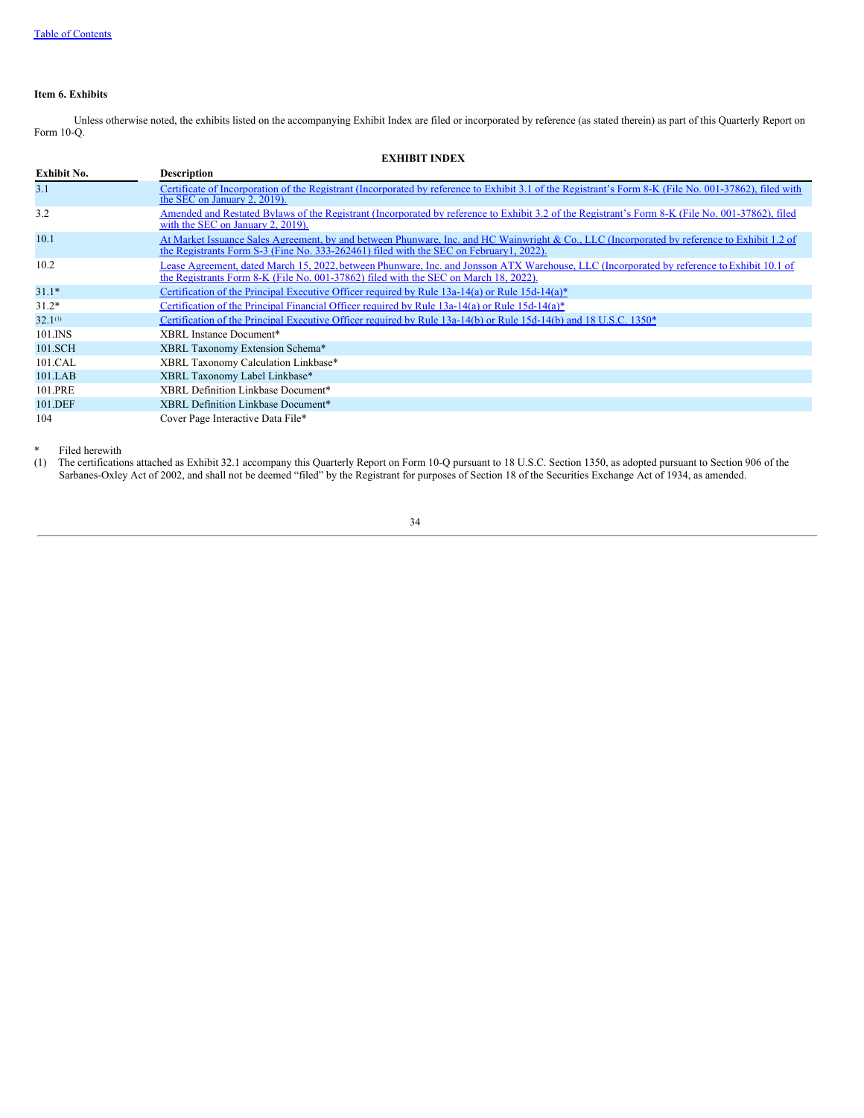# **Item 6. Exhibits**

Unless otherwise noted, the exhibits listed on the accompanying Exhibit Index are filed or incorporated by reference (as stated therein) as part of this Quarterly Report on Form 10-Q.

|              | <b>EXHIBIT INDEX</b>                                                                                                                                                                                                                   |
|--------------|----------------------------------------------------------------------------------------------------------------------------------------------------------------------------------------------------------------------------------------|
| Exhibit No.  | <b>Description</b>                                                                                                                                                                                                                     |
| 3.1          | Certificate of Incorporation of the Registrant (Incorporated by reference to Exhibit 3.1 of the Registrant's Form 8-K (File No. 001-37862), filed with<br>the SEC on January 2, 2019).                                                 |
| 3.2          | Amended and Restated Bylaws of the Registrant (Incorporated by reference to Exhibit 3.2 of the Registrant's Form 8-K (File No. 001-37862), filed<br>with the SEC on January 2, 2019).                                                  |
| 10.1         | At Market Issuance Sales Agreement, by and between Phunware, Inc. and HC Wainwright & Co., LLC (Incorporated by reference to Exhibit 1.2 of<br>the Registrants Form S-3 (Fine No. 333-262461) filed with the SEC on February 1, 2022). |
| 10.2         | Lease Agreement, dated March 15, 2022, between Phunware, Inc. and Jonsson ATX Warehouse, LLC (Incorporated by reference to Exhibit 10.1 of<br>the Registrants Form 8-K (File No. 001-37862) filed with the SEC on March 18, 2022).     |
| $31.1*$      | Certification of the Principal Executive Officer required by Rule $13a-14(a)$ or Rule $15d-14(a)*$                                                                                                                                     |
| $31.2*$      | Certification of the Principal Financial Officer required by Rule $13a-14(a)$ or Rule $15d-14(a)*$                                                                                                                                     |
| $32.1^{(1)}$ | Certification of the Principal Executive Officer required by Rule 13a-14(b) or Rule 15d-14(b) and 18 U.S.C. 1350 <sup>*</sup>                                                                                                          |
| 101.INS      | XBRL Instance Document*                                                                                                                                                                                                                |
| 101.SCH      | XBRL Taxonomy Extension Schema*                                                                                                                                                                                                        |
| 101.CAL      | XBRL Taxonomy Calculation Linkbase*                                                                                                                                                                                                    |
| 101.LAB      | XBRL Taxonomy Label Linkbase*                                                                                                                                                                                                          |
| 101.PRE      | XBRL Definition Linkbase Document*                                                                                                                                                                                                     |
| 101.DEF      | XBRL Definition Linkbase Document*                                                                                                                                                                                                     |
| 104          | Cover Page Interactive Data File*                                                                                                                                                                                                      |

\* Filed herewith

<span id="page-36-0"></span>(1) The certifications attached as Exhibit 32.1 accompany this Quarterly Report on Form 10-Q pursuant to 18 U.S.C. Section 1350, as adopted pursuant to Section 906 of the Sarbanes-Oxley Act of 2002, and shall not be deemed "filed" by the Registrant for purposes of Section 18 of the Securities Exchange Act of 1934, as amended.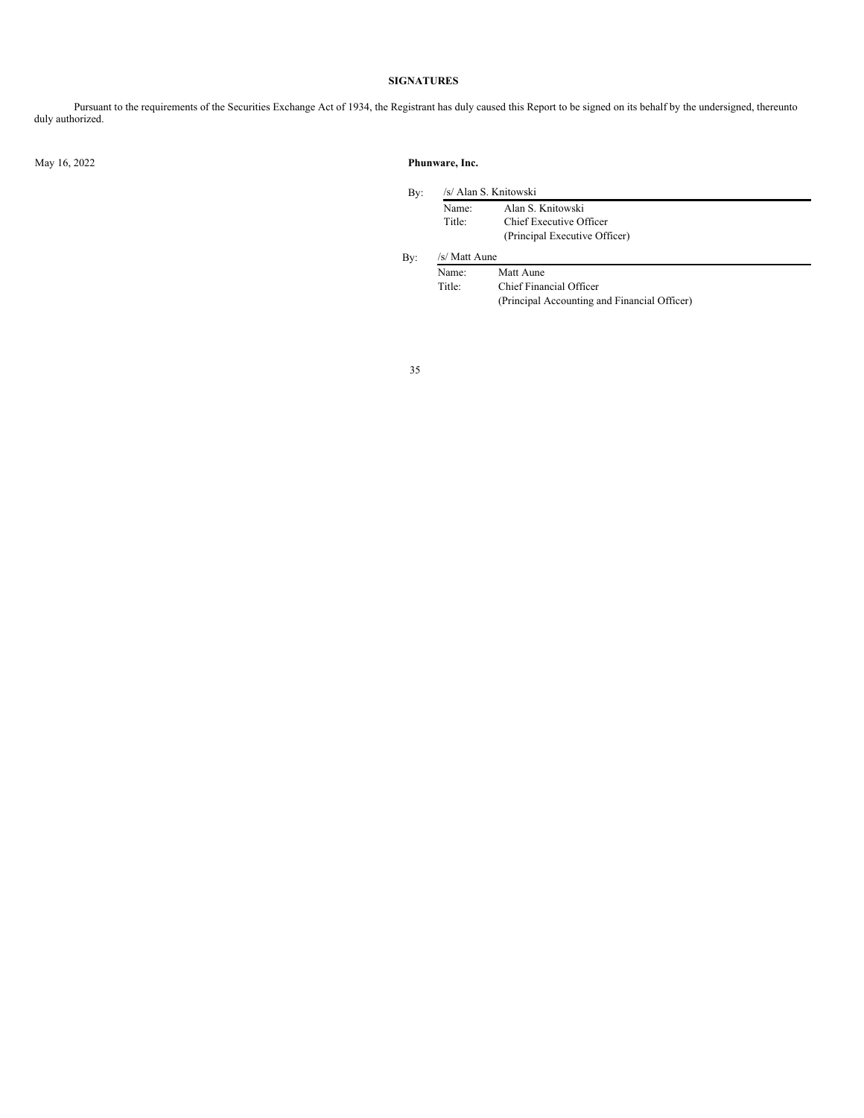## **SIGNATURES**

Pursuant to the requirements of the Securities Exchange Act of 1934, the Registrant has duly caused this Report to be signed on its behalf by the undersigned, thereunto duly authorized.

# May 16, 2022 **Phunware, Inc.**

|        | /s/ Alan S. Knitowski         |
|--------|-------------------------------|
| Name:  | Alan S. Knitowski             |
| Title: | Chief Executive Officer       |
|        | (Principal Executive Officer) |

By: /s/ Matt Aune

Name: Matt Aune<br>Title: Chief Finan Chief Financial Officer

(Principal Accounting and Financial Officer)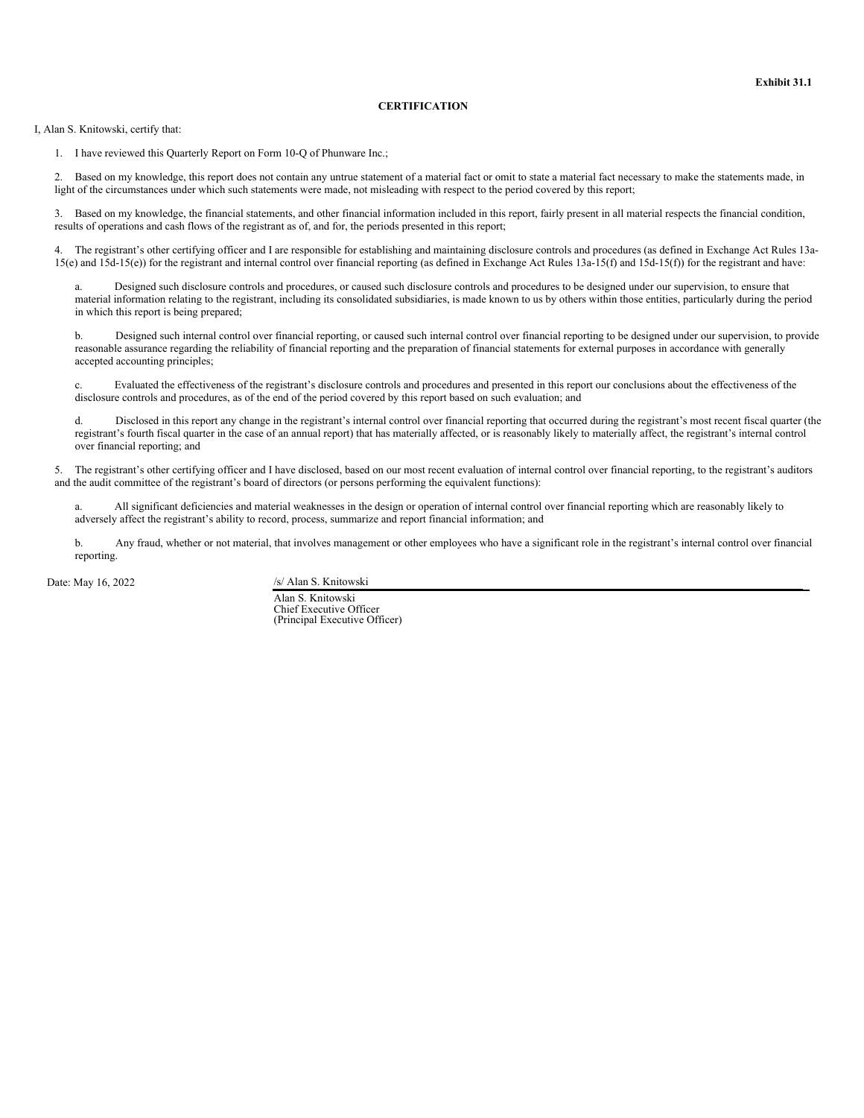## **CERTIFICATION**

<span id="page-38-0"></span>I, Alan S. Knitowski, certify that:

1. I have reviewed this Quarterly Report on Form 10-Q of Phunware Inc.;

2. Based on my knowledge, this report does not contain any untrue statement of a material fact or omit to state a material fact necessary to make the statements made, in light of the circumstances under which such statements were made, not misleading with respect to the period covered by this report;

3. Based on my knowledge, the financial statements, and other financial information included in this report, fairly present in all material respects the financial condition, results of operations and cash flows of the registrant as of, and for, the periods presented in this report;

4. The registrant's other certifying officer and I are responsible for establishing and maintaining disclosure controls and procedures (as defined in Exchange Act Rules 13a-15(e) and 15d-15(e)) for the registrant and internal control over financial reporting (as defined in Exchange Act Rules 13a-15(f) and 15d-15(f)) for the registrant and have:

Designed such disclosure controls and procedures, or caused such disclosure controls and procedures to be designed under our supervision, to ensure that material information relating to the registrant, including its consolidated subsidiaries, is made known to us by others within those entities, particularly during the period in which this report is being prepared;

b. Designed such internal control over financial reporting, or caused such internal control over financial reporting to be designed under our supervision, to provide reasonable assurance regarding the reliability of financial reporting and the preparation of financial statements for external purposes in accordance with generally accepted accounting principles;

c. Evaluated the effectiveness of the registrant's disclosure controls and procedures and presented in this report our conclusions about the effectiveness of the disclosure controls and procedures, as of the end of the period covered by this report based on such evaluation; and

d. Disclosed in this report any change in the registrant's internal control over financial reporting that occurred during the registrant's most recent fiscal quarter (the registrant's fourth fiscal quarter in the case of an annual report) that has materially affected, or is reasonably likely to materially affect, the registrant's internal control over financial reporting; and

5. The registrant's other certifying officer and I have disclosed, based on our most recent evaluation of internal control over financial reporting, to the registrant's auditors and the audit committee of the registrant's board of directors (or persons performing the equivalent functions):

a. All significant deficiencies and material weaknesses in the design or operation of internal control over financial reporting which are reasonably likely to adversely affect the registrant's ability to record, process, summarize and report financial information; and

b. Any fraud, whether or not material, that involves management or other employees who have a significant role in the registrant's internal control over financial reporting.

Date: May 16, 2022 /s/ Alan S. Knitowski

Alan S. Knitowski Chief Executive Officer (Principal Executive Officer)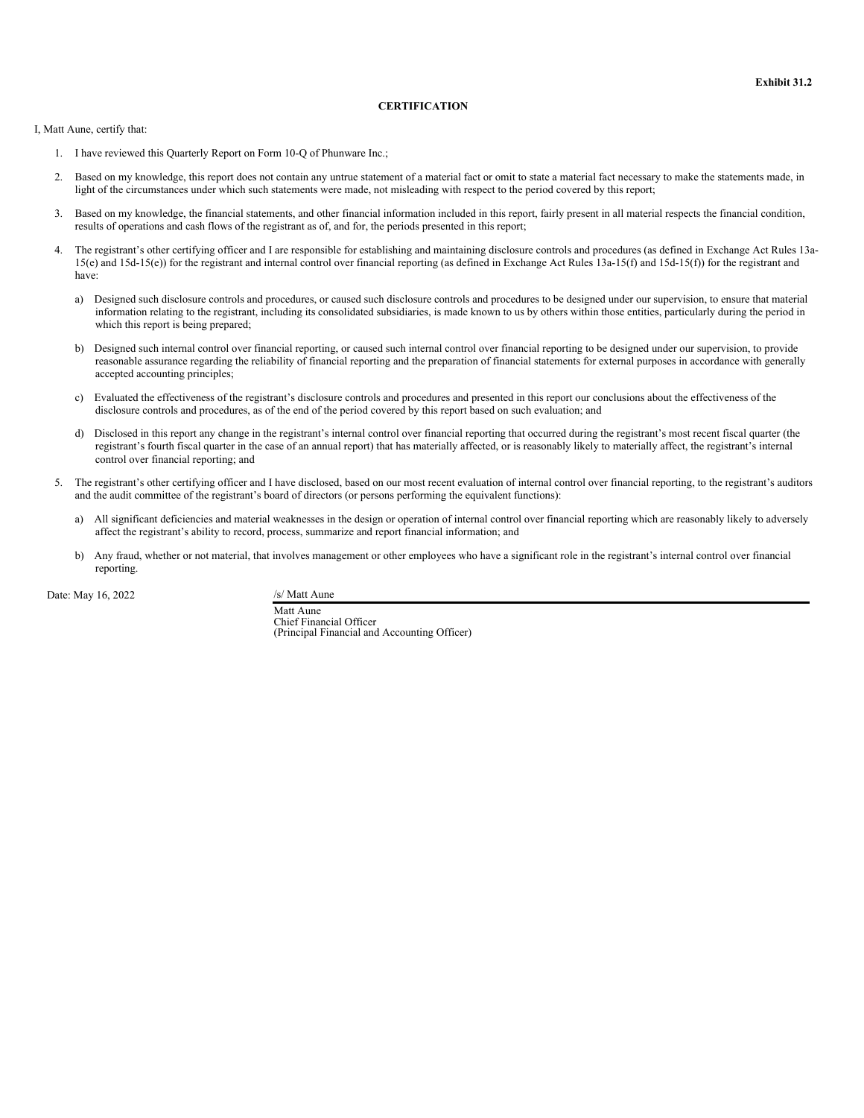## **CERTIFICATION**

<span id="page-39-0"></span>I, Matt Aune, certify that:

- 1. I have reviewed this Quarterly Report on Form 10-Q of Phunware Inc.;
- 2. Based on my knowledge, this report does not contain any untrue statement of a material fact or omit to state a material fact necessary to make the statements made, in light of the circumstances under which such statements were made, not misleading with respect to the period covered by this report;
- 3. Based on my knowledge, the financial statements, and other financial information included in this report, fairly present in all material respects the financial condition, results of operations and cash flows of the registrant as of, and for, the periods presented in this report;
- 4. The registrant's other certifying officer and I are responsible for establishing and maintaining disclosure controls and procedures (as defined in Exchange Act Rules 13a-15(e) and 15d-15(e)) for the registrant and internal control over financial reporting (as defined in Exchange Act Rules 13a-15(f) and 15d-15(f)) for the registrant and have:
	- a) Designed such disclosure controls and procedures, or caused such disclosure controls and procedures to be designed under our supervision, to ensure that material information relating to the registrant, including its consolidated subsidiaries, is made known to us by others within those entities, particularly during the period in which this report is being prepared;
	- b) Designed such internal control over financial reporting, or caused such internal control over financial reporting to be designed under our supervision, to provide reasonable assurance regarding the reliability of financial reporting and the preparation of financial statements for external purposes in accordance with generally accepted accounting principles;
	- c) Evaluated the effectiveness of the registrant's disclosure controls and procedures and presented in this report our conclusions about the effectiveness of the disclosure controls and procedures, as of the end of the period covered by this report based on such evaluation; and
	- d) Disclosed in this report any change in the registrant's internal control over financial reporting that occurred during the registrant's most recent fiscal quarter (the registrant's fourth fiscal quarter in the case of an annual report) that has materially affected, or is reasonably likely to materially affect, the registrant's internal control over financial reporting; and
- 5. The registrant's other certifying officer and I have disclosed, based on our most recent evaluation of internal control over financial reporting, to the registrant's auditors and the audit committee of the registrant's board of directors (or persons performing the equivalent functions):
	- a) All significant deficiencies and material weaknesses in the design or operation of internal control over financial reporting which are reasonably likely to adversely affect the registrant's ability to record, process, summarize and report financial information; and
	- b) Any fraud, whether or not material, that involves management or other employees who have a significant role in the registrant's internal control over financial reporting.

Date: May 16, 2022 /s/ Matt Aune

Matt Aune Chief Financial Officer (Principal Financial and Accounting Officer)